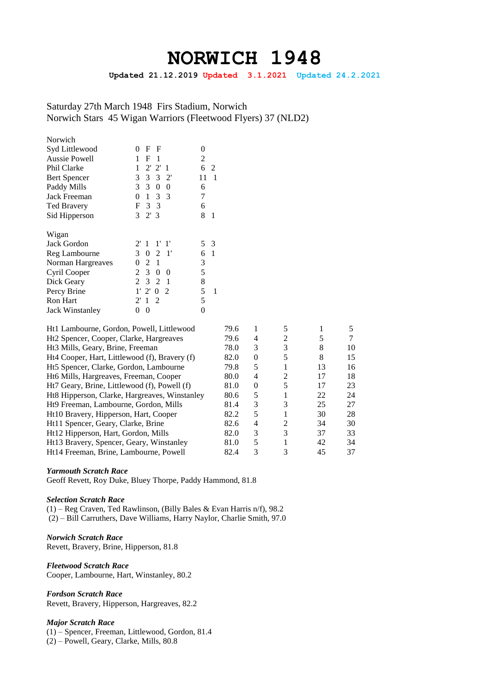# **NORWICH 1948**

**Updated 21.12.2019 Updated 3.1.2021 Updated 24.2.2021**

Saturday 27th March 1948 Firs Stadium, Norwich Norwich Stars 45 Wigan Warriors (Fleetwood Flyers) 37 (NLD2)

| Norwich                |                                           |          |
|------------------------|-------------------------------------------|----------|
| Syd Littlewood         | F<br>F<br>$\Omega$                        | $_{0}$   |
| <b>Aussie Powell</b>   | 1<br>F<br>1                               | 2        |
| Phil Clarke            | 2' 2' 1<br>1                              | 6<br>2   |
| <b>Bert Spencer</b>    | 3 3 3 2                                   | 11<br>1  |
| Paddy Mills            | 3 3<br>$\theta$<br>0                      | 6        |
| <b>Jack Freeman</b>    | 1 3 3<br>0                                | 7        |
| <b>Ted Bravery</b>     | F 3 3                                     | 6        |
| Sid Hipperson          | 3<br>2'3                                  | 8<br>1   |
|                        |                                           |          |
| Wigan                  |                                           |          |
| Jack Gordon            | 2' 1 1' 1'                                | 5<br>- 3 |
| Reg Lambourne          | 3 0 2 1                                   | 1<br>6   |
| Norman Hargreaves      | 0<br>2 1                                  | 3        |
| Cyril Cooper           | $\mathbf{3}$<br>2<br>$\theta$<br>$\Omega$ | 5        |
| Dick Geary             | 3 2 1<br>2                                | 8        |
| Percy Brine            | 2' 0 2<br>$1^{\prime}$                    | 5<br>1   |
| <b>Ron Hart</b>        | $\overline{2}$<br>1<br>$2^{\prime}$       | 5        |
| <b>Jack Winstanley</b> | 0<br>0                                    | 0        |

| Ht1 Lambourne, Gordon, Powell, Littlewood     | 79.6 |          |                |    |    |
|-----------------------------------------------|------|----------|----------------|----|----|
| Ht2 Spencer, Cooper, Clarke, Hargreaves       | 79.6 | 4        | $\mathfrak{D}$ | 5  |    |
| Ht <sub>3</sub> Mills, Geary, Brine, Freeman  | 78.0 | 3        | 3              | 8  | 10 |
| Ht4 Cooper, Hart, Littlewood (f), Bravery (f) | 82.0 | $\theta$ |                | 8  | 15 |
| Ht5 Spencer, Clarke, Gordon, Lambourne        | 79.8 | 5        |                | 13 | 16 |
| Ht6 Mills, Hargreaves, Freeman, Cooper        | 80.0 | 4        | $\mathfrak{D}$ | 17 | 18 |
| Ht7 Geary, Brine, Littlewood (f), Powell (f)  | 81.0 | $\theta$ |                | 17 | 23 |
| Ht8 Hipperson, Clarke, Hargreaves, Winstanley | 80.6 | 5        |                | 22 | 24 |
| Ht9 Freeman, Lambourne, Gordon, Mills         | 81.4 | 3        | 3              | 25 | 27 |
| Ht10 Bravery, Hipperson, Hart, Cooper         | 82.2 | 5        |                | 30 | 28 |
| Ht11 Spencer, Geary, Clarke, Brine            | 82.6 | 4        | 2              | 34 | 30 |
| Ht12 Hipperson, Hart, Gordon, Mills           | 82.0 | 3        | 3              | 37 | 33 |
| Ht13 Bravery, Spencer, Geary, Winstanley      | 81.0 | 5        |                | 42 | 34 |
| Ht14 Freeman, Brine, Lambourne, Powell        | 82.4 | 3        |                | 45 | 37 |

#### *Yarmouth Scratch Race*

Geoff Revett, Roy Duke, Bluey Thorpe, Paddy Hammond, 81.8

## *Selection Scratch Race*

(1) – Reg Craven, Ted Rawlinson, (Billy Bales & Evan Harris n/f), 98.2 (2) – Bill Carruthers, Dave Williams, Harry Naylor, Charlie Smith, 97.0

*Norwich Scratch Race* Revett, Bravery, Brine, Hipperson, 81.8

*Fleetwood Scratch Race* Cooper, Lambourne, Hart, Winstanley, 80.2

*Fordson Scratch Race*

Revett, Bravery, Hipperson, Hargreaves, 82.2

#### *Major Scratch Race*

(1) – Spencer, Freeman, Littlewood, Gordon, 81.4

(2) – Powell, Geary, Clarke, Mills, 80.8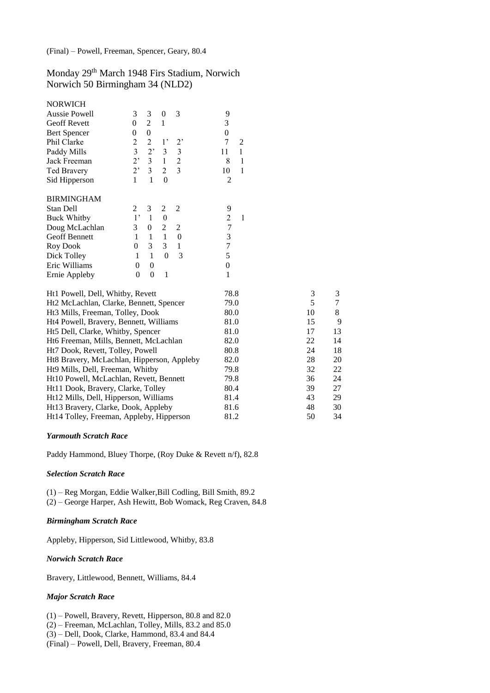Monday 29th March 1948 Firs Stadium, Norwich Norwich 50 Birmingham 34 (NLD2)

| <b>NORWICH</b>                             |                |                  |                  |                  |                  |              |    |        |
|--------------------------------------------|----------------|------------------|------------------|------------------|------------------|--------------|----|--------|
| Aussie Powell                              | 3              | 3                | $\boldsymbol{0}$ | 3                | 9                |              |    |        |
| <b>Geoff Revett</b>                        | $\overline{0}$ | $\overline{2}$   | $\mathbf{1}$     |                  | 3                |              |    |        |
| <b>Bert Spencer</b>                        | $\theta$       | $\boldsymbol{0}$ |                  |                  | $\boldsymbol{0}$ |              |    |        |
| Phil Clarke                                | 2              | $\overline{c}$   | 1 <sup>2</sup>   | 2,               | $\overline{7}$   | 2            |    |        |
| Paddy Mills                                | 3              | 2,               | $\mathfrak{Z}$   | $\mathfrak{Z}$   | 11               | $\mathbf{1}$ |    |        |
| Jack Freeman                               | 2,             | $\overline{3}$   | $\mathbf{1}$     | $\overline{c}$   | 8                | $\mathbf{1}$ |    |        |
| Ted Bravery                                | 2,             | $\overline{3}$   | $\overline{2}$   | $\overline{3}$   | 10               | $\mathbf{1}$ |    |        |
| Sid Hipperson                              | $\mathbf{1}$   | $\mathbf{1}$     | $\boldsymbol{0}$ |                  | $\overline{2}$   |              |    |        |
| <b>BIRMINGHAM</b>                          |                |                  |                  |                  |                  |              |    |        |
| Stan Dell                                  | 2              | 3                | $\mathfrak{2}$   | $\mathfrak{2}$   | 9                |              |    |        |
| <b>Buck Whitby</b>                         | $1$ '          | $\mathbf{1}$     | $\boldsymbol{0}$ |                  | $\overline{c}$   | 1            |    |        |
| Doug McLachlan                             | 3              | $\boldsymbol{0}$ | $\sqrt{2}$       | $\mathfrak{2}$   | $\overline{7}$   |              |    |        |
| <b>Geoff Bennett</b>                       | 1              | 1                | $\mathbf{1}$     | $\boldsymbol{0}$ | 3                |              |    |        |
| <b>Roy Dook</b>                            | $\overline{0}$ | 3                | 3                | $\mathbf{1}$     | 7                |              |    |        |
| Dick Tolley                                | $\mathbf{1}$   | 1                | $\theta$         | $\overline{3}$   | 5                |              |    |        |
| Eric Williams                              | $\theta$       | $\boldsymbol{0}$ |                  |                  | $\boldsymbol{0}$ |              |    |        |
| Ernie Appleby                              | $\theta$       | $\boldsymbol{0}$ | $\mathbf{1}$     |                  | 1                |              |    |        |
| Ht1 Powell, Dell, Whitby, Revett           |                |                  |                  |                  | 78.8             |              | 3  | 3      |
| Ht2 McLachlan, Clarke, Bennett, Spencer    |                |                  |                  |                  | 79.0             |              | 5  | $\tau$ |
| Ht3 Mills, Freeman, Tolley, Dook           |                |                  |                  |                  | 80.0             |              | 10 | 8      |
| Ht4 Powell, Bravery, Bennett, Williams     |                |                  |                  |                  | 81.0             |              | 15 | 9      |
| Ht5 Dell, Clarke, Whitby, Spencer          |                |                  |                  |                  | 81.0             |              | 17 | 13     |
| Ht6 Freeman, Mills, Bennett, McLachlan     |                |                  |                  |                  | 82.0             |              | 22 | 14     |
| Ht7 Dook, Revett, Tolley, Powell           |                |                  |                  |                  | 80.8             |              | 24 | 18     |
| Ht8 Bravery, McLachlan, Hipperson, Appleby |                |                  |                  |                  | 82.0             |              | 28 | 20     |
| Ht9 Mills, Dell, Freeman, Whitby           |                |                  |                  |                  | 79.8             |              | 32 | 22     |
| Ht10 Powell, McLachlan, Revett, Bennett    |                |                  |                  |                  | 79.8             |              | 36 | 24     |
| Ht11 Dook, Bravery, Clarke, Tolley         |                |                  |                  |                  | 80.4             |              | 39 | 27     |
| Ht12 Mills, Dell, Hipperson, Williams      |                |                  |                  |                  | 81.4             |              | 43 | 29     |
| Ht13 Bravery, Clarke, Dook, Appleby        |                |                  |                  |                  | 81.6             |              | 48 | 30     |
| Ht14 Tolley, Freeman, Appleby, Hipperson   |                |                  |                  |                  | 81.2             |              | 50 | 34     |

#### *Yarmouth Scratch Race*

Paddy Hammond, Bluey Thorpe, (Roy Duke & Revett n/f), 82.8

#### *Selection Scratch Race*

(1) – Reg Morgan, Eddie Walker,Bill Codling, Bill Smith, 89.2 (2) – George Harper, Ash Hewitt, Bob Womack, Reg Craven, 84.8

## *Birmingham Scratch Race*

Appleby, Hipperson, Sid Littlewood, Whitby, 83.8

#### *Norwich Scratch Race*

Bravery, Littlewood, Bennett, Williams, 84.4

## *Major Scratch Race*

(1) – Powell, Bravery, Revett, Hipperson, 80.8 and 82.0 (2) – Freeman, McLachlan, Tolley, Mills, 83.2 and 85.0 (3) – Dell, Dook, Clarke, Hammond, 83.4 and 84.4 (Final) – Powell, Dell, Bravery, Freeman, 80.4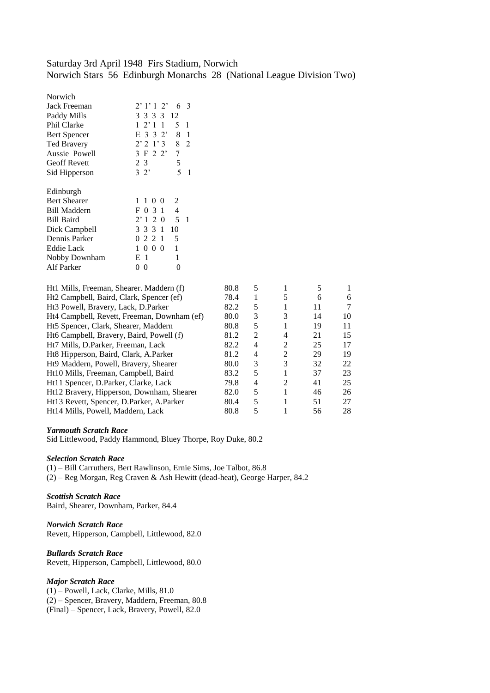# Saturday 3rd April 1948 Firs Stadium, Norwich Norwich Stars 56 Edinburgh Monarchs 28 (National League Division Two)

| Norwich             |                           |    |    |
|---------------------|---------------------------|----|----|
| Jack Freeman        | 2'1'12'                   | 6  | -3 |
| Paddy Mills         | 3 3 3 3 1 2               |    |    |
| Phil Clarke         | $1\;2'1\;1$               | 5  | 1  |
| <b>Bert Spencer</b> | E 3 3 2' 8 1              |    |    |
| <b>Ted Bravery</b>  | 2'2'1'3'8'2               |    |    |
| Aussie Powell       | 3 F 2 2'                  | 7  |    |
| <b>Geoff Revett</b> | 2 3                       | 5  |    |
| Sid Hipperson       | 32'                       | 5  | 1  |
|                     |                           |    |    |
| Edinburgh           |                           |    |    |
| <b>Bert Shearer</b> | 1 1 0 0                   | 2  |    |
| <b>Bill Maddern</b> | F 0 3 1                   | 4  |    |
| <b>Bill Baird</b>   | 2'1205                    |    | 1  |
| Dick Campbell       | 3 3 3 1                   | 10 |    |
| Dennis Parker       | 0 2 2 1                   | 5  |    |
| <b>Eddie Lack</b>   | $0\;0\;0$<br>$\mathbf{1}$ | 1  |    |
| Nobby Downham       | E 1                       | 1  |    |
| Alf Parker          | 0<br>0                    | 0  |    |
|                     |                           |    |    |

| Ht1 Mills, Freeman, Shearer. Maddern (f)    | 80.8 | 5 |                |    |    |
|---------------------------------------------|------|---|----------------|----|----|
| Ht2 Campbell, Baird, Clark, Spencer (ef)    | 78.4 |   |                | 6  | 6  |
| Ht3 Powell, Bravery, Lack, D.Parker         | 82.2 | 5 |                | 11 |    |
| Ht4 Campbell, Revett, Freeman, Downham (ef) | 80.0 | 3 | 3              | 14 | 10 |
| Ht5 Spencer, Clark, Shearer, Maddern        | 80.8 | 5 |                | 19 | 11 |
| Ht6 Campbell, Bravery, Baird, Powell (f)    | 81.2 | 2 | 4              | 21 | 15 |
| Ht7 Mills, D.Parker, Freeman, Lack          | 82.2 | 4 | $\mathfrak{D}$ | 25 | 17 |
| Ht8 Hipperson, Baird, Clark, A.Parker       | 81.2 | 4 | $\mathfrak{D}$ | 29 | 19 |
| Ht9 Maddern, Powell, Bravery, Shearer       | 80.0 | 3 | 3              | 32 | 22 |
| Ht10 Mills, Freeman, Campbell, Baird        | 83.2 | 5 |                | 37 | 23 |
| Ht11 Spencer, D.Parker, Clarke, Lack        | 79.8 | 4 | $\mathfrak{D}$ | 41 | 25 |
| Ht12 Bravery, Hipperson, Downham, Shearer   | 82.0 | 5 |                | 46 | 26 |
| Ht13 Revett, Spencer, D.Parker, A.Parker    | 80.4 | 5 |                | 51 | 27 |
| Ht14 Mills, Powell, Maddern, Lack           | 80.8 | 5 |                | 56 | 28 |
|                                             |      |   |                |    |    |

## *Yarmouth Scratch Race*

Sid Littlewood, Paddy Hammond, Bluey Thorpe, Roy Duke, 80.2

#### *Selection Scratch Race*

(1) – Bill Carruthers, Bert Rawlinson, Ernie Sims, Joe Talbot, 86.8 (2) – Reg Morgan, Reg Craven & Ash Hewitt (dead-heat), George Harper, 84.2

#### *Scottish Scratch Race* Baird, Shearer, Downham, Parker, 84.4

*Norwich Scratch Race*

Revett, Hipperson, Campbell, Littlewood, 82.0

*Bullards Scratch Race* Revett, Hipperson, Campbell, Littlewood, 80.0

## *Major Scratch Race*

(1) – Powell, Lack, Clarke, Mills, 81.0 (2) – Spencer, Bravery, Maddern, Freeman, 80.8 (Final) – Spencer, Lack, Bravery, Powell, 82.0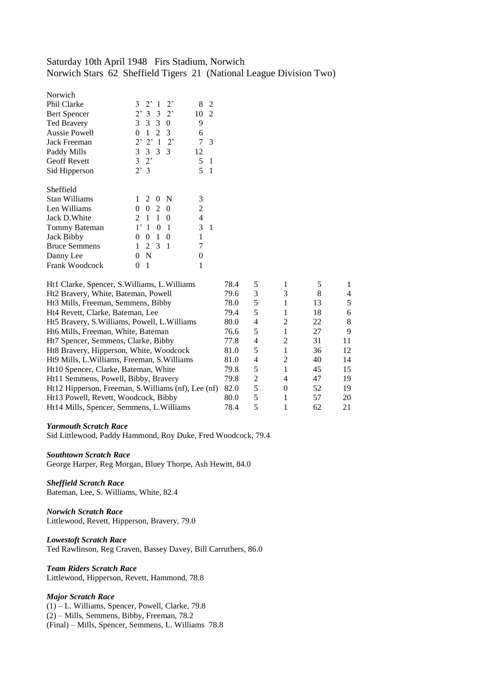# Saturday 10th April 1948 Firs Stadium, Norwich Norwich Stars 62 Sheffield Tigers 21 (National League Division Two)

| Norwich              |                                                    |          |
|----------------------|----------------------------------------------------|----------|
| Phil Clarke          | $3 \t2' 1 \t2'$                                    | 8<br>2   |
| <b>Bert Spencer</b>  | 2'332'                                             | 10 2     |
| <b>Ted Bravery</b>   | 3 3 3 0                                            | 9        |
| <b>Aussie Powell</b> | 1<br>2 3<br>0                                      | 6        |
| Jack Freeman         | $2'$ $2'$ 1<br>$2^{\circ}$                         | 7<br>3   |
| Paddy Mills          | 3 3 3 3                                            | 12       |
| <b>Geoff Revett</b>  | $3 \t2$                                            | 5<br>1   |
| Sid Hipperson        | 2'3                                                | 5<br>1   |
| Sheffield            |                                                    |          |
| <b>Stan Williams</b> | 1<br>2<br>N<br>$\theta$                            | 3        |
| Len Williams         | 0<br>0 <sub>2</sub><br>0                           | 2        |
| Jack D. White        | $\mathbf{1}$<br>$\mathbf{1}$<br>$\mathcal{L}$<br>0 | 4        |
| Tommy Bateman        | $1^,$<br>1<br>1<br>$\theta$                        | 3<br>1   |
| Jack Bibby           | 0<br>1<br>0<br>0                                   | 1        |
|                      |                                                    |          |
| <b>Bruce Semmens</b> | 2 3<br>1<br>$\blacksquare$                         | 7        |
| Danny Lee            | N<br>0                                             | $\theta$ |

| Ht1 Clarke, Spencer, S. Williams, L. Williams       | 78.4 |   |                             |    |    |
|-----------------------------------------------------|------|---|-----------------------------|----|----|
| Ht2 Bravery, White, Bateman, Powell                 | 79.6 | 3 | 3                           | 8  |    |
| Ht <sub>3</sub> Mills, Freeman, Semmens, Bibby      | 78.0 | 5 |                             | 13 | 5. |
| Ht4 Revett, Clarke, Bateman, Lee                    | 79.4 | 5 |                             | 18 | 6  |
| Ht5 Bravery, S. Williams, Powell, L. Williams       | 80.0 | 4 | $\mathfrak{D}$              | 22 | 8  |
| Ht6 Mills, Freeman, White, Bateman                  | 76.6 | 5 |                             | 27 | 9  |
| Ht7 Spencer, Semmens, Clarke, Bibby                 | 77.8 | 4 | $\mathcal{D}_{\mathcal{L}}$ | 31 | 11 |
| Ht8 Bravery, Hipperson, White, Woodcock             | 81.0 | 5 |                             | 36 | 12 |
| Ht9 Mills, L. Williams, Freeman, S. Williams        | 81.0 | 4 | $\mathfrak{D}$              | 40 | 14 |
| Ht10 Spencer, Clarke, Bateman, White                | 79.8 | 5 |                             | 45 | 15 |
| Ht11 Semmens, Powell, Bibby, Bravery                | 79.8 | 2 | 4                           | 47 | 19 |
| Ht12 Hipperson, Freeman, S. Williams (nf), Lee (nf) | 82.0 | 5 | 0                           | 52 | 19 |
| Ht13 Powell, Revett, Woodcock, Bibby                | 80.0 |   |                             | 57 | 20 |
| Ht14 Mills, Spencer, Semmens, L. Williams           | 78.4 |   |                             | 62 | 21 |

#### *Yarmouth Scratch Race*

Sid Littlewood, Paddy Hammond, Roy Duke, Fred Woodcock, 79.4

#### *Southtown Scratch Race*

George Harper, Reg Morgan, Bluey Thorpe, Ash Hewitt, 84.0

## *Sheffield Scratch Race*

Bateman, Lee, S. Williams, White, 82.4

## *Norwich Scratch Race* Littlewood, Revett, Hipperson, Bravery, 79.0

#### *Lowestoft Scratch Race* Ted Rawlinson, Reg Craven, Bassey Davey, Bill Carruthers, 86.0

## *Team Riders Scratch Race* Littlewood, Hipperson, Revett, Hammond, 78.8

## *Major Scratch Race*

(1) – L. Williams, Spencer, Powell, Clarke, 79.8 (2) – Mills, Semmens, Bibby, Freeman, 78.2 (Final) – Mills, Spencer, Semmens, L. Williams 78.8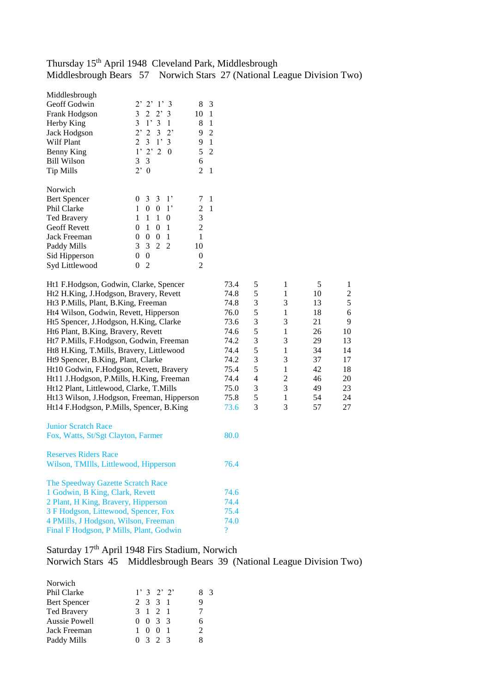# Thursday 15<sup>th</sup> April 1948 Cleveland Park, Middlesbrough Middlesbrough Bears 57 Norwich Stars 27 (National League Division Two)

| Norwich<br>3<br>$\mathfrak{Z}$<br>$1^{\prime}$<br>$\mathbf{1}$<br><b>Bert Spencer</b><br>$\overline{0}$<br>7<br>$\boldsymbol{0}$<br>$\boldsymbol{0}$<br>$\sqrt{2}$<br>Phil Clarke<br>$\mathbf{1}$<br>1 <sup>2</sup><br>$\mathbf{1}$<br>3<br><b>Ted Bravery</b><br>$\mathbf{1}$<br>$\mathbf{1}$<br>$\mathbf{1}$<br>$\boldsymbol{0}$<br><b>Geoff Revett</b><br>$\mathbf{1}$<br>$\overline{2}$<br>$\boldsymbol{0}$<br>$\boldsymbol{0}$<br>$\mathbf{1}$<br>Jack Freeman<br>$\boldsymbol{0}$<br>$\overline{0}$<br>$\boldsymbol{0}$<br>$\mathbf{1}$<br>1<br>3<br>$\overline{2}$<br>Paddy Mills<br>3<br>2<br>10<br>$\boldsymbol{0}$<br>Sid Hipperson<br>$\boldsymbol{0}$<br>$\boldsymbol{0}$<br>$\overline{2}$<br>Syd Littlewood<br>$\overline{2}$<br>0<br>5<br>$\mathbf{1}$<br>5<br>Ht1 F.Hodgson, Godwin, Clarke, Spencer<br>73.4<br>5<br>Ht2 H.King, J.Hodgson, Bravery, Revett<br>74.8<br>$\mathbf{1}$<br>10<br>3<br>3<br>Ht3 P.Mills, Plant, B.King, Freeman<br>74.8<br>13<br>5<br>Ht4 Wilson, Godwin, Revett, Hipperson<br>76.0<br>1<br>18<br>Ht5 Spencer, J.Hodgson, H.King, Clarke<br>3<br>3<br>73.6<br>21<br>$\sqrt{5}$<br>Ht6 Plant, B.King, Bravery, Revett<br>74.6<br>1<br>26<br>3<br>Ht7 P.Mills, F.Hodgson, Godwin, Freeman<br>74.2<br>3<br>29<br>5<br>Ht8 H.King, T.Mills, Bravery, Littlewood<br>74.4<br>1<br>34<br>3<br>3<br>Ht9 Spencer, B.King, Plant, Clarke<br>37<br>74.2<br>5<br>$\mathbf{1}$<br>Ht10 Godwin, F.Hodgson, Revett, Bravery<br>75.4<br>42<br>$\overline{4}$<br>$\boldsymbol{2}$<br>Ht11 J.Hodgson, P.Mills, H.King, Freeman<br>74.4<br>46<br>$\mathfrak{Z}$<br>Ht12 Plant, Littlewood, Clarke, T.Mills<br>75.0<br>3<br>49 |                                                                                                     |
|-------------------------------------------------------------------------------------------------------------------------------------------------------------------------------------------------------------------------------------------------------------------------------------------------------------------------------------------------------------------------------------------------------------------------------------------------------------------------------------------------------------------------------------------------------------------------------------------------------------------------------------------------------------------------------------------------------------------------------------------------------------------------------------------------------------------------------------------------------------------------------------------------------------------------------------------------------------------------------------------------------------------------------------------------------------------------------------------------------------------------------------------------------------------------------------------------------------------------------------------------------------------------------------------------------------------------------------------------------------------------------------------------------------------------------------------------------------------------------------------------------------------------------------------------------------------------------------------------------------------------------------------------------|-----------------------------------------------------------------------------------------------------|
|                                                                                                                                                                                                                                                                                                                                                                                                                                                                                                                                                                                                                                                                                                                                                                                                                                                                                                                                                                                                                                                                                                                                                                                                                                                                                                                                                                                                                                                                                                                                                                                                                                                       |                                                                                                     |
| 5<br>$\mathbf{1}$<br>Ht13 Wilson, J.Hodgson, Freeman, Hipperson<br>75.8<br>54<br>3<br>3<br>Ht14 F.Hodgson, P.Mills, Spencer, B.King<br>57<br>73.6                                                                                                                                                                                                                                                                                                                                                                                                                                                                                                                                                                                                                                                                                                                                                                                                                                                                                                                                                                                                                                                                                                                                                                                                                                                                                                                                                                                                                                                                                                     | $\mathbf{1}$<br>$\overline{c}$<br>5<br>6<br>9<br>10<br>13<br>14<br>17<br>18<br>20<br>23<br>24<br>27 |
| <b>Junior Scratch Race</b><br>80.0<br>Fox, Watts, St/Sgt Clayton, Farmer                                                                                                                                                                                                                                                                                                                                                                                                                                                                                                                                                                                                                                                                                                                                                                                                                                                                                                                                                                                                                                                                                                                                                                                                                                                                                                                                                                                                                                                                                                                                                                              |                                                                                                     |
| <b>Reserves Riders Race</b><br>Wilson, TMIlls, Littlewood, Hipperson<br>76.4                                                                                                                                                                                                                                                                                                                                                                                                                                                                                                                                                                                                                                                                                                                                                                                                                                                                                                                                                                                                                                                                                                                                                                                                                                                                                                                                                                                                                                                                                                                                                                          |                                                                                                     |
| The Speedway Gazette Scratch Race<br>1 Godwin, B King, Clark, Revett<br>74.6<br>74.4<br>2 Plant, H King, Bravery, Hipperson<br>3 F Hodgson, Littewood, Spencer, Fox<br>75.4<br>4 PMills, J Hodgson, Wilson, Freeman<br>74.0<br>$\overline{?}$<br>Final F Hodgson, P Mills, Plant, Godwin                                                                                                                                                                                                                                                                                                                                                                                                                                                                                                                                                                                                                                                                                                                                                                                                                                                                                                                                                                                                                                                                                                                                                                                                                                                                                                                                                              |                                                                                                     |

# Saturday 17<sup>th</sup> April 1948 Firs Stadium, Norwich Norwich Stars 45 Middlesbrough Bears 39 (National League Division Two)

| Norwich            |                 |               |
|--------------------|-----------------|---------------|
| Phil Clarke        | 1'32'2'         | 83            |
| Bert Spencer       | 2 3 3 1         | Q             |
| <b>Ted Bravery</b> | 3 1 2 1         |               |
| Aussie Powell      | $0 \t0 \t3 \t3$ | 6             |
| Jack Freeman       | $1 \t0 \t0$     | $\mathcal{D}$ |
| Paddy Mills        | 0, 3, 2, 3      | 8             |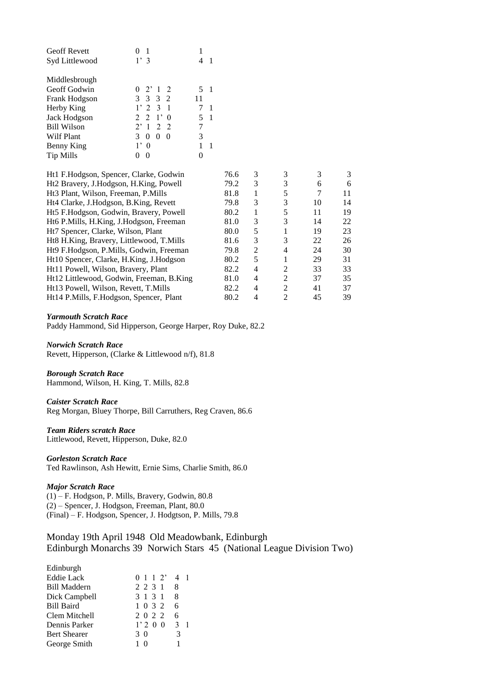| <b>Geoff Revett</b> |                  |    |  |
|---------------------|------------------|----|--|
| Syd Littlewood      | 1'3              |    |  |
|                     |                  |    |  |
| Middlesbrough       |                  |    |  |
| Geoff Godwin        | $0 \t2' 1 \t2$   | 5  |  |
| Frank Hodgson       | 3 3 3 2          | 11 |  |
| Herby King          | $1'$ 2 3 1       |    |  |
| Jack Hodgson        | $2 \t2 \t1' \t0$ | 5  |  |
| <b>Bill Wilson</b>  | 2'122            |    |  |
| Wilf Plant          | 3<br>0<br>0<br>0 | 3  |  |
| Benny King          | $\Omega$         |    |  |
| Tip Mills           |                  |    |  |

| Ht1 F.Hodgson, Spencer, Clarke, Godwin          | 76.6 | 3 | 3                           |    | 3  |
|-------------------------------------------------|------|---|-----------------------------|----|----|
| Ht2 Bravery, J.Hodgson, H.King, Powell          | 79.2 | 3 | 3                           | 6  | 6  |
| Ht <sub>3</sub> Plant, Wilson, Freeman, P.Mills | 81.8 |   | 5                           | 7  | 11 |
| Ht4 Clarke, J.Hodgson, B.King, Revett           | 79.8 | 3 | 3                           | 10 | 14 |
| Ht5 F.Hodgson, Godwin, Bravery, Powell          | 80.2 |   | 5                           | 11 | 19 |
| Ht6 P.Mills, H.King, J.Hodgson, Freeman         | 81.0 | 3 | 3                           | 14 | 22 |
| Ht7 Spencer, Clarke, Wilson, Plant              | 80.0 | 5 |                             | 19 | 23 |
| Ht8 H.King, Bravery, Littlewood, T.Mills        | 81.6 | 3 | 3                           | 22 | 26 |
| Ht9 F.Hodgson, P.Mills, Godwin, Freeman         | 79.8 | 2 | 4                           | 24 | 30 |
| Ht10 Spencer, Clarke, H.King, J.Hodgson         | 80.2 | 5 |                             | 29 | 31 |
| Ht11 Powell, Wilson, Bravery, Plant             | 82.2 | 4 | $\mathfrak{D}$              | 33 | 33 |
| Ht12 Littlewood, Godwin, Freeman, B.King        | 81.0 | 4 | $\overline{2}$              | 37 | 35 |
| Ht13 Powell, Wilson, Revett, T.Mills            | 82.2 | 4 | $\mathfrak{D}$              | 41 | 37 |
| Ht14 P.Mills, F.Hodgson, Spencer, Plant         | 80.2 | 4 | $\mathcal{D}_{\mathcal{A}}$ | 45 | 39 |

#### *Yarmouth Scratch Race*

Paddy Hammond, Sid Hipperson, George Harper, Roy Duke, 82.2

*Norwich Scratch Race* Revett, Hipperson, (Clarke & Littlewood n/f), 81.8

## *Borough Scratch Race*

Hammond, Wilson, H. King, T. Mills, 82.8

## *Caister Scratch Race*

Reg Morgan, Bluey Thorpe, Bill Carruthers, Reg Craven, 86.6

## *Team Riders scratch Race*

Littlewood, Revett, Hipperson, Duke, 82.0

## *Gorleston Scratch Race*

Ted Rawlinson, Ash Hewitt, Ernie Sims, Charlie Smith, 86.0

## *Major Scratch Race*

(1) – F. Hodgson, P. Mills, Bravery, Godwin, 80.8 (2) – Spencer, J. Hodgson, Freeman, Plant, 80.0 (Final) – F. Hodgson, Spencer, J. Hodgtson, P. Mills, 79.8

# Monday 19th April 1948 Old Meadowbank, Edinburgh Edinburgh Monarchs 39 Norwich Stars 45 (National League Division Two)

| Edinburgh           |                               |   |
|---------------------|-------------------------------|---|
| <b>Eddie Lack</b>   | $0 \; 1 \; 1 \; 2' \; 4 \; 1$ |   |
| <b>Bill Maddern</b> | 2 2 3 1 8                     |   |
| Dick Campbell       | 3 1 3 1 8                     |   |
| <b>Bill Baird</b>   | 1 0 3 2                       | 6 |
| Clem Mitchell       | 2 0 2 2 6                     |   |
| Dennis Parker       | 1'20031                       |   |
| <b>Bert Shearer</b> | 3 O                           | 3 |
| George Smith        | 10                            | 1 |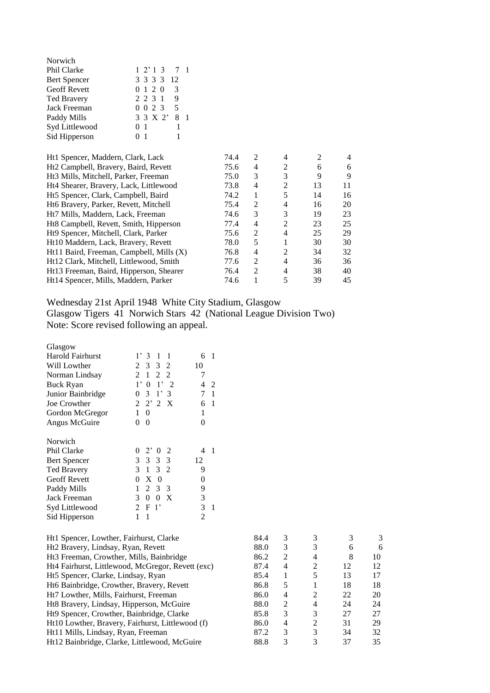| Norwich                                  |                      |      |                |                |    |    |
|------------------------------------------|----------------------|------|----------------|----------------|----|----|
| Phil Clarke                              | 2'13<br>7<br>-1      |      |                |                |    |    |
| <b>Bert Spencer</b>                      | 3 3 3 3<br>12        |      |                |                |    |    |
| Geoff Revett                             | 3<br>1 2 0<br>0      |      |                |                |    |    |
| <b>Ted Bravery</b>                       | 9<br>2 2 3 1         |      |                |                |    |    |
| Jack Freeman                             | 5<br>0 0 2 3         |      |                |                |    |    |
| Paddy Mills                              | 3 3 X 2'<br>8<br>- 1 |      |                |                |    |    |
| Syd Littlewood                           | 1<br>0 1             |      |                |                |    |    |
| Sid Hipperson                            | 1<br>0 <sub>1</sub>  |      |                |                |    |    |
|                                          |                      |      |                |                |    |    |
| Ht1 Spencer, Maddern, Clark, Lack        |                      | 74.4 | 2              | 4              | 2  | 4  |
| Ht2 Campbell, Bravery, Baird, Revett     |                      | 75.6 | 4              | $\overline{c}$ | 6  | 6  |
| Ht3 Mills, Mitchell, Parker, Freeman     |                      | 75.0 | 3              | 3              | 9  | 9  |
| Ht4 Shearer, Bravery, Lack, Littlewood   |                      | 73.8 | 4              | $\overline{c}$ | 13 | 11 |
| Ht5 Spencer, Clark, Campbell, Baird      |                      | 74.2 | 1              | 5              | 14 | 16 |
| Ht6 Bravery, Parker, Revett, Mitchell    |                      | 75.4 | 2              | 4              | 16 | 20 |
| Ht7 Mills, Maddern, Lack, Freeman        |                      | 74.6 | 3              | 3              | 19 | 23 |
| Ht8 Campbell, Revett, Smith, Hipperson   |                      | 77.4 | 4              | 2              | 23 | 25 |
| Ht9 Spencer, Mitchell, Clark, Parker     |                      | 75.6 | 2              | 4              | 25 | 29 |
| Ht10 Maddern, Lack, Bravery, Revett      |                      | 78.0 | 5              | 1              | 30 | 30 |
| Ht11 Baird, Freeman, Campbell, Mills (X) |                      | 76.8 | 4              | 2              | 34 | 32 |
| Ht12 Clark, Mitchell, Littlewood, Smith  |                      | 77.6 | $\overline{2}$ | 4              | 36 | 36 |
| Ht13 Freeman, Baird, Hipperson, Shearer  |                      | 76.4 | $\overline{c}$ | $\overline{4}$ | 38 | 40 |
| Ht14 Spencer, Mills, Maddern, Parker     |                      | 74.6 | 1              | 5              | 39 | 45 |

Wednesday 21st April 1948 White City Stadium, Glasgow Glasgow Tigers 41 Norwich Stars 42 (National League Division Two) Note: Score revised following an appeal.

| Glasgow                 |                                                   |                |
|-------------------------|---------------------------------------------------|----------------|
| <b>Harold Fairhurst</b> | $1^{\circ}$<br>$\overline{1}$<br>3<br>1           | 6<br>1         |
| Will Lowther            | $3 \t3 \t2$<br>2                                  | 10             |
| Norman Lindsay          | 2 2<br>$\mathfrak{D}$<br>$\mathbf{1}$             | 7              |
| <b>Buck Ryan</b>        | $1^{\circ}$<br>$1^{\circ}$<br>0<br>$\overline{2}$ | 4<br>2         |
| Junior Bainbridge       | 0<br>3<br>1'3                                     | 7<br>1         |
| Joe Crowther            | 2<br>$2'$ 2 X                                     | 6<br>1         |
| Gordon McGregor         | 1<br>$\overline{0}$                               | 1              |
| Angus McGuire           | 0<br>$\theta$                                     | 0              |
| Norwich                 |                                                   |                |
| Phil Clarke             | $2^{\circ}$<br>-2<br>0<br>$\theta$                | 4<br>1         |
| <b>Bert Spencer</b>     | 3 3 3 3                                           | 12             |
| <b>Ted Bravery</b>      | 3<br>3 2<br>$\mathbf{1}$                          | 9              |
| <b>Geoff Revett</b>     | X<br>0<br>$\overline{0}$                          | 0              |
| Paddy Mills             | 1<br>2<br>3<br>- 3                                | 9              |
| Jack Freeman            | $\theta$<br>X<br>3<br>0                           | 3              |
| Syd Littlewood          | 2<br>F<br>$\mathbf{1}$                            | 3<br>1         |
| Sid Hipperson           | 1<br>1                                            | $\overline{c}$ |

|                                                      | 84.4 | 3              |                             |    | 3  |
|------------------------------------------------------|------|----------------|-----------------------------|----|----|
| Ht1 Spencer, Lowther, Fairhurst, Clarke              |      |                |                             |    |    |
| Ht2 Bravery, Lindsay, Ryan, Revett                   | 88.0 | 3              | 3                           | 6  | 6  |
| Ht <sub>3</sub> Freeman, Crowther, Mills, Bainbridge | 86.2 | $\mathfrak{D}$ | 4                           | 8  | 10 |
| Ht4 Fairhurst, Littlewood, McGregor, Revett (exc)    | 87.4 | 4              | 2                           | 12 | 12 |
| Ht5 Spencer, Clarke, Lindsay, Ryan                   | 85.4 |                | 5                           | 13 | 17 |
| Ht6 Bainbridge, Crowther, Bravery, Revett            | 86.8 | 5              |                             | 18 | 18 |
| Ht7 Lowther, Mills, Fairhurst, Freeman               | 86.0 | 4              | 2                           | 22 | 20 |
| Ht8 Bravery, Lindsay, Hipperson, McGuire             | 88.0 | 2              | 4                           | 24 | 24 |
| Ht9 Spencer, Crowther, Bainbridge, Clarke            | 85.8 | 3              | 3                           | 27 | 27 |
| Ht10 Lowther, Bravery, Fairhurst, Littlewood (f)     | 86.0 | 4              | $\mathcal{D}_{\mathcal{L}}$ | 31 | 29 |
| Ht11 Mills, Lindsay, Ryan, Freeman                   | 87.2 | 3              | 3                           | 34 | 32 |
| Ht12 Bainbridge, Clarke, Littlewood, McGuire         | 88.8 |                |                             | 37 | 35 |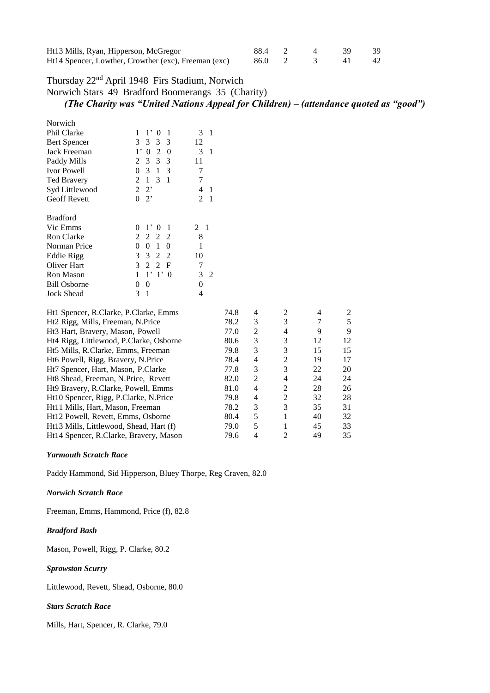| Ht13 Mills, Ryan, Hipperson, McGregor                | 88.4 2 |  |           | - 39 |
|------------------------------------------------------|--------|--|-----------|------|
| Ht14 Spencer, Lowther, Crowther (exc), Freeman (exc) | 86.0 2 |  | $\sim$ 41 | - 42 |

# Thursday 22nd April 1948 Firs Stadium, Norwich

Norwich Stars 49 Bradford Boomerangs 35 (Charity)

# *(The Charity was "United Nations Appeal for Children) – (attendance quoted as "good")*

| Norwich             |                                         |          |
|---------------------|-----------------------------------------|----------|
| Phil Clarke         | $1^{\circ}$<br>1<br>1<br>$\theta$       | 3<br>1   |
| <b>Bert Spencer</b> | 3<br>3<br>3<br>3                        | 12       |
| Jack Freeman        | 2<br>$1^{\circ}$<br>0<br>0              | 3<br>1   |
| Paddy Mills         | 3<br>3<br>3<br>2                        | 11       |
| Ivor Powell         | 3<br>0<br>1<br>3                        | 7        |
| <b>Ted Bravery</b>  | 3<br>2<br>1<br>1                        | 7        |
| Syd Littlewood      | 2<br>$2^{\circ}$                        | 4        |
| <b>Geoff Revett</b> | 0<br>$2^{\circ}$                        | 2<br>1   |
| <b>Bradford</b>     |                                         |          |
| Vic Emms            | $1^{\circ}$<br>0<br>0                   | 2<br>-1  |
| <b>Ron Clarke</b>   | 2<br>2<br>2<br>2                        | 8        |
| Norman Price        | 0<br>0<br>1<br>0                        | 1        |
| Eddie Rigg          | 2<br>3<br>3<br>2                        | 10       |
| Oliver Hart         | 3<br>2<br>2<br>F                        | 7        |
| <b>Ron Mason</b>    | $\mathbf{1}$<br>1<br>$1^{\circ}$<br>- 0 | 3<br>2   |
| <b>Bill Osborne</b> | 0<br>0                                  | $\Omega$ |
| <b>Jock Shead</b>   | 1<br>3                                  | 4        |

| Ht1 Spencer, R.Clarke, P.Clarke, Emms   | 74.8 | 4             | 2 | 4  | 2  |
|-----------------------------------------|------|---------------|---|----|----|
| Ht2 Rigg, Mills, Freeman, N.Price       | 78.2 | 3             | 3 | 7  | 5  |
| Ht3 Hart, Bravery, Mason, Powell        | 77.0 | 2             | 4 | 9  | 9  |
| Ht4 Rigg, Littlewood, P.Clarke, Osborne | 80.6 | 3             | 3 | 12 | 12 |
| Ht5 Mills, R.Clarke, Emms, Freeman      | 79.8 | 3             | 3 | 15 | 15 |
| Ht6 Powell, Rigg, Bravery, N.Price      | 78.4 | 4             | 2 | 19 | 17 |
| Ht7 Spencer, Hart, Mason, P.Clarke      | 77.8 | 3             | 3 | 22 | 20 |
| Ht8 Shead, Freeman, N.Price, Revett     | 82.0 | $\mathcal{L}$ | 4 | 24 | 24 |
| Ht9 Bravery, R.Clarke, Powell, Emms     | 81.0 | 4             | 2 | 28 | 26 |
| Ht10 Spencer, Rigg, P.Clarke, N.Price   | 79.8 | 4             | 2 | 32 | 28 |
| Ht11 Mills, Hart, Mason, Freeman        | 78.2 | 3             | 3 | 35 | 31 |
| Ht12 Powell, Revett, Emms, Osborne      | 80.4 | 5             |   | 40 | 32 |
| Ht13 Mills, Littlewood, Shead, Hart (f) | 79.0 | 5             |   | 45 | 33 |
| Ht14 Spencer, R.Clarke, Bravery, Mason  | 79.6 | 4             | 2 | 49 | 35 |

## *Yarmouth Scratch Race*

Paddy Hammond, Sid Hipperson, Bluey Thorpe, Reg Craven, 82.0

## *Norwich Scratch Race*

Freeman, Emms, Hammond, Price (f), 82.8

#### *Bradford Bash*

Mason, Powell, Rigg, P. Clarke, 80.2

## *Sprowston Scurry*

Littlewood, Revett, Shead, Osborne, 80.0

#### *Stars Scratch Race*

Mills, Hart, Spencer, R. Clarke, 79.0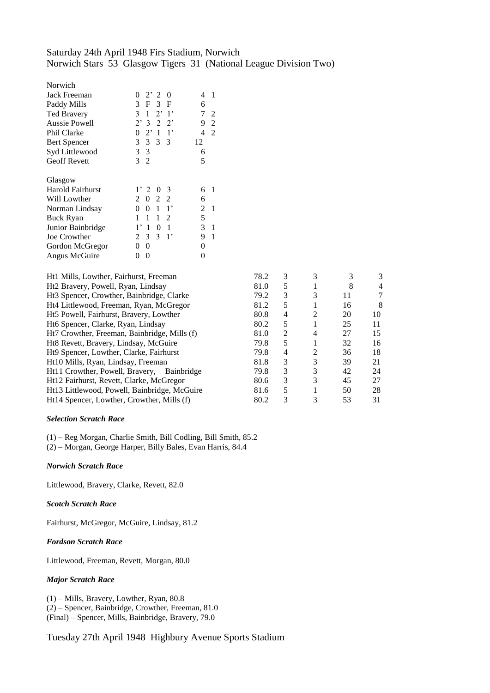# Saturday 24th April 1948 Firs Stadium, Norwich Norwich Stars 53 Glasgow Tigers 31 (National League Division Two)

| $2^{\prime}$ 2<br>- 0<br>0            | 1<br>4 |
|---------------------------------------|--------|
| F<br>3<br>3 F                         | 6      |
| $2^{\circ}$<br>3<br>$\lceil$<br>1     | 7<br>2 |
| $2^{\circ}$<br>2<br>$2^{\circ}$<br>3  | 9<br>2 |
| $2^{\circ}$<br>$\mathbf{1}$<br>1<br>0 | 2<br>4 |
| 3<br>3<br>3<br>- 3                    | 12     |
| 3 <sup>3</sup>                        | 6      |
| 3<br>$\overline{2}$                   | 5      |
|                                       |        |
|                                       |        |
| 2<br>0<br>3                           | 6<br>1 |
| 2<br>2<br>2<br>0                      | 6      |
| $1^{\circ}$<br>1<br>0<br>0            | 2<br>1 |
| 1<br>2<br>1<br>1                      | 5      |
| 0<br>1,<br>1<br>1                     | 3<br>1 |
| 3<br>3<br>$1^{\circ}$<br>2            | 9<br>1 |
| 0<br>0                                | 0      |
| 0<br>0                                | 0      |
|                                       |        |

| Ht1 Mills, Lowther, Fairhurst, Freeman       | 78.2 | 3 |   |    | 3  |
|----------------------------------------------|------|---|---|----|----|
| Ht2 Bravery, Powell, Ryan, Lindsay           | 81.0 | 5 |   | 8  | 4  |
| Ht3 Spencer, Crowther, Bainbridge, Clarke    | 79.2 | 3 | 3 | 11 |    |
| Ht4 Littlewood, Freeman, Ryan, McGregor      | 81.2 | 5 |   | 16 | 8  |
| Ht5 Powell, Fairhurst, Bravery, Lowther      | 80.8 | 4 | 2 | 20 | 10 |
| Ht6 Spencer, Clarke, Ryan, Lindsay           | 80.2 | 5 |   | 25 | 11 |
| Ht7 Crowther, Freeman, Bainbridge, Mills (f) | 81.0 | 2 | 4 | 27 | 15 |
| Ht8 Revett, Bravery, Lindsay, McGuire        | 79.8 | 5 |   | 32 | 16 |
| Ht9 Spencer, Lowther, Clarke, Fairhurst      | 79.8 | 4 | 2 | 36 | 18 |
| Ht10 Mills, Ryan, Lindsay, Freeman           | 81.8 | 3 | 3 | 39 | 21 |
| Ht11 Crowther, Powell, Bravery, Bainbridge   | 79.8 | 3 | 3 | 42 | 24 |
| Ht12 Fairhurst, Revett, Clarke, McGregor     | 80.6 | 3 | 3 | 45 | 27 |
| Ht13 Littlewood, Powell, Bainbridge, McGuire | 81.6 | 5 |   | 50 | 28 |
| Ht14 Spencer, Lowther, Crowther, Mills (f)   | 80.2 | 3 | 3 | 53 | 31 |
|                                              |      |   |   |    |    |

## *Selection Scratch Race*

(1) – Reg Morgan, Charlie Smith, Bill Codling, Bill Smith, 85.2

(2) – Morgan, George Harper, Billy Bales, Evan Harris, 84.4

## *Norwich Scratch Race*

Littlewood, Bravery, Clarke, Revett, 82.0

## *Scotch Scratch Race*

Fairhurst, McGregor, McGuire, Lindsay, 81.2

## *Fordson Scratch Race*

Littlewood, Freeman, Revett, Morgan, 80.0

## *Major Scratch Race*

(1) – Mills, Bravery, Lowther, Ryan, 80.8 (2) – Spencer, Bainbridge, Crowther, Freeman, 81.0 (Final) – Spencer, Mills, Bainbridge, Bravery, 79.0

Tuesday 27th April 1948 Highbury Avenue Sports Stadium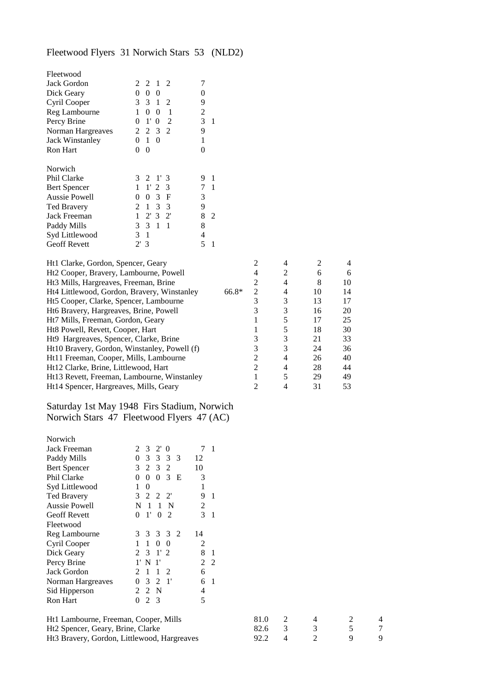# Fleetwood Flyers 31 Norwich Stars 53 (NLD2)

| Fleetwood                                                                             |                |                      |                  |                       |                  |                |         |                                |                     |                |          |   |  |
|---------------------------------------------------------------------------------------|----------------|----------------------|------------------|-----------------------|------------------|----------------|---------|--------------------------------|---------------------|----------------|----------|---|--|
| Jack Gordon                                                                           | 2              | 2                    | -1               | 2                     | 7                |                |         |                                |                     |                |          |   |  |
| Dick Geary                                                                            |                | $0\quad 0\quad 0$    |                  |                       | $\boldsymbol{0}$ |                |         |                                |                     |                |          |   |  |
| Cyril Cooper                                                                          |                | 3 3 1                |                  | 2                     | 9                |                |         |                                |                     |                |          |   |  |
| Reg Lambourne                                                                         |                | $1\quad 0\quad 0$    |                  | $\blacksquare$        | 2                |                |         |                                |                     |                |          |   |  |
| Percy Brine                                                                           |                | $0 \t1' 0$           |                  | <sup>2</sup>          | 3                | $\mathbf{1}$   |         |                                |                     |                |          |   |  |
| Norman Hargreaves                                                                     | 2              |                      | $2 \t3 \t2$      |                       | 9                |                |         |                                |                     |                |          |   |  |
| <b>Jack Winstanley</b>                                                                | $\overline{0}$ | 1 0                  |                  |                       | 1                |                |         |                                |                     |                |          |   |  |
| Ron Hart                                                                              | $0\quad 0$     |                      |                  |                       | 0                |                |         |                                |                     |                |          |   |  |
| Norwich                                                                               |                |                      |                  |                       |                  |                |         |                                |                     |                |          |   |  |
| Phil Clarke                                                                           |                | $3 \t2 \t1' \t3$     |                  |                       |                  | 9 1            |         |                                |                     |                |          |   |  |
| <b>Bert Spencer</b>                                                                   |                | $1 \quad 1' \quad 2$ |                  | 3                     |                  | 7 <sub>1</sub> |         |                                |                     |                |          |   |  |
| <b>Aussie Powell</b>                                                                  |                | $0 \t0 \t3 \tF$      |                  |                       | 3                |                |         |                                |                     |                |          |   |  |
| <b>Ted Bravery</b>                                                                    |                | 2 1 3 3              |                  |                       | 9                |                |         |                                |                     |                |          |   |  |
| Jack Freeman                                                                          |                | $1 \t2' 3 \t2'$      |                  |                       |                  | 8 2            |         |                                |                     |                |          |   |  |
| Paddy Mills                                                                           | 3              | $3 \t1 \t1$          |                  |                       | 8                |                |         |                                |                     |                |          |   |  |
| Syd Littlewood                                                                        | 3 <sub>1</sub> |                      |                  |                       | $\overline{4}$   |                |         |                                |                     |                |          |   |  |
| <b>Geoff Revett</b>                                                                   | 2'3            |                      |                  |                       | 5 <sup>5</sup>   | -1             |         |                                |                     |                |          |   |  |
| Ht1 Clarke, Gordon, Spencer, Geary                                                    |                |                      |                  |                       |                  |                |         | 2                              | 4                   | 2              | 4        |   |  |
| Ht2 Cooper, Bravery, Lambourne, Powell                                                |                |                      |                  |                       |                  |                |         | 4                              | $\overline{c}$      | 6              |          |   |  |
|                                                                                       |                |                      |                  |                       |                  |                |         |                                | $\overline{4}$      |                | 6        |   |  |
| Ht3 Mills, Hargreaves, Freeman, Brine                                                 |                |                      |                  |                       |                  |                | $66.8*$ | $\boldsymbol{2}$<br>$\sqrt{2}$ |                     | 8              | 10       |   |  |
| Ht4 Littlewood, Gordon, Bravery, Winstanley                                           |                |                      |                  |                       |                  |                |         |                                | 4                   | 10             | 14       |   |  |
| Ht5 Cooper, Clarke, Spencer, Lambourne                                                |                |                      |                  |                       |                  |                |         | $\mathfrak 3$                  | 3                   | 13             | 17       |   |  |
| Ht6 Bravery, Hargreaves, Brine, Powell                                                |                |                      |                  |                       |                  |                |         | $\mathfrak{Z}$                 | 3                   | 16             | 20       |   |  |
| Ht7 Mills, Freeman, Gordon, Geary                                                     |                |                      |                  |                       |                  |                |         | 1                              | 5                   | 17             | 25       |   |  |
| Ht8 Powell, Revett, Cooper, Hart                                                      |                |                      |                  |                       |                  |                |         | $\mathbf{1}$                   | 5                   | 18             | 30       |   |  |
| Ht9 Hargreaves, Spencer, Clarke, Brine                                                |                |                      |                  |                       |                  |                |         | 3                              | 3                   | 21             | 33       |   |  |
| Ht10 Bravery, Gordon, Winstanley, Powell (f)                                          |                |                      |                  |                       |                  |                |         | 3                              | 3                   | 24             | 36       |   |  |
| Ht11 Freeman, Cooper, Mills, Lambourne                                                |                |                      |                  |                       |                  |                |         | $\boldsymbol{2}$               | 4                   | 26             | 40       |   |  |
| Ht12 Clarke, Brine, Littlewood, Hart                                                  |                |                      |                  |                       |                  |                |         | $\mathbf{2}$                   | 4                   | 28             | 44       |   |  |
| Ht13 Revett, Freeman, Lambourne, Winstanley<br>Ht14 Spencer, Hargreaves, Mills, Geary |                |                      |                  |                       |                  |                |         | $\mathbf{1}$<br>$\overline{2}$ | 5<br>$\overline{4}$ | 29<br>31       | 49<br>53 |   |  |
|                                                                                       |                |                      |                  |                       |                  |                |         |                                |                     |                |          |   |  |
| Saturday 1st May 1948 Firs Stadium, Norwich                                           |                |                      |                  |                       |                  |                |         |                                |                     |                |          |   |  |
| Norwich Stars 47 Fleetwood Flyers 47 (AC)                                             |                |                      |                  |                       |                  |                |         |                                |                     |                |          |   |  |
|                                                                                       |                |                      |                  |                       |                  |                |         |                                |                     |                |          |   |  |
| Norwich                                                                               |                |                      |                  |                       |                  |                |         |                                |                     |                |          |   |  |
| Jack Freeman                                                                          | 2              | 3                    | $2'$ 0           |                       |                  | 7 <sub>1</sub> |         |                                |                     |                |          |   |  |
| Paddy Mills                                                                           | $\mathbf{0}$   | $3 \quad 3$          |                  | 3<br>$\overline{3}$   | 12               |                |         |                                |                     |                |          |   |  |
| <b>Bert Spencer</b>                                                                   |                | 3 2 3                |                  | $\overline{2}$        | 10               |                |         |                                |                     |                |          |   |  |
| Phil Clarke                                                                           |                |                      |                  | $0 \t0 \t0 \t3 \tE$   | 3                |                |         |                                |                     |                |          |   |  |
| Syd Littlewood                                                                        | 1              | $\mathbf{0}$         |                  |                       | 1                |                |         |                                |                     |                |          |   |  |
| <b>Ted Bravery</b>                                                                    | 3              | 2                    | 2                | $2^{\prime}$          | 9                | $\overline{1}$ |         |                                |                     |                |          |   |  |
| <b>Aussie Powell</b>                                                                  | N              | -1                   |                  | 1 N                   | 2                |                |         |                                |                     |                |          |   |  |
| <b>Geoff Revett</b>                                                                   | 0              |                      | 1' 0 2           |                       |                  | 3 <sub>1</sub> |         |                                |                     |                |          |   |  |
| Fleetwood                                                                             |                |                      |                  |                       |                  |                |         |                                |                     |                |          |   |  |
| Reg Lambourne                                                                         | 3              | 3                    | 3                | <sup>2</sup><br>3     | 14               |                |         |                                |                     |                |          |   |  |
| Cyril Cooper                                                                          | 1              | $\mathbf{1}$         | $\boldsymbol{0}$ | $\boldsymbol{0}$      | 2                |                |         |                                |                     |                |          |   |  |
| Dick Geary                                                                            | 2              | 3                    | 1' 2             |                       | 8                | $\mathbf{1}$   |         |                                |                     |                |          |   |  |
| Percy Brine                                                                           |                | 1' N 1'              |                  |                       | $\overline{2}$   | 2              |         |                                |                     |                |          |   |  |
| Jack Gordon                                                                           | 2              | $\mathbf{1}$         | $\mathbf{1}$     | 2                     | 6                |                |         |                                |                     |                |          |   |  |
| Norman Hargreaves                                                                     | $\mathbf{0}$   | 3                    | 2                | $\mathbf{1}^{\prime}$ | 6                | - 1            |         |                                |                     |                |          |   |  |
| Sid Hipperson                                                                         |                | 2 2 N                |                  |                       | 4                |                |         |                                |                     |                |          |   |  |
| Ron Hart                                                                              | 0              | 2 3                  |                  |                       | 5                |                |         |                                |                     |                |          |   |  |
| Ht1 Lambourne, Freeman, Cooper, Mills                                                 |                |                      |                  |                       |                  |                |         | 81.0                           | 2                   | 4              | 2        | 4 |  |
| Ht2 Spencer, Geary, Brine, Clarke                                                     |                |                      |                  |                       |                  |                |         | 82.6                           | 3                   | 3              | 5        | 7 |  |
| Ht3 Bravery, Gordon, Littlewood, Hargreaves                                           |                |                      |                  |                       |                  |                |         | 92.2                           | 4                   | $\overline{2}$ | 9        | 9 |  |
|                                                                                       |                |                      |                  |                       |                  |                |         |                                |                     |                |          |   |  |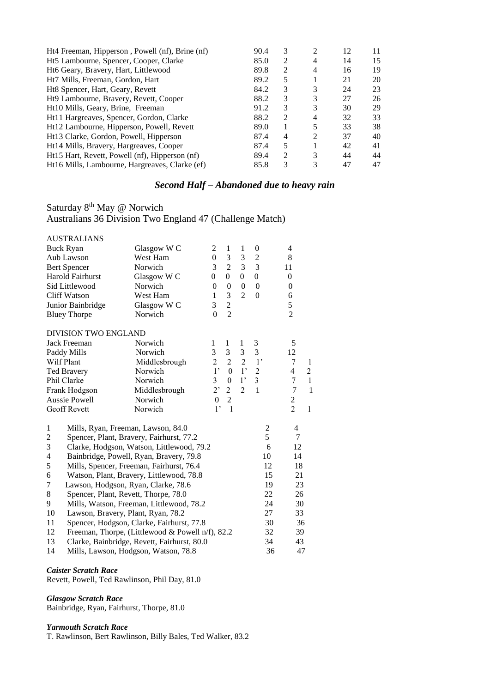| Ht4 Freeman, Hipperson, Powell (nf), Brine (nf) | 90.4 | 3              | 2 | 12 | 11 |
|-------------------------------------------------|------|----------------|---|----|----|
| Ht5 Lambourne, Spencer, Cooper, Clarke          | 85.0 | 2              | 4 | 14 | 15 |
| Ht6 Geary, Bravery, Hart, Littlewood            | 89.8 | $\mathfrak{D}$ | 4 | 16 | 19 |
| Ht7 Mills, Freeman, Gordon, Hart                | 89.2 | 5              |   | 21 | 20 |
| Ht8 Spencer, Hart, Geary, Revett                | 84.2 | 3              | 3 | 24 | 23 |
| Ht9 Lambourne, Bravery, Revett, Cooper          | 88.2 | 3              | 3 | 27 | 26 |
| Ht10 Mills, Geary, Brine, Freeman               | 91.2 | 3              | 3 | 30 | 29 |
| Ht11 Hargreaves, Spencer, Gordon, Clarke        | 88.2 | $\mathfrak{D}$ | 4 | 32 | 33 |
| Ht12 Lambourne, Hipperson, Powell, Revett       | 89.0 |                |   | 33 | 38 |
| Ht13 Clarke, Gordon, Powell, Hipperson          | 87.4 | 4              | 2 | 37 | 40 |
| Ht14 Mills, Bravery, Hargreaves, Cooper         | 87.4 | 5              |   | 42 | 41 |
| Ht15 Hart, Revett, Powell (nf), Hipperson (nf)  | 89.4 | 2              | 3 | 44 | 44 |
| Ht16 Mills, Lambourne, Hargreaves, Clarke (ef)  | 85.8 | 3              | 3 | 47 | 47 |
|                                                 |      |                |   |    |    |

# *Second Half – Abandoned due to heavy rain*

# Saturday 8<sup>th</sup> May @ Norwich

Australians 36 Division Two England 47 (Challenge Match)

| <b>AUSTRALIANS</b>                                         |                                                  |                |                  |                |                  |                         |                |  |
|------------------------------------------------------------|--------------------------------------------------|----------------|------------------|----------------|------------------|-------------------------|----------------|--|
| <b>Buck Ryan</b>                                           | Glasgow W C                                      | 2              | 1                | 1              | 0                | 4                       |                |  |
| Aub Lawson                                                 | West Ham                                         | $\overline{0}$ | 3                | $\mathfrak{Z}$ | $\overline{c}$   | 8                       |                |  |
| <b>Bert Spencer</b>                                        | Norwich                                          | 3              | $\overline{c}$   | 3              | $\overline{3}$   | 11                      |                |  |
| <b>Harold Fairhurst</b>                                    | Glasgow W C                                      | $\Omega$       | $\Omega$         | $\Omega$       | $\boldsymbol{0}$ | $\overline{0}$          |                |  |
| Sid Littlewood                                             | Norwich                                          | $\Omega$       | $\mathbf{0}$     | $\mathbf{0}$   | $\Omega$         | $\boldsymbol{0}$        |                |  |
| <b>Cliff Watson</b>                                        | West Ham                                         | 1              | 3                | $\overline{2}$ | $\theta$         | 6                       |                |  |
| Junior Bainbridge                                          | Glasgow W C                                      | 3              | $\overline{c}$   |                |                  | 5                       |                |  |
| <b>Bluey Thorpe</b>                                        | Norwich                                          | $\theta$       | $\overline{2}$   |                |                  | $\overline{c}$          |                |  |
| <b>DIVISION TWO ENGLAND</b>                                |                                                  |                |                  |                |                  |                         |                |  |
| <b>Jack Freeman</b>                                        | Norwich                                          | 1              | 1                | 1              | 3                | 5                       |                |  |
| Paddy Mills                                                | Norwich                                          | 3              | 3                | $\mathfrak{Z}$ | $\mathfrak{Z}$   | 12                      |                |  |
| Wilf Plant                                                 | Middlesbrough                                    | $\overline{c}$ | $\overline{2}$   | $\overline{2}$ | $1^{\prime}$     | 7                       | $\mathbf{1}$   |  |
| <b>Ted Bravery</b>                                         | Norwich                                          | 1 <sup>1</sup> | $\boldsymbol{0}$ | $1^{\circ}$    | $\overline{2}$   | $\overline{\mathbf{4}}$ | $\overline{c}$ |  |
| Phil Clarke                                                | Norwich                                          | $\overline{3}$ | $\boldsymbol{0}$ | 1 <sup>2</sup> | $\overline{3}$   | 7                       | $\mathbf{1}$   |  |
| Frank Hodgson                                              | Middlesbrough                                    | 2              | $\sqrt{2}$       | $\overline{2}$ | $\mathbf{1}$     | $\overline{7}$          | $\mathbf{1}$   |  |
| Aussie Powell                                              | Norwich                                          | $\Omega$       | $\overline{2}$   |                |                  | $\overline{c}$          |                |  |
| <b>Geoff Revett</b>                                        | Norwich                                          | $1$ '          | $\mathbf{1}$     |                |                  | $\overline{2}$          | $\mathbf{1}$   |  |
| $\mathbf{1}$<br>Mills, Ryan, Freeman, Lawson, 84.0         |                                                  |                |                  |                | $\mathfrak{2}$   | $\overline{4}$          |                |  |
| Spencer, Plant, Bravery, Fairhurst, 77.2<br>$\overline{c}$ |                                                  |                |                  |                | 5                | 7                       |                |  |
| 3                                                          | Clarke, Hodgson, Watson, Littlewood, 79.2        |                |                  |                | 6                | 12                      |                |  |
| $\overline{\mathcal{L}}$                                   | Bainbridge, Powell, Ryan, Bravery, 79.8          |                |                  |                | 10               | 14                      |                |  |
| 5                                                          | Mills, Spencer, Freeman, Fairhurst, 76.4         |                |                  |                | 12               | 18                      |                |  |
| 6                                                          | Watson, Plant, Bravery, Littlewood, 78.8         |                |                  |                | 15               | 21                      |                |  |
| $\boldsymbol{7}$<br>Lawson, Hodgson, Ryan, Clarke, 78.6    |                                                  |                |                  |                | 19               | 23                      |                |  |
| $\,8\,$<br>Spencer, Plant, Revett, Thorpe, 78.0            |                                                  |                |                  |                | 22               | 26                      |                |  |
| 9                                                          | Mills, Watson, Freeman, Littlewood, 78.2         |                |                  |                | 24               | 30                      |                |  |
| 10<br>Lawson, Bravery, Plant, Ryan, 78.2                   |                                                  |                |                  |                | 27               | 33                      |                |  |
| 11                                                         | Spencer, Hodgson, Clarke, Fairhurst, 77.8        |                |                  |                | 30               | 36                      |                |  |
| 12                                                         | Freeman, Thorpe, (Littlewood & Powell n/f), 82.2 |                |                  |                | 32               | 39                      |                |  |
| 13                                                         | Clarke, Bainbridge, Revett, Fairhurst, 80.0      |                |                  |                | 34               | 43<br>47                |                |  |
| 14                                                         | 36<br>Mills, Lawson, Hodgson, Watson, 78.8       |                |                  |                |                  |                         |                |  |

#### *Caister Scratch Race*

Revett, Powell, Ted Rawlinson, Phil Day, 81.0

## *Glasgow Scratch Race*

Bainbridge, Ryan, Fairhurst, Thorpe, 81.0

## *Yarmouth Scratch Race*

T. Rawlinson, Bert Rawlinson, Billy Bales, Ted Walker, 83.2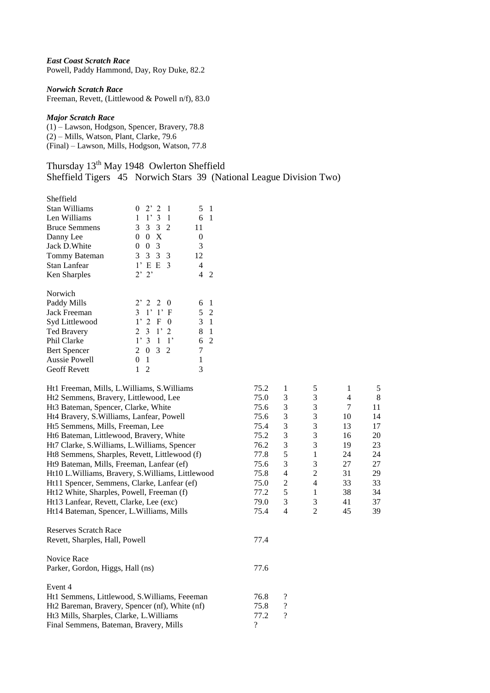*East Coast Scratch Race* Powell, Paddy Hammond, Day, Roy Duke, 82.2

*Norwich Scratch Race*

Freeman, Revett, (Littlewood & Powell n/f), 83.0

## *Major Scratch Race*

(1) – Lawson, Hodgson, Spencer, Bravery, 78.8 (2) – Mills, Watson, Plant, Clarke, 79.6 (Final) – Lawson, Mills, Hodgson, Watson, 77.8

| Thursday 13 <sup>th</sup> May 1948 Owlerton Sheffield |  |                                                                     |  |
|-------------------------------------------------------|--|---------------------------------------------------------------------|--|
|                                                       |  | Sheffield Tigers 45 Norwich Stars 39 (National League Division Two) |  |

| Sheffield                                          |                                  |                     |                    |                          |                |                |    |
|----------------------------------------------------|----------------------------------|---------------------|--------------------|--------------------------|----------------|----------------|----|
| Stan Williams                                      | $2'$ 2<br>- 1<br>$\theta$        | 5 <sub>1</sub>      |                    |                          |                |                |    |
| Len Williams                                       | $1 \t1' 3 \t1$                   | 6 1                 |                    |                          |                |                |    |
| <b>Bruce Semmens</b>                               | 3 3 2<br>3                       | 11                  |                    |                          |                |                |    |
| Danny Lee                                          | $0 \t0 X$                        | $\boldsymbol{0}$    |                    |                          |                |                |    |
| Jack D. White                                      | 0 <sub>3</sub><br>$\overline{0}$ | 3                   |                    |                          |                |                |    |
| Tommy Bateman                                      | 3 3 3 3                          | 12                  |                    |                          |                |                |    |
| Stan Lanfear                                       | 1' E E 3                         | $\overline{4}$      |                    |                          |                |                |    |
| Ken Sharples                                       | $2'$ $2'$                        | $4\quad2$           |                    |                          |                |                |    |
| Norwich                                            |                                  |                     |                    |                          |                |                |    |
| Paddy Mills                                        | 2' 2 2 0                         | 6<br>$\mathbf{1}$   |                    |                          |                |                |    |
| Jack Freeman                                       | $3 \t1' \t1' F$                  | 5 <sub>2</sub>      |                    |                          |                |                |    |
| Syd Littlewood                                     | 2 F 0<br>$1^{\circ}$             | 3 <sub>1</sub>      |                    |                          |                |                |    |
| Ted Bravery                                        | $3 \t1' 2$<br>2                  | 8<br>$\overline{1}$ |                    |                          |                |                |    |
| Phil Clarke                                        | 1' 3 1 1'                        | 6 <sub>2</sub>      |                    |                          |                |                |    |
| <b>Bert Spencer</b>                                | $2 \t0 \t3 \t2$                  | 7                   |                    |                          |                |                |    |
| Aussie Powell                                      | $\mathbf{1}$<br>0                | $\mathbf{1}$        |                    |                          |                |                |    |
| <b>Geoff Revett</b>                                | $\mathbf{1}$<br>2                | 3                   |                    |                          |                |                |    |
| Ht1 Freeman, Mills, L.Williams, S.Williams         |                                  |                     | 75.2               | $\mathbf{1}$             | 5              | $\mathbf{1}$   | 5  |
| Ht2 Semmens, Bravery, Littlewood, Lee              |                                  |                     | 75.0               | 3                        | $\mathfrak{Z}$ | $\overline{4}$ | 8  |
| Ht3 Bateman, Spencer, Clarke, White                |                                  |                     | 75.6               | 3                        | $\mathfrak{Z}$ | $\tau$         | 11 |
| Ht4 Bravery, S. Williams, Lanfear, Powell          |                                  |                     | 75.6               | 3                        | $\mathfrak{Z}$ | 10             | 14 |
| Ht5 Semmens, Mills, Freeman, Lee                   |                                  |                     | 75.4               | 3                        | $\mathfrak{Z}$ | 13             | 17 |
| Ht6 Bateman, Littlewood, Bravery, White            |                                  |                     | 75.2               | 3                        | 3              | 16             | 20 |
| Ht7 Clarke, S. Williams, L. Williams, Spencer      |                                  |                     | 76.2               | 3                        | 3              | 19             | 23 |
| Ht8 Semmens, Sharples, Revett, Littlewood (f)      |                                  |                     | 77.8               | 5                        | $\mathbf{1}$   | 24             | 24 |
| Ht9 Bateman, Mills, Freeman, Lanfear (ef)          |                                  |                     | 75.6               | 3                        | 3              | 27             | 27 |
| Ht10 L. Williams, Bravery, S. Williams, Littlewood |                                  |                     | 75.8               | $\overline{4}$           | $\overline{c}$ | 31             | 29 |
| Ht11 Spencer, Semmens, Clarke, Lanfear (ef)        |                                  |                     | 75.0               | $\overline{c}$           | $\overline{4}$ | 33             | 33 |
| Ht12 White, Sharples, Powell, Freeman (f)          |                                  |                     | 77.2               | 5                        | $\mathbf{1}$   | 38             | 34 |
| Ht13 Lanfear, Revett, Clarke, Lee (exc)            |                                  |                     | 79.0               | 3                        | 3              | 41             | 37 |
| Ht14 Bateman, Spencer, L.Williams, Mills           |                                  |                     | 75.4               | $\overline{4}$           | $\overline{2}$ | 45             | 39 |
| <b>Reserves Scratch Race</b>                       |                                  |                     |                    |                          |                |                |    |
| Revett, Sharples, Hall, Powell                     |                                  |                     | 77.4               |                          |                |                |    |
|                                                    |                                  |                     |                    |                          |                |                |    |
| Novice Race                                        |                                  |                     |                    |                          |                |                |    |
| Parker, Gordon, Higgs, Hall (ns)                   |                                  |                     | 77.6               |                          |                |                |    |
| Event 4                                            |                                  |                     |                    |                          |                |                |    |
| Ht1 Semmens, Littlewood, S. Williams, Feeeman      |                                  |                     | 76.8               | ?                        |                |                |    |
| Ht2 Bareman, Bravery, Spencer (nf), White (nf)     |                                  |                     | 75.8               | $\overline{\mathcal{C}}$ |                |                |    |
| Ht3 Mills, Sharples, Clarke, L.Williams            |                                  |                     | 77.2               | $\overline{\mathcal{L}}$ |                |                |    |
| Final Semmens, Bateman, Bravery, Mills             |                                  |                     | $\overline{\cdot}$ |                          |                |                |    |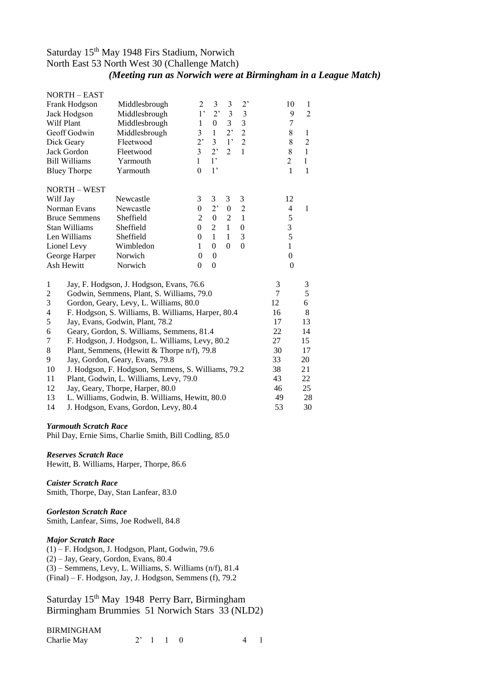# Saturday 15th May 1948 Firs Stadium, Norwich North East 53 North West 30 (Challenge Match) *(Meeting run as Norwich were at Birmingham in a League Match)*

|                | <b>NORTH - EAST</b>                   |                                                    |                |                  |                  |                  |    |                  |                |
|----------------|---------------------------------------|----------------------------------------------------|----------------|------------------|------------------|------------------|----|------------------|----------------|
|                | Frank Hodgson                         | Middlesbrough                                      | 2              | 3                | 3                | 2 <sup>2</sup>   |    | 10               | 1              |
|                | Jack Hodgson                          | Middlesbrough                                      | 1 <sup>2</sup> | 2'               | $\mathfrak z$    | $\mathfrak{Z}$   |    | 9                | $\overline{2}$ |
| Wilf Plant     |                                       | Middlesbrough                                      | $\mathbf{1}$   | $\overline{0}$   | $\overline{3}$   | $\overline{3}$   |    | $\tau$           |                |
|                | Geoff Godwin                          | Middlesbrough                                      | $\overline{3}$ | $\mathbf{1}$     | $2$ <sup>,</sup> | $\overline{c}$   |    | 8                | $\mathbf{1}$   |
|                | Dick Geary                            | Fleetwood                                          | 2,             | $\overline{3}$   | 1 <sup>2</sup>   | $\overline{2}$   |    | 8                | $\overline{2}$ |
|                | Jack Gordon                           | Fleetwood                                          | $\overline{3}$ | 2 <sup>1</sup>   | $\overline{2}$   | $\mathbf{1}$     |    | 8                | 1              |
|                | <b>Bill Williams</b>                  | Yarmouth                                           | $\mathbf{1}$   | $1^{\circ}$      |                  |                  |    | $\overline{2}$   | 1              |
|                | <b>Bluey Thorpe</b>                   | Yarmouth                                           | $\overline{0}$ | $1^{\circ}$      |                  |                  |    | $\mathbf{1}$     | $\mathbf{1}$   |
|                | <b>NORTH - WEST</b>                   |                                                    |                |                  |                  |                  |    |                  |                |
| Wilf Jay       |                                       | Newcastle                                          | 3              | 3                | 3                | 3                |    | 12               |                |
|                | Norman Evans                          | Newcastle                                          | $\theta$       | 2 <sup>2</sup>   | $\mathbf{0}$     | $\overline{2}$   |    | $\overline{4}$   | 1              |
|                | <b>Bruce Semmens</b>                  | Sheffield                                          | $\overline{c}$ | $\boldsymbol{0}$ | $\overline{2}$   | $\mathbf{1}$     |    | 5                |                |
|                | <b>Stan Williams</b>                  | Sheffield                                          | $\overline{0}$ | $\overline{2}$   | $\mathbf{1}$     | $\boldsymbol{0}$ |    | 3                |                |
|                | Len Williams                          | Sheffield                                          | $\Omega$       | $\mathbf{1}$     | $\mathbf{1}$     | 3                |    | 5                |                |
|                | Lionel Levy                           | Wimbledon                                          | $\mathbf{1}$   | $\Omega$         | $\theta$         | $\overline{0}$   |    | $\mathbf{1}$     |                |
|                | George Harper                         | Norwich                                            | $\theta$       | $\mathbf{0}$     |                  |                  |    | $\overline{0}$   |                |
|                | Ash Hewitt                            | Norwich                                            | $\theta$       | $\theta$         |                  |                  |    | $\boldsymbol{0}$ |                |
| $\mathbf{1}$   |                                       | Jay, F. Hodgson, J. Hodgson, Evans, 76.6           |                |                  |                  |                  | 3  |                  | 3              |
| $\mathfrak{2}$ |                                       | Godwin, Semmens, Plant, S. Williams, 79.0          |                |                  |                  |                  | 7  |                  | 5              |
| $\mathfrak 3$  |                                       | Gordon, Geary, Levy, L. Williams, 80.0             |                |                  |                  |                  | 12 |                  | 6              |
| 4              |                                       | F. Hodgson, S. Williams, B. Williams, Harper, 80.4 |                |                  |                  |                  | 16 |                  | $\,8\,$        |
| 5              |                                       | Jay, Evans, Godwin, Plant, 78.2                    |                |                  |                  |                  | 17 |                  | 13             |
| 6              |                                       | Geary, Gordon, S. Williams, Semmens, 81.4          |                |                  |                  |                  | 22 |                  | 14             |
| 7              |                                       | F. Hodgson, J. Hodgson, L. Williams, Levy, 80.2    |                |                  |                  |                  | 27 |                  | 15             |
| $\,8\,$        |                                       | Plant, Semmens, (Hewitt & Thorpe n/f), 79.8        |                |                  |                  |                  | 30 |                  | 17             |
| 9              | Jay, Gordon, Geary, Evans, 79.8       |                                                    |                |                  |                  |                  | 33 |                  | 20             |
| 10             |                                       | J. Hodgson, F. Hodgson, Semmens, S. Williams, 79.2 |                |                  |                  |                  | 38 |                  | 21             |
| 11             |                                       | Plant, Godwin, L. Williams, Levy, 79.0             |                |                  |                  |                  | 43 |                  | 22             |
| 12             |                                       | Jay, Geary, Thorpe, Harper, 80.0                   |                |                  |                  |                  | 46 |                  | 25             |
| 13             |                                       | L. Williams, Godwin, B. Williams, Hewitt, 80.0     |                |                  |                  |                  | 49 |                  | 28             |
| 14             | J. Hodgson, Evans, Gordon, Levy, 80.4 |                                                    |                |                  |                  |                  | 53 |                  | 30             |

#### *Yarmouth Scratch Race*

Phil Day, Ernie Sims, Charlie Smith, Bill Codling, 85.0

#### *Reserves Scratch Race*

Hewitt, B. Williams, Harper, Thorpe, 86.6

## *Caister Scratch Race*

Smith, Thorpe, Day, Stan Lanfear, 83.0

## *Gorleston Scratch Race*

Smith, Lanfear, Sims, Joe Rodwell, 84.8

#### *Major Scratch Race*

(1) – F. Hodgson, J. Hodgson, Plant, Godwin, 79.6  $(2)$  – Jay, Geary, Gordon, Evans, 80.4 (3) – Semmens, Levy, L. Williams, S. Williams (n/f), 81.4 (Final) – F. Hodgson, Jay, J. Hodgson, Semmens (f), 79.2

Saturday 15<sup>th</sup> May 1948 Perry Barr, Birmingham Birmingham Brummies 51 Norwich Stars 33 (NLD2)

# BIRMINGHAM

| $4 \quad 1$ |
|-------------|
|             |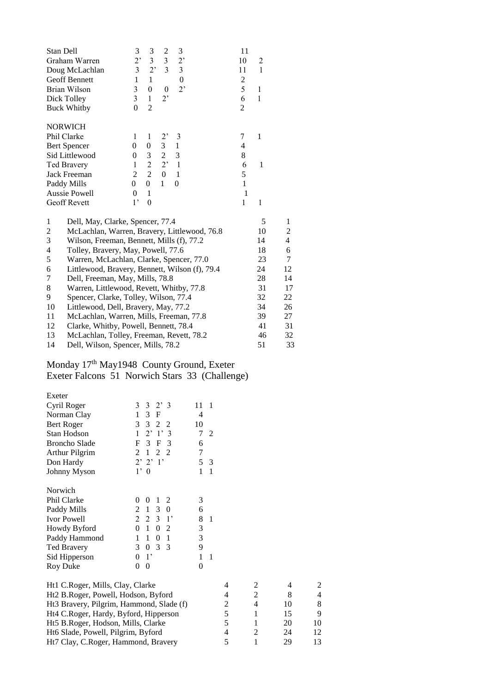| Stan Dell                                |                                                | 3                | 3                | $\overline{c}$          | 3                | 11             |              |                |
|------------------------------------------|------------------------------------------------|------------------|------------------|-------------------------|------------------|----------------|--------------|----------------|
|                                          | Graham Warren                                  | 2,               | $\overline{3}$   | $\overline{\mathbf{3}}$ | 2,               | 10             | 2            |                |
|                                          | Doug McLachlan                                 | 3                | 2,               | $\overline{3}$          | 3                | 11             | 1            |                |
|                                          | Geoff Bennett                                  | $\mathbf{1}$     | $\mathbf{1}$     |                         | $\boldsymbol{0}$ | $\overline{c}$ |              |                |
|                                          | Brian Wilson                                   | 3                | $\boldsymbol{0}$ | $\theta$                | 2,               | 5              | $\,1$        |                |
|                                          | Dick Tolley                                    | $\overline{3}$   | $\mathbf{1}$     | $2^,$                   |                  | 6              | $\mathbf{1}$ |                |
|                                          | <b>Buck Whitby</b>                             | $\theta$         | $\overline{2}$   |                         |                  | 2              |              |                |
|                                          | <b>NORWICH</b>                                 |                  |                  |                         |                  |                |              |                |
|                                          | Phil Clarke                                    | 1                | 1                | 2,                      | 3                | 7              | $\mathbf{1}$ |                |
|                                          | <b>Bert Spencer</b>                            | $\overline{0}$   | $\theta$         | 3                       | $\,1$            | 4              |              |                |
|                                          | Sid Littlewood                                 | $\overline{0}$   | 3                | $\overline{c}$          | 3                | 8              |              |                |
|                                          | Ted Bravery                                    | 1                | $\overline{2}$   | 2'                      | $\mathbf{1}$     | 6              | 1            |                |
|                                          | Jack Freeman                                   | $\overline{2}$   | $\overline{2}$   | $\boldsymbol{0}$        | 1                | 5              |              |                |
|                                          | Paddy Mills                                    | $\boldsymbol{0}$ | $\boldsymbol{0}$ | $\mathbf{1}$            | $\mathbf{0}$     | $\mathbf{1}$   |              |                |
|                                          | <b>Aussie Powell</b>                           | $\theta$         | 1                |                         |                  | $\mathbf{1}$   |              |                |
|                                          | Geoff Revett                                   | $1^{\circ}$      | $\theta$         |                         |                  | 1              | 1            |                |
| 1                                        | Dell, May, Clarke, Spencer, 77.4               |                  |                  |                         |                  |                | 5            | 1              |
| $\overline{\mathbf{c}}$                  | McLachlan, Warren, Bravery, Littlewood, 76.8   |                  |                  |                         |                  |                | 10           | $\mathfrak{2}$ |
| 3                                        | Wilson, Freeman, Bennett, Mills (f), 77.2      |                  |                  |                         |                  |                | 14           | $\overline{4}$ |
| 4                                        | Tolley, Bravery, May, Powell, 77.6             |                  |                  |                         |                  |                | 18           | 6              |
| 5                                        | Warren, McLachlan, Clarke, Spencer, 77.0       |                  |                  |                         |                  |                | 23           | 7              |
| 6                                        | Littlewood, Bravery, Bennett, Wilson (f), 79.4 |                  |                  |                         |                  |                | 24           | 12             |
| 7                                        | Dell, Freeman, May, Mills, 78.8                |                  |                  |                         |                  |                | 28           | 14             |
| 8                                        | Warren, Littlewood, Revett, Whitby, 77.8       |                  |                  |                         |                  |                | 31           | 17             |
| 9                                        | Spencer, Clarke, Tolley, Wilson, 77.4          |                  |                  |                         |                  |                | 32           | 22             |
| 10                                       | Littlewood, Dell, Bravery, May, 77.2           |                  |                  |                         |                  |                | 34           | 26             |
| 11                                       | McLachlan, Warren, Mills, Freeman, 77.8        |                  |                  |                         |                  |                | 39           | 27             |
| 12                                       | Clarke, Whitby, Powell, Bennett, 78.4          |                  |                  |                         |                  |                | 41           | 31             |
| 13                                       | McLachlan, Tolley, Freeman, Revett, 78.2       |                  |                  |                         |                  |                | 46           | 32             |
| Dell, Wilson, Spencer, Mills, 78.2<br>14 |                                                |                  |                  |                         |                  |                | 51           | 33             |

# Monday 17<sup>th</sup> May1948 County Ground, Exeter Exeter Falcons 51 Norwich Stars 33 (Challenge)

| Exeter                           |                                            |                |                |   |                |   |   |
|----------------------------------|--------------------------------------------|----------------|----------------|---|----------------|---|---|
| Cyril Roger                      | 3<br>$3 \t2' \t3$                          | 11             | $\overline{1}$ |   |                |   |   |
| Norman Clay                      | F<br>3                                     | 4              |                |   |                |   |   |
| <b>Bert Roger</b>                | 3 2 2<br>3                                 | 10             |                |   |                |   |   |
| Stan Hodson                      | $2^{\circ}$<br>1'3<br>1                    | 7              | $\mathfrak{D}$ |   |                |   |   |
| <b>Broncho Slade</b>             | 3<br>$\mathbf{F}$<br>F<br>3                | 6              |                |   |                |   |   |
| <b>Arthur Pilgrim</b>            | 2 2<br>$\mathfrak{D}$<br>1                 | 7              |                |   |                |   |   |
| Don Hardy                        | $2'$ $2'$ $1'$                             | 5              | 3              |   |                |   |   |
| Johnny Myson                     | $1'$ 0                                     | 1              | $\overline{1}$ |   |                |   |   |
| Norwich                          |                                            |                |                |   |                |   |   |
| Phil Clarke                      | $\Omega$<br>$\mathbf{1}$<br>2<br>$\Omega$  | 3              |                |   |                |   |   |
| Paddy Mills                      | 2<br>$\overline{1}$<br>3<br>$\overline{0}$ | 6              |                |   |                |   |   |
| <b>Ivor Powell</b>               | $2 \t2 \t3 \t1'$                           | 8              | $\mathbf{1}$   |   |                |   |   |
| Howdy Byford                     | $\mathbf{1}$<br>0<br>$\boldsymbol{0}$<br>2 | 3              |                |   |                |   |   |
| Paddy Hammond                    | 1<br>$\theta$<br>$\mathbf{1}$<br>1         | 3              |                |   |                |   |   |
| <b>Ted Bravery</b>               | 0 <sub>3</sub><br>-3<br>3                  | 9              |                |   |                |   |   |
| Sid Hipperson                    | $1^{\circ}$<br>0                           | 1              | 1              |   |                |   |   |
| Roy Duke                         | $\Omega$<br>0                              | $\overline{0}$ |                |   |                |   |   |
| Ht1 C.Roger, Mills, Clay, Clarke |                                            |                |                | 4 | $\mathfrak{D}$ | 4 | 2 |

| $\mu$ . $\mu$ . $\mu$ . $\mu$ . $\mu$ . $\mu$ . $\mu$ . $\mu$ . $\mu$ . $\mu$ . $\mu$ . $\mu$ . $\mu$ . $\mu$ . $\mu$ . $\mu$ . $\mu$ . $\mu$ . $\mu$ . $\mu$ . $\mu$ . $\mu$ . $\mu$ . $\mu$ . $\mu$ . $\mu$ . $\mu$ . $\mu$ . $\mu$ . $\mu$ . $\mu$ . $\mu$ . $\mu$ . $\mu$ . $\mu$ . $\mu$ . $\mu$ . |  |    |    |
|---------------------------------------------------------------------------------------------------------------------------------------------------------------------------------------------------------------------------------------------------------------------------------------------------------|--|----|----|
| Ht2 B.Roger, Powell, Hodson, Byford                                                                                                                                                                                                                                                                     |  |    |    |
| Ht <sub>3</sub> Bravery, Pilgrim, Hammond, Slade (f)                                                                                                                                                                                                                                                    |  | 10 | 8  |
| Ht4 C.Roger, Hardy, Byford, Hipperson                                                                                                                                                                                                                                                                   |  |    | 9  |
| Ht5 B.Roger, Hodson, Mills, Clarke                                                                                                                                                                                                                                                                      |  | 20 | 10 |
| Ht6 Slade, Powell, Pilgrim, Byford                                                                                                                                                                                                                                                                      |  | 24 | 12 |
| Ht7 Clay, C.Roger, Hammond, Bravery                                                                                                                                                                                                                                                                     |  | 29 | 13 |
|                                                                                                                                                                                                                                                                                                         |  |    |    |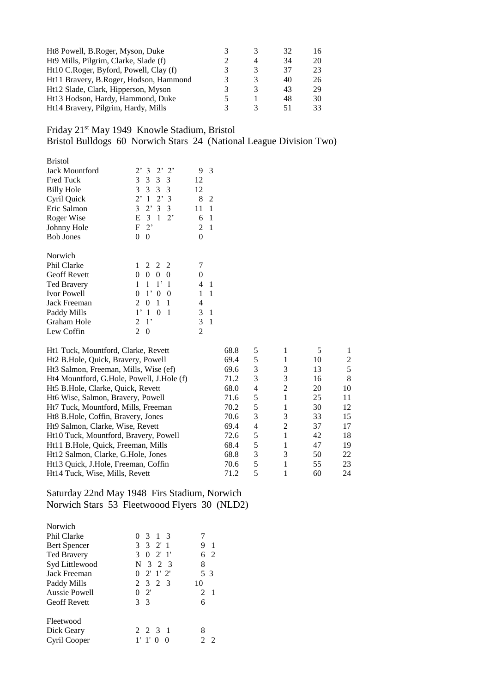| Ht8 Powell, B.Roger, Myson, Duke       |   | 32 | 16. |
|----------------------------------------|---|----|-----|
| Ht9 Mills, Pilgrim, Clarke, Slade (f)  | 4 | 34 | 20  |
| Ht10 C.Roger, Byford, Powell, Clay (f) | 3 | 37 | 23  |
| Ht11 Bravery, B.Roger, Hodson, Hammond | 3 | 40 | 26  |
| Ht12 Slade, Clark, Hipperson, Myson    | 3 | 43 | 29  |
| Ht13 Hodson, Hardy, Hammond, Duke      |   | 48 | 30  |
| Ht14 Bravery, Pilgrim, Hardy, Mills    |   |    | 33  |

Friday 21st May 1949 Knowle Stadium, Bristol

Bristol Bulldogs 60 Norwich Stars 24 (National League Division Two)

| 2' 2'<br>$2^{\circ}$<br>3                        | 9<br>3  |
|--------------------------------------------------|---------|
| 3<br>3 3 3                                       | 12      |
| 3<br>3 3<br>3                                    | 12      |
| $2^{\circ}$<br>2'<br>$\mathbf{1}$<br>3           | 8<br>2  |
| 2'33<br>3                                        | 11<br>1 |
| 3<br>$\mathbf{1}$<br>$2^{\circ}$<br>Е            | 1<br>6  |
| F<br>$2^{\circ}$                                 | 2<br>1  |
| 0<br>0                                           | 0       |
|                                                  |         |
| 2 2 2<br>1                                       |         |
| 0<br>0<br>0<br>0                                 | 0       |
| 1<br>1<br>$1^{\circ}$<br>1                       | 4<br>1  |
| $1^{\circ}$<br>0<br>$\boldsymbol{0}$<br>$\theta$ | 1<br>1  |
| 1<br>1<br>2<br>0                                 | 4       |
| $1^,$<br>1<br>$\theta$<br>1                      | 3<br>1  |
| $1^{\circ}$<br>2                                 | 3<br>1  |
| 2<br>0                                           | 2       |
|                                                  |         |

| 68.8 | 5 |                |    |    |
|------|---|----------------|----|----|
| 69.4 | 5 | 1              | 10 | 2  |
| 69.6 | 3 | 3              | 13 | 5  |
| 71.2 | 3 | 3              | 16 | 8  |
| 68.0 | 4 | 2              | 20 | 10 |
| 71.6 | 5 |                | 25 | 11 |
| 70.2 | 5 |                | 30 | 12 |
| 70.6 | 3 | 3              | 33 | 15 |
| 69.4 | 4 | $\mathfrak{D}$ | 37 | 17 |
| 72.6 | 5 |                | 42 | 18 |
| 68.4 | 5 |                | 47 | 19 |
| 68.8 | 3 | 3              | 50 | 22 |
| 70.6 | 5 |                | 55 | 23 |
| 71.2 | 5 |                | 60 | 24 |
|      |   |                |    |    |

# Saturday 22nd May 1948 Firs Stadium, Norwich Norwich Stars 53 Fleetwoood Flyers 30 (NLD2)

| Norwich             |                   |                |
|---------------------|-------------------|----------------|
| Phil Clarke         | 3 1 3<br>$\Omega$ |                |
| <b>Bert Spencer</b> | 3 3 2 1           | 9<br>-1        |
| <b>Ted Bravery</b>  | $3 \t0 \t2'1'$    | 62             |
| Syd Littlewood      | 3 2 3<br>N        | 8              |
| Jack Freeman        | 2' 1' 2'<br>0     | 5 <sup>3</sup> |
| Paddy Mills         | 2 3 2 3           | 10             |
| Aussie Powell       | 2'<br>0           | 2 1            |
| <b>Geoff Revett</b> | 3 <sup>3</sup>    |                |
| Fleetwood           |                   |                |
| Dick Geary          | 2 2 3 1           | 8              |
| Cyril Cooper        |                   |                |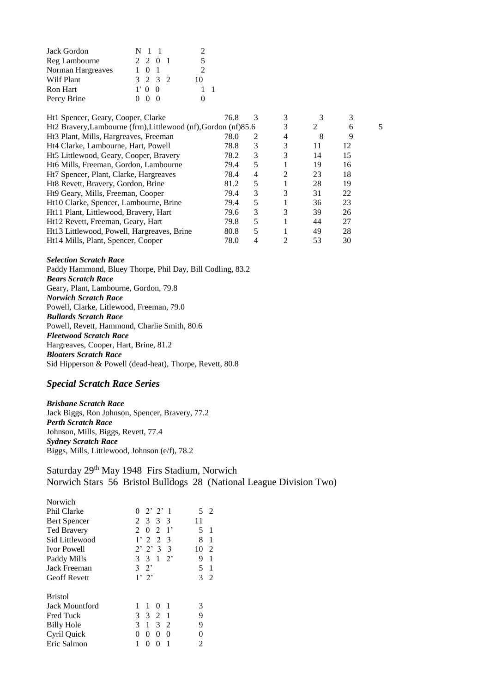| Jack Gordon       | N <sub>1</sub> 1             |               |
|-------------------|------------------------------|---------------|
| Reg Lambourne     | 2 2 0 1                      | 5             |
| Norman Hargreaves | 1 0 1                        | $\mathcal{D}$ |
| Wilf Plant        | 3 2 3 2                      | 10            |
| <b>Ron Hart</b>   | $1'$ 0 0                     |               |
| Percy Brine       | $^{\circ}$<br>0 <sub>0</sub> |               |

| Ht1 Spencer, Geary, Cooper, Clarke                             | 76.8 | 3 |                             |    |    |  |
|----------------------------------------------------------------|------|---|-----------------------------|----|----|--|
| Ht2 Bravery, Lambourne (frm), Littlewood (nf), Gordon (nf)85.6 |      |   |                             | 2  | 6  |  |
| Ht <sub>3</sub> Plant, Mills, Hargreaves, Freeman              | 78.0 | 2 | 4                           | 8  | 9  |  |
| Ht4 Clarke, Lambourne, Hart, Powell                            | 78.8 | 3 | 3                           | 11 | 12 |  |
| Ht5 Littlewood, Geary, Cooper, Bravery                         | 78.2 | 3 | 3                           | 14 | 15 |  |
| Ht6 Mills, Freeman, Gordon, Lambourne                          | 79.4 | 5 |                             | 19 | 16 |  |
| Ht <sub>7</sub> Spencer, Plant, Clarke, Hargreaves             | 78.4 | 4 | $\mathfrak{D}$              | 23 | 18 |  |
| Ht8 Revett, Bravery, Gordon, Brine                             | 81.2 | 5 |                             | 28 | 19 |  |
| Ht9 Geary, Mills, Freeman, Cooper                              | 79.4 | 3 | 3                           | 31 | 22 |  |
| Ht10 Clarke, Spencer, Lambourne, Brine                         | 79.4 | 5 |                             | 36 | 23 |  |
| Ht11 Plant, Littlewood, Bravery, Hart                          | 79.6 | 3 | 3                           | 39 | 26 |  |
| Ht12 Revett, Freeman, Geary, Hart                              | 79.8 | 5 |                             | 44 | 27 |  |
| Ht13 Littlewood, Powell, Hargreaves, Brine                     | 80.8 | 5 |                             | 49 | 28 |  |
| Ht14 Mills, Plant, Spencer, Cooper                             | 78.0 | 4 | $\mathcal{D}_{\mathcal{A}}$ | 53 | 30 |  |

*Selection Scratch Race*

Paddy Hammond, Bluey Thorpe, Phil Day, Bill Codling, 83.2 *Bears Scratch Race* Geary, Plant, Lambourne, Gordon, 79.8 *Norwich Scratch Race* Powell, Clarke, Litlewood, Freeman, 79.0 *Bullards Scratch Race* Powell, Revett, Hammond, Charlie Smith, 80.6 *Fleetwood Scratch Race* Hargreaves, Cooper, Hart, Brine, 81.2 *Bloaters Scratch Race* Sid Hipperson & Powell (dead-heat), Thorpe, Revett, 80.8

## *Special Scratch Race Series*

*Brisbane Scratch Race* Jack Biggs, Ron Johnson, Spencer, Bravery, 77.2 *Perth Scratch Race* Johnson, Mills, Biggs, Revett, 77.4 *Sydney Scratch Race* Biggs, Mills, Littlewood, Johnson (e/f), 78.2

Saturday 29<sup>th</sup> May 1948 Firs Stadium, Norwich Norwich Stars 56 Bristol Bulldogs 28 (National League Division Two)

| Norwich             |                                    |                      |
|---------------------|------------------------------------|----------------------|
| Phil Clarke         | $2'$ $2'$ 1<br>0                   | 5<br>$\mathcal{L}$   |
| <b>Bert Spencer</b> | 2 3 3 3                            | 11                   |
| <b>Ted Bravery</b>  | $2^{\circ}$<br>$0 \t2 \t1'$        | 5.<br>1              |
| Sid Littlewood      | 1'22<br>$\mathcal{R}$              | 8<br>1               |
| <b>Ivor Powell</b>  | $2'$ $2'$ $3$ $3$                  | 10<br>$\mathfrak{D}$ |
| Paddy Mills         | 3 3 1<br>$2^{\circ}$               | 9<br>1               |
| Jack Freeman        | $3 \t2$                            | 5<br>1               |
| <b>Geoff Revett</b> | 1'2'                               | 3<br>2               |
| <b>Bristol</b>      |                                    |                      |
| Jack Mountford      | 1<br>$\mathbf{1}$<br>1<br>$\Omega$ | 3                    |
| <b>Fred Tuck</b>    | 3 <sub>2</sub><br>3<br>- 1         | 9                    |
| <b>Billy Hole</b>   | 3<br>$\mathbf{1}$<br>3 2           | 9                    |
| Cyril Quick         | 0<br>0<br>0<br>$^{(1)}$            | 0                    |
| Eric Salmon         | 1                                  | 2                    |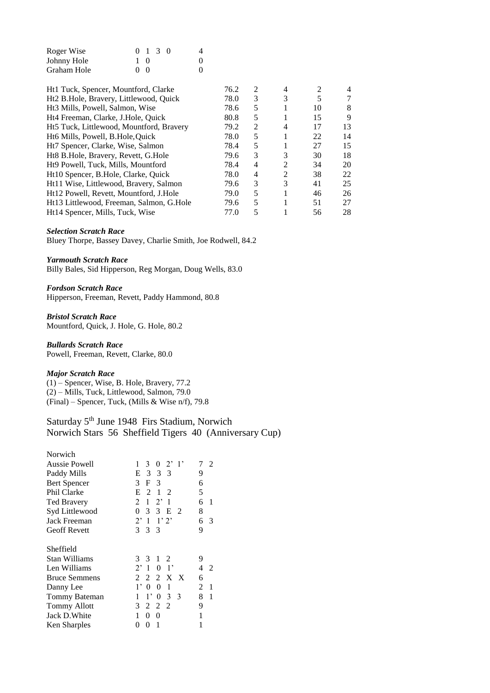| Roger Wise  |            | $0 \t1 \t3 \t0$ | 4 |
|-------------|------------|-----------------|---|
| Johnny Hole | $1 \Omega$ |                 | 0 |
| Graham Hole | (1)        |                 |   |

|      |      |                |    | 4  |
|------|------|----------------|----|----|
| 78.0 | 3    | 3              | 5  | 7  |
| 78.6 | 5    |                | 10 | 8  |
| 80.8 | 5    |                | 15 | 9  |
| 79.2 | 2    | 4              | 17 | 13 |
| 78.0 | 5    |                | 22 | 14 |
| 78.4 | 5    |                | 27 | 15 |
| 79.6 | 3    | 3              | 30 | 18 |
| 78.4 | 4    | 2              | 34 | 20 |
| 78.0 | 4    | $\mathfrak{D}$ | 38 | 22 |
| 79.6 | 3    | 3              | 41 | 25 |
| 79.0 | 5    |                | 46 | 26 |
| 79.6 | 5    |                | 51 | 27 |
| 77.0 | 5    |                | 56 | 28 |
|      | 76.2 | 2              | 4  | 2  |

#### *Selection Scratch Race*

Bluey Thorpe, Bassey Davey, Charlie Smith, Joe Rodwell, 84.2

#### *Yarmouth Scratch Race*

Billy Bales, Sid Hipperson, Reg Morgan, Doug Wells, 83.0

# *Fordson Scratch Race*

Hipperson, Freeman, Revett, Paddy Hammond, 80.8

*Bristol Scratch Race* Mountford, Quick, J. Hole, G. Hole, 80.2

*Bullards Scratch Race* Powell, Freeman, Revett, Clarke, 80.0

#### *Major Scratch Race*

(1) – Spencer, Wise, B. Hole, Bravery, 77.2 (2) – Mills, Tuck, Littlewood, Salmon, 79.0 (Final) – Spencer, Tuck, (Mills & Wise n/f), 79.8

# Saturday 5<sup>th</sup> June 1948 Firs Stadium, Norwich Norwich Stars 56 Sheffield Tigers 40 (Anniversary Cup)

| Norwich              |                                                                 |                     |
|----------------------|-----------------------------------------------------------------|---------------------|
| Aussie Powell        | $0 \t2' 1'$<br>$\mathbf{1}$<br>3                                | 7<br>$\mathfrak{D}$ |
| Paddy Mills          | E 3 3 3                                                         | 9                   |
| <b>Bert Spencer</b>  | $\mathcal{E}$<br>F <sub>3</sub>                                 | 6                   |
| Phil Clarke          | 1 2<br>Е<br>2                                                   | 5                   |
| <b>Ted Bravery</b>   | $2^{\circ}$<br>$\overline{2}$<br>$\mathbf{1}$<br>$\overline{1}$ | 6<br>1              |
| Syd Littlewood       | 0<br>3<br>3 E<br>- 2                                            | 8                   |
| Jack Freeman         | $2^{\circ}$<br>1'2'<br>-1                                       | 6<br>3              |
| <b>Geoff Revett</b>  | 3 3 3                                                           | 9                   |
| Sheffield            |                                                                 |                     |
| Stan Williams        | $1\quad 2$<br>3<br>3                                            | 9                   |
| Len Williams         | $2^{\circ}$<br>$\overline{1}$<br>$\theta$<br>$\Box$ 1'          | 4<br>$\mathcal{L}$  |
| <b>Bruce Semmens</b> | 2 X X<br>2<br>2                                                 | 6                   |
| Danny Lee            | $1^,$<br>$\theta$<br>1<br>$\theta$                              | 2<br>1              |
| Tommy Bateman        | $1^{\circ}$<br>3<br>1<br>$\theta$<br>- 3                        | 8<br>1              |
| <b>Tommy Allott</b>  | 3<br>2<br>2<br>$\overline{2}$                                   | 9                   |
| Jack D. White        | 1<br>0<br>0                                                     | 1                   |
| Ken Sharples         | 1<br>0<br>0                                                     | 1                   |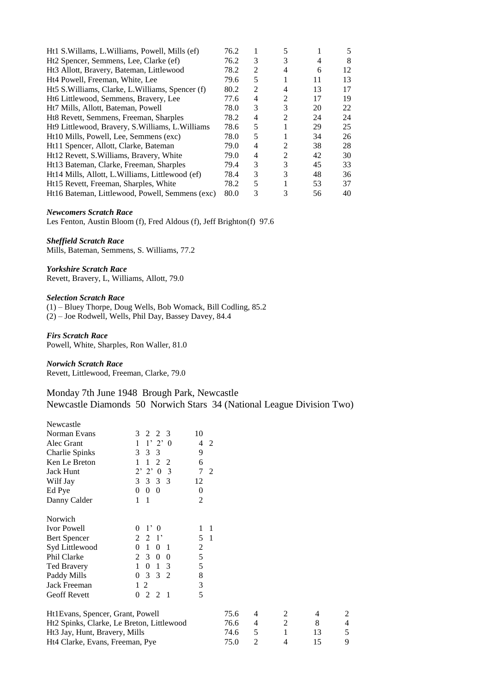| Ht1 S. Willams, L. Williams, Powell, Mills (ef)      | 76.2 |   | 5              |    | 5  |
|------------------------------------------------------|------|---|----------------|----|----|
| Ht2 Spencer, Semmens, Lee, Clarke (ef)               | 76.2 | 3 | 3              | 4  | 8  |
| Ht <sub>3</sub> Allott, Bravery, Bateman, Littlewood | 78.2 | 2 | 4              | 6  | 12 |
| Ht4 Powell, Freeman, White, Lee                      | 79.6 | 5 |                | 11 | 13 |
| Ht5 S. Williams, Clarke, L. Williams, Spencer (f)    | 80.2 | 2 | 4              | 13 | 17 |
| Ht6 Littlewood, Semmens, Bravery, Lee                | 77.6 | 4 | 2              | 17 | 19 |
| Ht7 Mills, Allott, Bateman, Powell                   | 78.0 | 3 | 3              | 20 | 22 |
| Ht8 Revett, Semmens, Freeman, Sharples               | 78.2 | 4 | $\mathfrak{D}$ | 24 | 24 |
| Ht9 Littlewood, Bravery, S. Williams, L. Williams    | 78.6 | 5 |                | 29 | 25 |
| Ht10 Mills, Powell, Lee, Semmens (exc)               | 78.0 | 5 |                | 34 | 26 |
| Ht11 Spencer, Allott, Clarke, Bateman                | 79.0 | 4 | 2              | 38 | 28 |
| Ht12 Revett, S. Williams, Bravery, White             | 79.0 | 4 | 2              | 42 | 30 |
| Ht13 Bateman, Clarke, Freeman, Sharples              | 79.4 | 3 | 3              | 45 | 33 |
| Ht14 Mills, Allott, L. Williams, Littlewood (ef)     | 78.4 | 3 | 3              | 48 | 36 |
| Ht15 Revett, Freeman, Sharples, White                | 78.2 | 5 |                | 53 | 37 |
| Ht16 Bateman, Littlewood, Powell, Semmens (exc)      | 80.0 | 3 | 3              | 56 | 40 |

## *Newcomers Scratch Race*

Les Fenton, Austin Bloom (f), Fred Aldous (f), Jeff Brighton(f) 97.6

## *Sheffield Scratch Race*

Mills, Bateman, Semmens, S. Williams, 77.2

*Yorkshire Scratch Race* Revett, Bravery, L, Williams, Allott, 79.0

#### *Selection Scratch Race*

(1) – Bluey Thorpe, Doug Wells, Bob Womack, Bill Codling, 85.2 (2) – Joe Rodwell, Wells, Phil Day, Bassey Davey, 84.4

*Firs Scratch Race*

Powell, White, Sharples, Ron Waller, 81.0

## *Norwich Scratch Race*

Revett, Littlewood, Freeman, Clarke, 79.0

# Monday 7th June 1948 Brough Park, Newcastle Newcastle Diamonds 50 Norwich Stars 34 (National League Division Two)

| Newcastle                                 |                                               |                     |      |                |                |    |   |
|-------------------------------------------|-----------------------------------------------|---------------------|------|----------------|----------------|----|---|
| Norman Evans                              | 3<br>2<br>2<br>3                              | 10                  |      |                |                |    |   |
| Alec Grant                                | 1'2'<br>$\overline{0}$<br>$\mathbf{1}$        | 4<br>2              |      |                |                |    |   |
| Charlie Spinks                            | 3<br>3<br>3                                   | 9                   |      |                |                |    |   |
| Ken Le Breton                             | 2<br>1<br>2<br>1                              | 6                   |      |                |                |    |   |
| <b>Jack Hunt</b>                          | 2' 2' 0<br>3                                  | $\tau$<br>2         |      |                |                |    |   |
| Wilf Jay                                  | 3<br>3<br>3 3                                 | 12                  |      |                |                |    |   |
| Ed Pye                                    | $\bf{0}$<br>$\overline{0}$<br>$\overline{0}$  | $\theta$            |      |                |                |    |   |
| Danny Calder                              | 1<br>-1                                       | $\overline{2}$      |      |                |                |    |   |
| Norwich                                   |                                               |                     |      |                |                |    |   |
| <b>Ivor Powell</b>                        | 1'0<br>$\theta$                               | $\overline{1}$      |      |                |                |    |   |
| <b>Bert Spencer</b>                       | 2 <sup>1</sup><br>2                           | 5<br>$\overline{1}$ |      |                |                |    |   |
| Syd Littlewood                            | 0 <sub>1</sub><br>$\Omega$<br>1               | $\overline{c}$      |      |                |                |    |   |
| Phil Clarke                               | $2^{\circ}$<br>3 0<br>- 0                     | 5                   |      |                |                |    |   |
| <b>Ted Bravery</b>                        | $\theta$<br>$\mathbf{1}$<br>3<br>$\mathbf{1}$ | 5                   |      |                |                |    |   |
| Paddy Mills                               | 3<br>$\overline{0}$<br>3 2                    | 8                   |      |                |                |    |   |
| Jack Freeman                              | 2<br>$\mathbf{1}$                             | 3                   |      |                |                |    |   |
| <b>Geoff Revett</b>                       | 2<br>$\overline{0}$<br>2 1                    | 5                   |      |                |                |    |   |
| Ht1Evans, Spencer, Grant, Powell          |                                               |                     | 75.6 | 4              | 2              | 4  | 2 |
| Ht2 Spinks, Clarke, Le Breton, Littlewood |                                               |                     | 76.6 | 4              | $\overline{2}$ | 8  | 4 |
| Ht3 Jay, Hunt, Bravery, Mills             |                                               |                     | 74.6 | 5              | 1              | 13 | 5 |
| Ht4 Clarke, Evans, Freeman, Pye           |                                               |                     | 75.0 | $\overline{2}$ | 4              | 15 | 9 |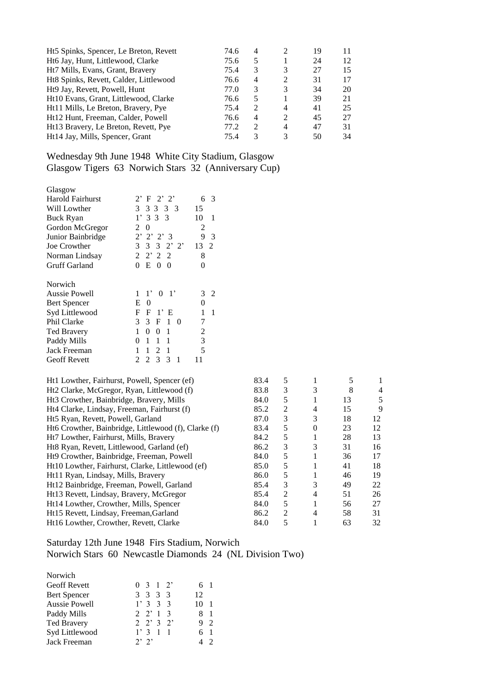| 74.6 | 4                           |                | 19 | 11 |
|------|-----------------------------|----------------|----|----|
| 75.6 | 5                           |                | 24 | 12 |
| 75.4 | 3                           | 3              | 27 | 15 |
| 76.6 | 4                           | 2              | 31 | 17 |
| 77.0 | 3                           | 3              | 34 | 20 |
| 76.6 | 5                           |                | 39 | 21 |
| 75.4 | 2                           | 4              | 41 | 25 |
| 76.6 | 4                           | $\mathcal{L}$  | 45 | 27 |
| 77.2 | $\mathcal{D}_{\mathcal{L}}$ | $\overline{4}$ | 47 | 31 |
| 75.4 | 3                           | 3              | 50 | 34 |
|      |                             |                |    |    |

Wednesday 9th June 1948 White City Stadium, Glasgow Glasgow Tigers 63 Norwich Stars 32 (Anniversary Cup)

| Glasgow                                |                                                                              |      |                |                  |    |                          |
|----------------------------------------|------------------------------------------------------------------------------|------|----------------|------------------|----|--------------------------|
| Harold Fairhurst                       | $2^,$<br>$\mathbf F$<br>2'2'<br>3<br>6                                       |      |                |                  |    |                          |
| Will Lowther                           | 3<br>15<br>3 3<br>3 3                                                        |      |                |                  |    |                          |
| <b>Buck Ryan</b>                       | 3 <sub>3</sub><br>1 <sup>2</sup><br>3<br>10<br>$\mathbf{1}$                  |      |                |                  |    |                          |
| Gordon McGregor                        | $\overline{2}$<br>$\boldsymbol{0}$<br>2                                      |      |                |                  |    |                          |
| Junior Bainbridge                      | 2,<br>$2'$ $2'$ 3<br>9<br>3                                                  |      |                |                  |    |                          |
| Joe Crowther                           | 3<br>$3 \t3 \t2' \t2'$<br>13 2                                               |      |                |                  |    |                          |
| Norman Lindsay                         | 2<br>2' 2 2<br>8                                                             |      |                |                  |    |                          |
| <b>Gruff Garland</b>                   | $E \t0 \t0$<br>$\Omega$<br>$\mathbf{0}$                                      |      |                |                  |    |                          |
| Norwich                                |                                                                              |      |                |                  |    |                          |
| Aussie Powell                          | $1' \t0 \t1'$<br>$\overline{2}$<br>3<br>1                                    |      |                |                  |    |                          |
| <b>Bert Spencer</b>                    | $\theta$<br>$\mathbf{0}$<br>E                                                |      |                |                  |    |                          |
| Syd Littlewood                         | 1' E<br>1<br>F<br>F<br>1                                                     |      |                |                  |    |                          |
| Phil Clarke                            | 7<br>3<br>3<br>$1\quad0$<br>$\mathbf{F}$                                     |      |                |                  |    |                          |
| Ted Bravery                            | $\overline{2}$<br>$\mathbf{1}$<br>$\mathbf{0}$<br>$\Omega$<br>$\overline{1}$ |      |                |                  |    |                          |
| Paddy Mills                            | 3<br>$\mathbf{1}$<br>1<br>$\mathbf{1}$<br>$\Omega$                           |      |                |                  |    |                          |
| Jack Freeman                           | 5<br>1<br>$\mathbf{1}$<br>$\overline{2}$<br>$\mathbf{1}$                     |      |                |                  |    |                          |
| <b>Geoff Revett</b>                    | $\overline{2}$<br>$\overline{2}$<br>3<br>3<br>11<br>$\overline{1}$           |      |                |                  |    |                          |
|                                        | Ht1 Lowther, Fairhurst, Powell, Spencer (ef)                                 | 83.4 | 5              | 1                | 5  | 1                        |
|                                        | Ht2 Clarke, McGregor, Ryan, Littlewood (f)                                   | 83.8 | 3              | 3                | 8  | $\overline{\mathcal{A}}$ |
|                                        | Ht3 Crowther, Bainbridge, Bravery, Mills                                     | 84.0 | 5              | 1                | 13 | 5                        |
|                                        | Ht4 Clarke, Lindsay, Freeman, Fairhurst (f)                                  | 85.2 | $\mathbf{2}$   | 4                | 15 | 9                        |
| Ht5 Ryan, Revett, Powell, Garland      |                                                                              | 87.0 | 3              | 3                | 18 | 12                       |
|                                        | Ht6 Crowther, Bainbridge, Littlewood (f), Clarke (f)                         | 83.4 | 5              | $\boldsymbol{0}$ | 23 | 12                       |
| Ht7 Lowther, Fairhurst, Mills, Bravery |                                                                              | 84.2 | 5              | 1                | 28 | 13                       |
|                                        | Ht8 Ryan, Revett, Littlewood, Garland (ef)                                   | 86.2 | $\mathfrak{Z}$ | 3                | 31 | 16                       |
|                                        | Ht9 Crowther, Bainbridge, Freeman, Powell                                    | 84.0 | 5              | 1                | 36 | 17                       |
|                                        | Ht10 Lowther, Fairhurst, Clarke, Littlewood (ef)                             | 85.0 | 5              | 1                | 41 | 18                       |
| Ht11 Ryan, Lindsay, Mills, Bravery     |                                                                              | 86.0 | 5              | $\mathbf{1}$     | 46 | 19                       |
|                                        | Ht12 Bainbridge, Freeman, Powell, Garland                                    | 85.4 | 3              | 3                | 49 | 22                       |
|                                        | Ht13 Revett, Lindsay, Bravery, McGregor                                      | 85.4 | $\overline{2}$ | $\overline{4}$   | 51 | 26                       |
| Ht14 Lowther, Crowther, Mills, Spencer |                                                                              | 84.0 | 5              | 1                | 56 | 27                       |

# Saturday 12th June 1948 Firs Stadium, Norwich Norwich Stars 60 Newcastle Diamonds 24 (NL Division Two)

Ht15 Revett, Lindsay, Freeman, Garland 86.2 2 4 58 31<br>
Ht16 Lowther, Crowther, Revett, Clarke 84.0 5 1 63 32

| Norwich             |                   |                      |
|---------------------|-------------------|----------------------|
| <b>Geoff Revett</b> | $0 \t3 \t1 \t2'$  | 6 1                  |
| Bert Spencer        | 3 3 3 3           | 12                   |
| Aussie Powell       | 1'333             | $\overline{1}$<br>10 |
| Paddy Mills         | $2 \t2' 1 \t3$    | $\mathbf{1}$<br>x    |
| <b>Ted Bravery</b>  | $2 \t2' \t3 \t2'$ | $\mathcal{D}$        |
| Syd Littlewood      | 1'311             | 61                   |
| Jack Freeman        | 2'2'              | $\mathcal{D}$        |

Ht16 Lowther, Crowther, Revett, Clarke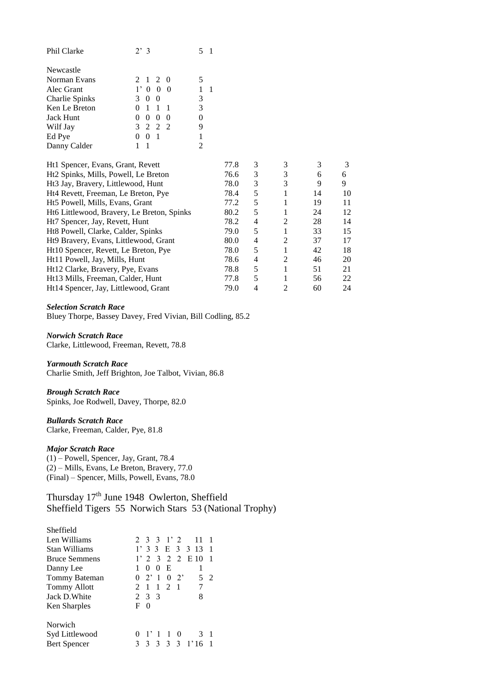| Phil Clarke    | $2^{3}$                                  |   |
|----------------|------------------------------------------|---|
| Newcastle      |                                          |   |
| Norman Evans   | 2 1 2 0                                  | 5 |
| Alec Grant     | 1' 0 0 0                                 |   |
| Charlie Spinks | 3<br>0 <sub>0</sub>                      | 3 |
| Ken Le Breton  | $\overline{1}$<br>-1                     | 3 |
| Jack Hunt      | - ()<br>$\theta$<br>$^{(1)}$<br>$\Omega$ | 0 |
| Wilf Jay       | 3 2 2 2                                  | 9 |
| Ed Pye         | $\mathbf{0}$                             |   |
| Danny Calder   |                                          |   |

| 77.8 | 3 | 3                     | 3  | 3  |
|------|---|-----------------------|----|----|
| 76.6 | 3 | 3                     | 6  | 6  |
| 78.0 | 3 | 3                     | 9  | 9  |
| 78.4 | 5 |                       | 14 | 10 |
| 77.2 | 5 |                       | 19 | 11 |
| 80.2 | 5 |                       | 24 | 12 |
| 78.2 | 4 | $\mathfrak{D}$        | 28 | 14 |
| 79.0 | 5 |                       | 33 | 15 |
| 80.0 | 4 | $\mathfrak{D}$        | 37 | 17 |
| 78.0 | 5 |                       | 42 | 18 |
| 78.6 | 4 | $\mathcal{D}_{\cdot}$ | 46 | 20 |
| 78.8 | 5 |                       | 51 | 21 |
| 77.8 | 5 |                       | 56 | 22 |
| 79.0 |   | 2                     | 60 | 24 |
|      |   |                       |    |    |

*Selection Scratch Race* Bluey Thorpe, Bassey Davey, Fred Vivian, Bill Codling, 85.2

*Norwich Scratch Race* Clarke, Littlewood, Freeman, Revett, 78.8

*Yarmouth Scratch Race*

Charlie Smith, Jeff Brighton, Joe Talbot, Vivian, 86.8

*Brough Scratch Race* Spinks, Joe Rodwell, Davey, Thorpe, 82.0

# *Bullards Scratch Race*

Clarke, Freeman, Calder, Pye, 81.8

## *Major Scratch Race*

(1) – Powell, Spencer, Jay, Grant, 78.4 (2) – Mills, Evans, Le Breton, Bravery, 77.0 (Final) – Spencer, Mills, Powell, Evans, 78.0

Thursday 17<sup>th</sup> June 1948 Owlerton, Sheffield Sheffield Tigers 55 Norwich Stars 53 (National Trophy)

| Sheffield            |                                           |  |
|----------------------|-------------------------------------------|--|
| Len Williams         | 2 3 3 1 2<br>11                           |  |
| Stan Williams        | $1'$ 3 3 E 3 3 13 1                       |  |
| <b>Bruce Semmens</b> | $1'$ 2 3 2 2 E 10                         |  |
| Danny Lee            | E<br>$\Omega$<br>$\theta$                 |  |
| Tommy Bateman        | $0 \t2' 1 \t0 \t2'$<br>5<br>$\mathcal{L}$ |  |
| <b>Tommy Allott</b>  | 2 1 1 2 1                                 |  |
| Jack D. White        | 8<br>2 3 3                                |  |
| Ken Sharples         | F<br>$\Omega$                             |  |
| Norwich              |                                           |  |
| Syd Littlewood       | $\mathbf{1}$<br>10<br>-1<br>3             |  |
| Bert Spencer         | 3<br>3 <sup>3</sup><br>$\mathbf{3}$<br>3  |  |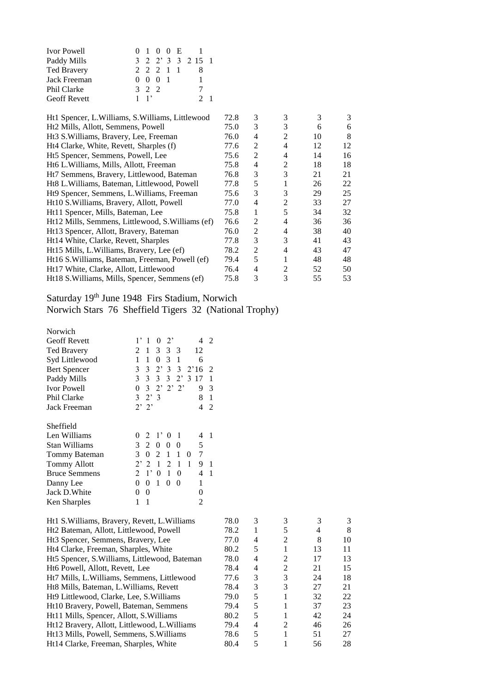| <b>Ivor Powell</b>  |             | 0 1 0 0 E       |  |                  |  |
|---------------------|-------------|-----------------|--|------------------|--|
| Paddy Mills         |             |                 |  | 3 2 2 3 3 2 15 1 |  |
| <b>Ted Bravery</b>  |             | 2 2 2 1 1       |  |                  |  |
| Jack Freeman        |             | $0 \t0 \t0 \t1$ |  |                  |  |
| Phil Clarke         | 3 2 2       |                 |  |                  |  |
| <b>Geoff Revett</b> | $1 \quad 1$ |                 |  | 2 <sub>1</sub>   |  |

| Ht1 Spencer, L. Williams, S. Williams, Littlewood  | 72.8 | 3 | 3              | 3  | 3  |
|----------------------------------------------------|------|---|----------------|----|----|
| Ht2 Mills, Allott, Semmens, Powell                 | 75.0 | 3 | 3              | 6  | 6  |
| Ht <sub>3</sub> S. Williams, Bravery, Lee, Freeman | 76.0 | 4 | 2              | 10 | 8  |
| Ht4 Clarke, White, Revett, Sharples (f)            | 77.6 | 2 | 4              | 12 | 12 |
| Ht5 Spencer, Semmens, Powell, Lee                  | 75.6 | 2 | 4              | 14 | 16 |
| Ht6 L. Williams, Mills, Allott, Freeman            | 75.8 | 4 | $\overline{2}$ | 18 | 18 |
| Ht7 Semmens, Bravery, Littlewood, Bateman          | 76.8 | 3 | 3              | 21 | 21 |
| Ht8 L. Williams, Bateman, Littlewood, Powell       | 77.8 | 5 | 1              | 26 | 22 |
| Ht9 Spencer, Semmens, L. Williams, Freeman         | 75.6 | 3 | 3              | 29 | 25 |
| Ht10 S. Williams, Bravery, Allott, Powell          | 77.0 | 4 | 2              | 33 | 27 |
| Ht11 Spencer, Mills, Bateman, Lee                  | 75.8 | 1 | 5              | 34 | 32 |
| Ht12 Mills, Semmens, Littlewood, S. Williams (ef)  | 76.6 | 2 | 4              | 36 | 36 |
| Ht13 Spencer, Allott, Bravery, Bateman             | 76.0 | 2 | 4              | 38 | 40 |
| Ht14 White, Clarke, Revett, Sharples               | 77.8 | 3 | 3              | 41 | 43 |
| Ht15 Mills, L. Williams, Bravery, Lee (ef)         | 78.2 | 2 | 4              | 43 | 47 |
| Ht16 S. Williams, Bateman, Freeman, Powell (ef)    | 79.4 | 5 | 1              | 48 | 48 |
| Ht17 White, Clarke, Allott, Littlewood             | 76.4 | 4 | $\mathfrak{D}$ | 52 | 50 |
| Ht18 S. Williams, Mills, Spencer, Semmens (ef)     | 75.8 | 3 | 3              | 55 | 53 |

Saturday 19<sup>th</sup> June 1948 Firs Stadium, Norwich

Norwich Stars 76 Sheffield Tigers 32 (National Trophy)

| Norwich              |                |                |                  |                |             |               |      |   |
|----------------------|----------------|----------------|------------------|----------------|-------------|---------------|------|---|
| <b>Geoff Revett</b>  | $1^{\circ}$    | 1              | 0                | $2^{\circ}$    |             |               | 4    | 2 |
| Ted Bravery          | 2              | 1              | 3 <sup>1</sup>   | 3 <sup>3</sup> |             |               | 12   |   |
| Syd Littlewood       | 1              | 1              | $\overline{0}$   | 3 <sub>1</sub> |             |               | 6    |   |
| <b>Bert Spencer</b>  | 3              | 3              | $2^,$            | 3              | 3           |               | 2'16 | 2 |
| Paddy Mills          | $\mathfrak{Z}$ |                | $3 \overline{3}$ | $\mathfrak{Z}$ | $2^{\circ}$ | $\mathcal{E}$ | 17   | 1 |
| <b>Ivor Powell</b>   | 0              |                | 3 2' 2' 2'       |                |             |               | 9    | 3 |
| Phil Clarke          |                | $3 \t2' \t3$   |                  |                |             |               | 8    | 1 |
| Jack Freeman         |                | $2'$ $2'$      |                  |                |             |               | 4    | 2 |
|                      |                |                |                  |                |             |               |      |   |
| Sheffield            |                |                |                  |                |             |               |      |   |
| Len Williams         | 0              | $\mathfrak{D}$ | $1^{\circ}$      | 0              | 1           |               | 4    | 1 |
| Stan Williams        | 3              | 2              | $\Omega$         | 0              | $\theta$    |               | 5    |   |
| Tommy Bateman        | 3              | $\theta$       | 2                | 1              | 1           | 0             | 7    |   |
| <b>Tommy Allott</b>  | $2^,$          | 2              | 1                | $\overline{2}$ | 1           | 1             | 9    | 1 |
| <b>Bruce Semmens</b> | 2              | $1^,$          | $\theta$         | 1              | $\theta$    |               | 4    | 1 |
| Danny Lee            | 0              | 0              | 1                | 0              | 0           |               | 1    |   |
| Jack D. White        | 0              | 0              |                  |                |             |               | 0    |   |
| Ken Sharples         | 1              | 1              |                  |                |             |               | 2    |   |
|                      |                |                |                  |                |             |               |      |   |

| Ht1 S. Williams, Bravery, Revett, L. Williams           | 78.0 | 3 | 3              |    | 3  |
|---------------------------------------------------------|------|---|----------------|----|----|
| Ht2 Bateman, Allott, Littlewood, Powell                 | 78.2 |   |                | 4  | 8  |
| Ht <sub>3</sub> Spencer, Semmens, Bravery, Lee          | 77.0 | 4 | $\mathfrak{D}$ | 8  | 10 |
| Ht4 Clarke, Freeman, Sharples, White                    | 80.2 | 5 |                | 13 | 11 |
| Ht5 Spencer, S. Williams, Littlewood, Bateman           | 78.0 | 4 | $\mathfrak{D}$ | 17 | 13 |
| Ht6 Powell, Allott, Revett, Lee                         | 78.4 | 4 | 2              | 21 | 15 |
| Ht <sub>7</sub> Mills, L. Williams, Semmens, Littlewood | 77.6 | 3 | 3              | 24 | 18 |
| Ht8 Mills, Bateman, L. Williams, Revett                 | 78.4 | 3 | 3              | 27 | 21 |
| Ht9 Littlewood, Clarke, Lee, S. Williams                | 79.0 | 5 |                | 32 | 22 |
| Ht10 Bravery, Powell, Bateman, Semmens                  | 79.4 | 5 |                | 37 | 23 |
| Ht11 Mills, Spencer, Allott, S. Williams                | 80.2 | 5 |                | 42 | 24 |
| Ht12 Bravery, Allott, Littlewood, L. Williams           | 79.4 | 4 | 2              | 46 | 26 |
| Ht13 Mills, Powell, Semmens, S. Williams                | 78.6 | 5 |                | 51 | 27 |
| Ht14 Clarke, Freeman, Sharples, White                   | 80.4 | 5 |                | 56 | 28 |

| 78.0 | 3              | 3              | 3  | 3  |
|------|----------------|----------------|----|----|
| 78.2 | 1              | 5              | 4  | 8  |
| 77.0 | 4              | $\overline{2}$ | 8  | 10 |
| 80.2 | 5              | 1              | 13 | 11 |
| 78.0 | $\overline{4}$ | 2              | 17 | 13 |
| 78.4 | 4              | $\overline{2}$ | 21 | 15 |
| 77.6 | 3              | 3              | 24 | 18 |
| 78.4 | 3              | 3              | 27 | 21 |
| 79.0 | 5              | 1              | 32 | 22 |
| 79.4 | 5              | 1              | 37 | 23 |
| 80.2 | 5              | 1              | 42 | 24 |
| 79.4 | 4              | 2              | 46 | 26 |
| 78.6 | 5              | 1              | 51 | 27 |
| 80.4 | 5              | 1              | 56 | 28 |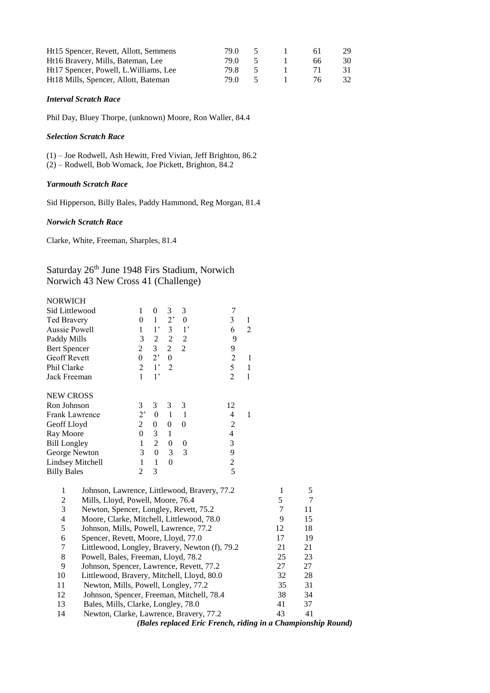| Ht15 Spencer, Revett, Allott, Semmens  | 79.0 |          | 6 I | 29. |
|----------------------------------------|------|----------|-----|-----|
| Ht16 Bravery, Mills, Bateman, Lee      | 79 O |          | 66  | 30  |
| Ht17 Spencer, Powell, L. Williams, Lee | 79 X |          |     | 31. |
| Ht18 Mills, Spencer, Allott, Bateman   | 79 O | $\sim$ 5 | 76. | 32. |

#### *Interval Scratch Race*

Phil Day, Bluey Thorpe, (unknown) Moore, Ron Waller, 84.4

#### *Selection Scratch Race*

(1) – Joe Rodwell, Ash Hewitt, Fred Vivian, Jeff Brighton, 86.2 (2) – Rodwell, Bob Womack, Joe Pickett, Brighton, 84.2

## *Yarmouth Scratch Race*

Sid Hipperson, Billy Bales, Paddy Hammond, Reg Morgan, 81.4

## *Norwich Scratch Race*

Clarke, White, Freeman, Sharples, 81.4

# Saturday 26<sup>th</sup> June 1948 Firs Stadium, Norwich Norwich 43 New Cross 41 (Challenge)

| NORWICH                                                            |                  |                  |                  |                  |                          |                |              |    |                                                              |
|--------------------------------------------------------------------|------------------|------------------|------------------|------------------|--------------------------|----------------|--------------|----|--------------------------------------------------------------|
| Sid Littlewood                                                     | $\mathbf{1}$     | $\boldsymbol{0}$ | 3                | 3                | 7                        |                |              |    |                                                              |
| Ted Bravery                                                        | $\boldsymbol{0}$ | $\mathbf{1}$     | 2,               | $\boldsymbol{0}$ | $\overline{3}$           | 1              |              |    |                                                              |
| <b>Aussie Powell</b>                                               | $\mathbf{1}$     | 1,               | $\overline{3}$   | 1'               | 6                        | $\overline{2}$ |              |    |                                                              |
| Paddy Mills                                                        | 3                | $\sqrt{2}$       | $\overline{c}$   | $\boldsymbol{2}$ | 9                        |                |              |    |                                                              |
| <b>Bert Spencer</b>                                                | $\overline{2}$   | 3                | $\overline{c}$   | $\overline{2}$   | 9                        |                |              |    |                                                              |
| <b>Geoff Revett</b>                                                | $\boldsymbol{0}$ | 2 <sup>1</sup>   | $\mathbf{0}$     |                  | $\overline{2}$           | 1              |              |    |                                                              |
| Phil Clarke                                                        | $\overline{2}$   | 1 <sup>2</sup>   | $\overline{2}$   |                  | 5                        | $\mathbf{1}$   |              |    |                                                              |
| Jack Freeman                                                       | $\mathbf{1}$     | 1 <sup>2</sup>   |                  |                  | $\overline{2}$           | $\mathbf{1}$   |              |    |                                                              |
| <b>NEW CROSS</b>                                                   |                  |                  |                  |                  |                          |                |              |    |                                                              |
| Ron Johnson                                                        | 3                | $\mathfrak{Z}$   | 3                | 3                | 12                       |                |              |    |                                                              |
| Frank Lawrence                                                     | 2'               | $\boldsymbol{0}$ | $\mathbf{1}$     | $\mathbf{1}$     | 4                        | $\mathbf{1}$   |              |    |                                                              |
| Geoff Lloyd                                                        | $\overline{c}$   | $\boldsymbol{0}$ | $\boldsymbol{0}$ | $\boldsymbol{0}$ | $\overline{c}$           |                |              |    |                                                              |
| Ray Moore                                                          | $\mathbf{0}$     | 3                | $\mathbf{1}$     |                  | $\overline{\mathcal{L}}$ |                |              |    |                                                              |
| <b>Bill Longley</b>                                                | $\mathbf{1}$     | $\overline{2}$   | $\boldsymbol{0}$ | $\boldsymbol{0}$ | 3                        |                |              |    |                                                              |
| George Newton                                                      | 3                | $\boldsymbol{0}$ | 3                | 3                | 9                        |                |              |    |                                                              |
| <b>Lindsey Mitchell</b>                                            | 1                | $\mathbf{1}$     | $\overline{0}$   |                  | $\overline{c}$           |                |              |    |                                                              |
| <b>Billy Bales</b>                                                 | $\overline{2}$   | 3                |                  |                  | $\overline{5}$           |                |              |    |                                                              |
| $\mathbf{1}$<br>Johnson, Lawrence, Littlewood, Bravery, 77.2       |                  |                  |                  |                  |                          |                | $\mathbf{1}$ | 5  |                                                              |
| $\boldsymbol{2}$<br>Mills, Lloyd, Powell, Moore, 76.4              |                  |                  |                  |                  |                          |                | 5            | 7  |                                                              |
| 3<br>Newton, Spencer, Longley, Revett, 75.2                        |                  |                  |                  |                  |                          |                | 7            | 11 |                                                              |
| $\overline{4}$<br>Moore, Clarke, Mitchell, Littlewood, 78.0        |                  |                  |                  |                  |                          |                | 9            | 15 |                                                              |
| 5<br>Johnson, Mills, Powell, Lawrence, 77.2                        |                  |                  |                  |                  |                          |                | 12           | 18 |                                                              |
| $\boldsymbol{6}$<br>Spencer, Revett, Moore, Lloyd, 77.0            |                  |                  |                  |                  |                          |                | 17           | 19 |                                                              |
| $\boldsymbol{7}$<br>Littlewood, Longley, Bravery, Newton (f), 79.2 |                  |                  |                  |                  |                          |                | 21           | 21 |                                                              |
| $8\,$<br>Powell, Bales, Freeman, Lloyd, 78.2                       |                  |                  |                  |                  |                          |                | 25           | 23 |                                                              |
| 9<br>Johnson, Spencer, Lawrence, Revett, 77.2                      |                  |                  |                  |                  |                          |                | 27           | 27 |                                                              |
| 10<br>Littlewood, Bravery, Mitchell, Lloyd, 80.0                   |                  |                  |                  |                  |                          |                | 32           | 28 |                                                              |
| 11<br>Newton, Mills, Powell, Longley, 77.2                         |                  |                  |                  |                  |                          |                | 35           | 31 |                                                              |
| 12<br>Johnson, Spencer, Freeman, Mitchell, 78.4                    |                  |                  |                  |                  |                          |                | 38           | 34 |                                                              |
| 13<br>Bales, Mills, Clarke, Longley, 78.0                          |                  |                  |                  |                  |                          |                | 41           | 37 |                                                              |
| 14<br>Newton, Clarke, Lawrence, Bravery, 77.2                      |                  |                  |                  |                  |                          |                | 43           | 41 |                                                              |
|                                                                    |                  |                  |                  |                  |                          |                |              |    | (Bales replaced Eric French, riding in a Championship Round) |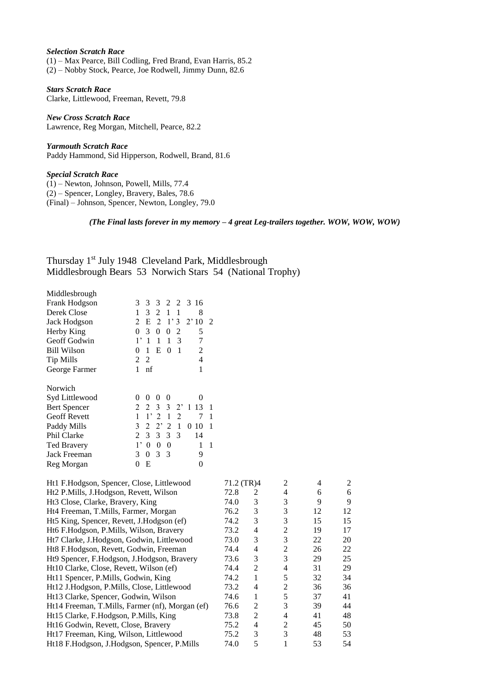## *Selection Scratch Race*

(1) – Max Pearce, Bill Codling, Fred Brand, Evan Harris, 85.2 (2) – Nobby Stock, Pearce, Joe Rodwell, Jimmy Dunn, 82.6

*Stars Scratch Race* Clarke, Littlewood, Freeman, Revett, 79.8

*New Cross Scratch Race* Lawrence, Reg Morgan, Mitchell, Pearce, 82.2

*Yarmouth Scratch Race* Paddy Hammond, Sid Hipperson, Rodwell, Brand, 81.6

*Special Scratch Race*

(1) – Newton, Johnson, Powell, Mills, 77.4 (2) – Spencer, Longley, Bravery, Bales, 78.6 (Final) – Johnson, Spencer, Newton, Longley, 79.0

*(The Final lasts forever in my memory – 4 great Leg-trailers together. WOW, WOW, WOW)*

Thursday 1st July 1948 Cleveland Park, Middlesbrough Middlesbrough Bears 53 Norwich Stars 54 (National Trophy)

Middlesbrough

| Frank Hodgson       | 2 2 3 16<br>3<br>3<br>3                             |
|---------------------|-----------------------------------------------------|
| Derek Close         | $\overline{2}$<br>1<br>3<br>$\mathbf{1}$<br>1<br>8  |
| Jack Hodgson        | E<br>2<br>1'3<br>2'10<br>$\overline{2}$<br>2        |
| Herby King          | 3<br>0<br>0<br>0<br>2<br>5                          |
| Geoff Godwin        | $1^{\circ}$<br>1<br>1<br>1<br>7<br>3                |
| <b>Bill Wilson</b>  | E<br>0<br>0<br>1<br>1<br>2                          |
| <b>Tip Mills</b>    | 2<br>2<br>4                                         |
| George Farmer       | 1<br>1<br>nf                                        |
| Norwich             |                                                     |
| Syd Littlewood      | 0<br>0<br>$\theta$<br>$^{(1)}$<br>$\Omega$          |
| <b>Bert Spencer</b> | 2<br>$3 \t3 \t2'$<br>$\mathfrak{D}$<br>13<br>1<br>1 |
| <b>Geoff Revett</b> | 2<br>$\overline{2}$<br>1,<br>$\mathbf{1}$<br>1<br>7 |
| Paddy Mills         | $2^{\circ}$<br>3<br>2<br>2<br>1<br>0<br>10<br>1     |
| Phil Clarke         | $\mathfrak{Z}$<br>3<br>3<br>2<br>3<br>14            |
| <b>Ted Bravery</b>  | $1^{\circ}$<br>0<br>0<br>0<br>1<br>1                |
| Jack Freeman        | 3<br>3<br>0<br>-3<br>9                              |
| Reg Morgan          | Е<br>0<br>0                                         |

| Ht1 F.Hodgson, Spencer, Close, Littlewood       | 71.2 (TR)4 |   | $\mathfrak{D}$ | 4  | $\mathfrak{D}$ |
|-------------------------------------------------|------------|---|----------------|----|----------------|
| Ht2 P.Mills, J.Hodgson, Revett, Wilson          | 72.8       | 2 | 4              | 6  | 6              |
| Ht <sub>3</sub> Close, Clarke, Bravery, King    | 74.0       | 3 | 3              | 9  | 9              |
| Ht4 Freeman, T.Mills, Farmer, Morgan            | 76.2       | 3 | 3              | 12 | 12             |
| Ht5 King, Spencer, Revett, J.Hodgson (ef)       | 74.2       | 3 | 3              | 15 | 15             |
| Ht6 F.Hodgson, P.Mills, Wilson, Bravery         | 73.2       | 4 | 2              | 19 | 17             |
| Ht7 Clarke, J.Hodgson, Godwin, Littlewood       | 73.0       | 3 | 3              | 22 | 20             |
| Ht8 F.Hodgson, Revett, Godwin, Freeman          | 74.4       | 4 | 2              | 26 | 22             |
| Ht9 Spencer, F.Hodgson, J.Hodgson, Bravery      | 73.6       | 3 | 3              | 29 | 25             |
| Ht10 Clarke, Close, Revett, Wilson (ef)         | 74.4       | 2 | 4              | 31 | 29             |
| Ht11 Spencer, P.Mills, Godwin, King             | 74.2       | 1 | 5              | 32 | 34             |
| Ht12 J.Hodgson, P.Mills, Close, Littlewood      | 73.2       | 4 | $\mathfrak{D}$ | 36 | 36             |
| Ht13 Clarke, Spencer, Godwin, Wilson            | 74.6       | 1 | 5              | 37 | 41             |
| Ht14 Freeman, T.Mills, Farmer (nf), Morgan (ef) | 76.6       | 2 | 3              | 39 | 44             |
| Ht15 Clarke, F.Hodgson, P.Mills, King           | 73.8       | 2 | 4              | 41 | 48             |
| Ht16 Godwin, Revett, Close, Bravery             | 75.2       | 4 | 2              | 45 | 50             |
| Ht17 Freeman, King, Wilson, Littlewood          | 75.2       | 3 | 3              | 48 | 53             |
| Ht18 F.Hodgson, J.Hodgson, Spencer, P.Mills     | 74.0       | 5 |                | 53 | 54             |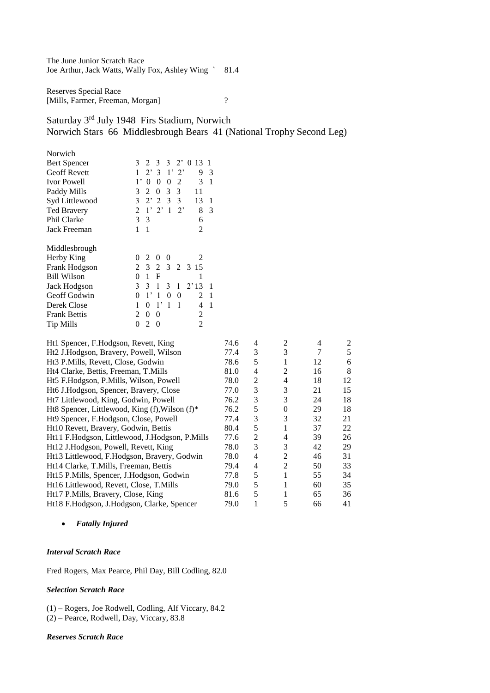The June Junior Scratch Race Joe Arthur, Jack Watts, Wally Fox, Ashley Wing ` 81.4

Reserves Special Race [Mills, Farmer, Freeman, Morgan] ?

Saturday 3rd July 1948 Firs Stadium, Norwich Norwich Stars 66 Middlesbrough Bears 41 (National Trophy Second Leg)

| Norwich             |                                                              |   |
|---------------------|--------------------------------------------------------------|---|
| <b>Bert Spencer</b> | 3<br>3 3 2 0 13<br>2<br>1                                    |   |
| <b>Geoff Revett</b> | $2^{\circ}$<br>$3 \frac{1}{2}$<br>1<br>$2^{\circ}$<br>9      | 3 |
| <b>Ivor Powell</b>  | $\mathbf{1}$ ,<br>3<br>0<br>0<br>0<br>2                      | 1 |
| Paddy Mills         | 3<br>3<br>$\Omega$<br>3<br>2<br>11                           |   |
| Syd Littlewood      | 3<br>$2^{\circ}$ 2<br>3 <sup>3</sup><br>13                   | 1 |
| <b>Ted Bravery</b>  | 1'2'<br>$\overline{2}$<br>$2^{\circ}$<br>$\overline{1}$<br>8 | 3 |
| Phil Clarke         | 3<br>3<br>6                                                  |   |
| Jack Freeman        | 1<br>1<br>2                                                  |   |
| Middlesbrough       |                                                              |   |
| Herby King          | 2<br>0<br>0<br>2<br>$\theta$                                 |   |
| Frank Hodgson       | 3 2 3<br>2<br>2 3 15                                         |   |
| <b>Bill Wilson</b>  | 1<br>0<br>F<br>1                                             |   |
| Jack Hodgson        | 3<br>3<br>1<br>3<br>2'13<br>1                                | 1 |
| Geoff Godwin        | $1^{\circ}$<br>1<br>0<br>0<br>2<br>0                         | 1 |
| Derek Close         | $1^{\circ}$<br>1<br>1<br>1<br>0<br>4                         | 1 |
| <b>Frank Bettis</b> | 0<br>0<br>2<br>2                                             |   |
| <b>Tip Mills</b>    | 2<br>2<br>0<br>0                                             |   |

| Ht1 Spencer, F.Hodgson, Revett, King           | 74.6 | 4 | 2              | 4  | $\mathfrak{D}$ |
|------------------------------------------------|------|---|----------------|----|----------------|
| Ht2 J.Hodgson, Bravery, Powell, Wilson         | 77.4 | 3 | 3              |    | 5              |
| Ht3 P.Mills, Revett, Close, Godwin             | 78.6 | 5 |                | 12 | 6              |
| Ht4 Clarke, Bettis, Freeman, T.Mills           | 81.0 | 4 | $\overline{c}$ | 16 | 8              |
| Ht5 F.Hodgson, P.Mills, Wilson, Powell         | 78.0 | 2 | 4              | 18 | 12             |
| Ht6 J.Hodgson, Spencer, Bravery, Close         | 77.0 | 3 | 3              | 21 | 15             |
| Ht7 Littlewood, King, Godwin, Powell           | 76.2 | 3 | 3              | 24 | 18             |
| Ht8 Spencer, Littlewood, King (f), Wilson (f)* | 76.2 | 5 | $\Omega$       | 29 | 18             |
| Ht9 Spencer, F.Hodgson, Close, Powell          | 77.4 | 3 | 3              | 32 | 21             |
| Ht10 Revett, Bravery, Godwin, Bettis           | 80.4 | 5 |                | 37 | 22             |
| Ht11 F.Hodgson, Littlewood, J.Hodgson, P.Mills | 77.6 | 2 | 4              | 39 | 26             |
| Ht12 J.Hodgson, Powell, Revett, King           | 78.0 | 3 | 3              | 42 | 29             |
| Ht13 Littlewood, F.Hodgson, Bravery, Godwin    | 78.0 | 4 | 2              | 46 | 31             |
| Ht14 Clarke, T.Mills, Freeman, Bettis          | 79.4 | 4 | $\overline{c}$ | 50 | 33             |
| Ht15 P.Mills, Spencer, J.Hodgson, Godwin       | 77.8 | 5 |                | 55 | 34             |
| Ht16 Littlewood, Revett, Close, T.Mills        | 79.0 | 5 |                | 60 | 35             |
| Ht17 P.Mills, Bravery, Close, King             | 81.6 | 5 |                | 65 | 36             |
| Ht18 F.Hodgson, J.Hodgson, Clarke, Spencer     | 79.0 | 1 |                | 66 | 41             |

*Fatally Injured*

## *Interval Scratch Race*

Fred Rogers, Max Pearce, Phil Day, Bill Codling, 82.0

## *Selection Scratch Race*

(1) – Rogers, Joe Rodwell, Codling, Alf Viccary, 84.2 (2) – Pearce, Rodwell, Day, Viccary, 83.8

#### *Reserves Scratch Race*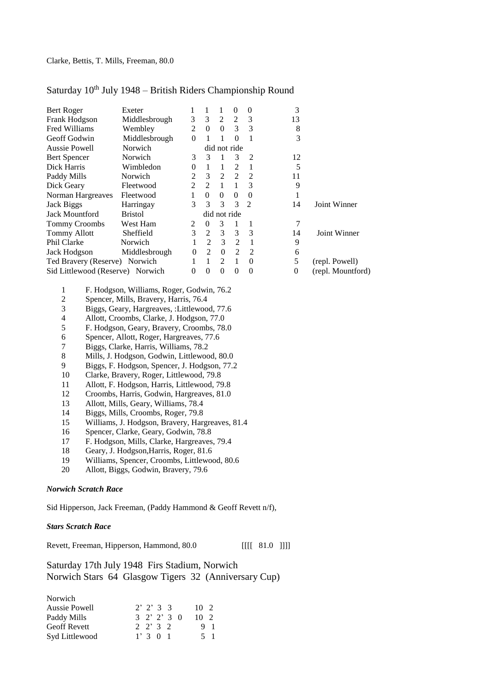# Saturday 10<sup>th</sup> July 1948 - British Riders Championship Round

| Bert Roger                       | Exeter         | 1              |                | 1              | $\Omega$       | 0             | 3              |                   |
|----------------------------------|----------------|----------------|----------------|----------------|----------------|---------------|----------------|-------------------|
| Frank Hodgson                    | Middlesbrough  | 3              | 3              | 2              | 2              | 3             | 13             |                   |
| Fred Williams                    | Wembley        | $\mathfrak{D}$ | $\Omega$       | $\Omega$       | 3              | $\mathcal{R}$ | 8              |                   |
| Geoff Godwin                     | Middlesbrough  | $\theta$       |                |                | $\Omega$       |               | 3              |                   |
| <b>Aussie Powell</b>             | Norwich        |                |                |                | did not ride   |               |                |                   |
| Bert Spencer                     | Norwich        | 3              | $\mathcal{R}$  |                | 3              | 2             | 12             |                   |
| Dick Harris                      | Wimbledon      | 0              |                | $\overline{1}$ | $\mathcal{L}$  |               | 5              |                   |
| Paddy Mills                      | Norwich        | 2              | $\mathcal{F}$  | 2              | $\mathfrak{D}$ | 2             | 11             |                   |
| Dick Geary                       | Fleetwood      | $\mathfrak{D}$ | $\mathfrak{D}$ | $\overline{1}$ |                | 3             | 9              |                   |
| Norman Hargreaves                | Fleetwood      |                | $\Omega$       | $\Omega$       | $\Omega$       | 0             | 1              |                   |
| Jack Biggs                       | Harringay      | 3              | 3              | 3              | 3              | 2             | 14             | Joint Winner      |
| <b>Jack Mountford</b>            | <b>Bristol</b> |                |                | did not ride   |                |               |                |                   |
| <b>Tommy Croombs</b>             | West Ham       | 2              | 0              | 3              |                |               | 7              |                   |
| <b>Tommy Allott</b>              | Sheffield      | 3              | 2              | 3              | 3              | 3             | 14             | Joint Winner      |
| Phil Clarke                      | <b>Norwich</b> |                | $\mathfrak{D}$ | $\mathcal{R}$  | $\mathfrak{D}$ |               | 9              |                   |
| Jack Hodgson                     | Middlesbrough  | 0              | $\mathfrak{D}$ | $\Omega$       | $\mathcal{L}$  | $\mathcal{D}$ | 6              |                   |
| Ted Bravery (Reserve) Norwich    |                |                |                | $\mathfrak{D}$ | 1              | $\Omega$      | 5              | (repl. Powell)    |
| Sid Littlewood (Reserve) Norwich |                | 0              | $\theta$       | $\Omega$       | 0              | $\theta$      | $\overline{0}$ | (repl. Mountford) |

- 1 F. Hodgson, Williams, Roger, Godwin, 76.2<br>2 Spencer, Mills, Bravery, Harris, 76.4
- 2 Spencer, Mills, Bravery, Harris, 76.4
- 3 Biggs, Geary, Hargreaves, :Littlewood, 77.6
- 4 Allott, Croombs, Clarke, J. Hodgson, 77.0
- 5 F. Hodgson, Geary, Bravery, Croombs, 78.0
- 6 Spencer, Allott, Roger, Hargreaves, 77.6<br>7 Biggs, Clarke, Harris, Williams, 78.2
- 7 Biggs, Clarke, Harris, Williams, 78.2<br>8 Mills, J. Hodgson, Godwin, Littlewoo
- 8 Mills, J. Hodgson, Godwin, Littlewood, 80.0<br>9 Biggs, F. Hodgson, Spencer, J. Hodgson, 77.2
- 9 Biggs, F. Hodgson, Spencer, J. Hodgson, 77.2<br>10 Clarke. Bravery. Roger. Littlewood. 79.8
- 10 Clarke, Bravery, Roger, Littlewood, 79.8<br>11 Allott, F. Hodgson, Harris, Littlewood, 79
- 11 Allott, F. Hodgson, Harris, Littlewood, 79.8
- 12 Croombs, Harris, Godwin, Hargreaves, 81.0
- 13 Allott, Mills, Geary, Williams, 78.4
- 14 Biggs, Mills, Croombs, Roger, 79.8
- 15 Williams, J. Hodgson, Bravery, Hargreaves, 81.4
- 16 Spencer, Clarke, Geary, Godwin, 78.8
- 17 F. Hodgson, Mills, Clarke, Hargreaves, 79.4
- 18 Geary, J. Hodgson,Harris, Roger, 81.6
- 19 Williams, Spencer, Croombs, Littlewood, 80.6
- 20 Allott, Biggs, Godwin, Bravery, 79.6

#### *Norwich Scratch Race*

Sid Hipperson, Jack Freeman, (Paddy Hammond & Geoff Revett n/f),

## *Stars Scratch Race*

Revett, Freeman, Hipperson, Hammond, 80.0 [[[[ 81.0 ]]]]

Saturday 17th July 1948 Firs Stadium, Norwich Norwich Stars 64 Glasgow Tigers 32 (Anniversary Cup)

| Norwich             |                       |          |
|---------------------|-----------------------|----------|
| Aussie Powell       | $2'$ $2'$ 3 3         | $10^{2}$ |
| Paddy Mills         | $3 \t2' \t2' \t3 \t0$ | $10^{9}$ |
| <b>Geoff Revett</b> | $2 \t2 \t3 \t2$       | 9 1      |
| Syd Littlewood      | 1' 3 0 1              | 5 1      |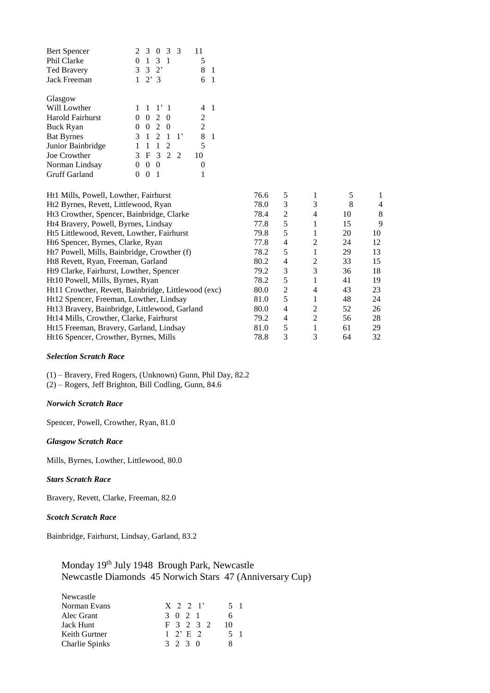| <b>Bert Spencer</b> | 3<br>3<br>0<br>3                                               |         |
|---------------------|----------------------------------------------------------------|---------|
| Phil Clarke         | 3 1<br>1                                                       | 5       |
| <b>Ted Bravery</b>  | 3<br>3<br>$2^{\circ}$                                          | 8<br>-1 |
| <b>Jack Freeman</b> | $2^{\prime}$ 3<br>1                                            | 6<br>-1 |
| Glasgow             |                                                                |         |
| Will Lowther        | $-1$ '1<br>-1                                                  |         |
| Harold Fairhurst    | 2<br>- 0<br>0<br>$\theta$                                      | 2       |
| <b>Buck Ryan</b>    | $\mathfrak{D}$<br>$\Omega$<br>0                                | 2       |
| <b>Bat Byrnes</b>   | $\mathfrak{D}$<br>$1^,$<br>3<br>$\mathbf{1}$<br>$\overline{1}$ | 8<br>-1 |
| Junior Bainbridge   | 1<br>1<br>2                                                    | 5       |
| Joe Crowther        | 3 <sub>2</sub><br>3<br>F<br>- 2                                | 10      |
| Norman Lindsay      | 0<br>$\Omega$                                                  |         |
| Gruff Garland       | 1                                                              |         |

| Ht1 Mills, Powell, Lowther, Fairhurst               | 76.6 | 5 |                | 5  | 1  |
|-----------------------------------------------------|------|---|----------------|----|----|
| Ht <sub>2</sub> Byrnes, Revett, Littlewood, Ryan    | 78.0 | 3 | 3              | 8  | 4  |
| Ht3 Crowther, Spencer, Bainbridge, Clarke           | 78.4 | 2 | 4              | 10 | 8  |
| Ht4 Bravery, Powell, Byrnes, Lindsay                | 77.8 | 5 |                | 15 | 9  |
| Ht5 Littlewood, Revett, Lowther, Fairhurst          | 79.8 | 5 |                | 20 | 10 |
| Ht6 Spencer, Byrnes, Clarke, Ryan                   | 77.8 | 4 | $\mathfrak{D}$ | 24 | 12 |
| Ht7 Powell, Mills, Bainbridge, Crowther (f)         | 78.2 | 5 |                | 29 | 13 |
| Ht8 Revett, Ryan, Freeman, Garland                  | 80.2 | 4 | 2              | 33 | 15 |
| Ht9 Clarke, Fairhurst, Lowther, Spencer             | 79.2 | 3 | 3              | 36 | 18 |
| Ht10 Powell, Mills, Byrnes, Ryan                    | 78.2 | 5 |                | 41 | 19 |
| Ht11 Crowther, Revett, Bainbridge, Littlewood (exc) | 80.0 | 2 | 4              | 43 | 23 |
| Ht12 Spencer, Freeman, Lowther, Lindsay             | 81.0 | 5 |                | 48 | 24 |
| Ht13 Bravery, Bainbridge, Littlewood, Garland       | 80.0 | 4 | 2              | 52 | 26 |
| Ht14 Mills, Crowther, Clarke, Fairhurst             | 79.2 | 4 | $\mathfrak{D}$ | 56 | 28 |
| Ht15 Freeman, Bravery, Garland, Lindsay             | 81.0 | 5 |                | 61 | 29 |
| Ht16 Spencer, Crowther, Byrnes, Mills               | 78.8 | 3 | 3              | 64 | 32 |
|                                                     |      |   |                |    |    |

## *Selection Scratch Race*

(1) – Bravery, Fred Rogers, (Unknown) Gunn, Phil Day, 82.2

(2) – Rogers, Jeff Brighton, Bill Codling, Gunn, 84.6

## *Norwich Scratch Race*

Spencer, Powell, Crowther, Ryan, 81.0

## *Glasgow Scratch Race*

Mills, Byrnes, Lowther, Littlewood, 80.0

## *Stars Scratch Race*

Bravery, Revett, Clarke, Freeman, 82.0

## *Scotch Scratch Race*

Bainbridge, Fairhurst, Lindsay, Garland, 83.2

# Monday 19<sup>th</sup> July 1948 Brough Park, Newcastle Newcastle Diamonds 45 Norwich Stars 47 (Anniversary Cup)

| $X \t2 \t2 \t1'$ | 5 1 |
|------------------|-----|
| 3 0 2 1          | 6   |
| F 3 2 3 2        | 10  |
| $1 \t2 \tE \t2$  | 5 1 |
| 3 2 3 0          | x   |
|                  |     |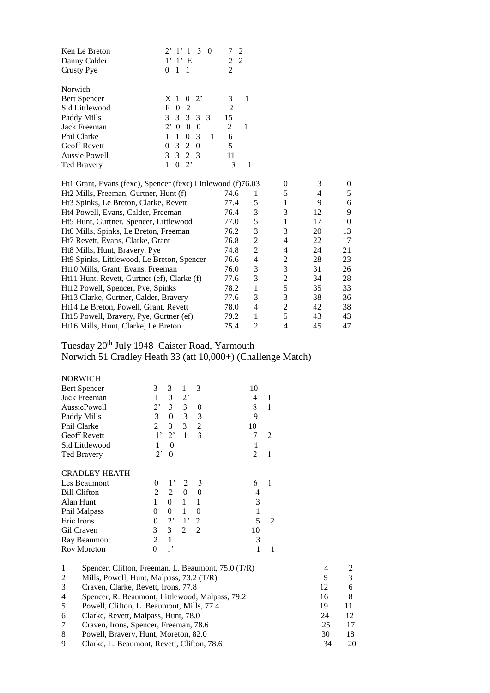| 2 2 |
|-----|
|     |
| 2   |
|     |
| 3   |
| 2   |
| 15  |
| 2   |
| 6   |
| 5   |
| 11  |
| 3   |
|     |

| Ht1 Grant, Evans (fexc), Spencer (fexc) Littlewood (f)76.03 |      |                | 0 | 3  |    |
|-------------------------------------------------------------|------|----------------|---|----|----|
| Ht2 Mills, Freeman, Gurtner, Hunt (f)                       | 74.6 |                | 5 | 4  |    |
| Ht3 Spinks, Le Breton, Clarke, Revett                       | 77.4 | 5              | 1 | 9  | 6  |
| Ht4 Powell, Evans, Calder, Freeman                          | 76.4 | 3              | 3 | 12 | 9  |
| Ht5 Hunt, Gurtner, Spencer, Littlewood                      | 77.0 | 5              |   | 17 | 10 |
| Ht6 Mills, Spinks, Le Breton, Freeman                       | 76.2 | 3              | 3 | 20 | 13 |
| Ht7 Revett, Evans, Clarke, Grant                            | 76.8 | 2              | 4 | 22 | 17 |
| Ht8 Mills, Hunt, Bravery, Pye                               | 74.8 | $\mathfrak{D}$ | 4 | 24 | 21 |
| Ht9 Spinks, Littlewood, Le Breton, Spencer                  | 76.6 | 4              | 2 | 28 | 23 |
| Ht10 Mills, Grant, Evans, Freeman                           | 76.0 | 3              | 3 | 31 | 26 |
| Ht11 Hunt, Revett, Gurtner (ef), Clarke (f)                 | 77.6 | 3              | 2 | 34 | 28 |
| Ht12 Powell, Spencer, Pye, Spinks                           | 78.2 | 1              | 5 | 35 | 33 |
| Ht13 Clarke, Gurtner, Calder, Bravery                       | 77.6 | 3              | 3 | 38 | 36 |
| Ht14 Le Breton, Powell, Grant, Revett                       | 78.0 | 4              | 2 | 42 | 38 |
| Ht15 Powell, Bravery, Pye, Gurtner (ef)                     | 79.2 | 1              | 5 | 43 | 43 |
| Ht16 Mills, Hunt, Clarke, Le Breton                         | 75.4 | $\mathfrak{D}$ | 4 | 45 | 47 |

Tuesday 20<sup>th</sup> July 1948 Caister Road, Yarmouth

Norwich 51 Cradley Heath 33 (att 10,000+) (Challenge Match)

| <b>NORWICH</b> |  |
|----------------|--|
|                |  |
| Bert Spencer   |  |
|                |  |

| <b>Bert Spencer</b>  | 3           | 3              | 1           | 3              | 10 |                               |
|----------------------|-------------|----------------|-------------|----------------|----|-------------------------------|
| Jack Freeman         | 1           | 0              | $2^{\circ}$ | 1              | 4  |                               |
| AussiePowell         | $2^,$       | 3              | 3           | 0              | 8  |                               |
| Paddy Mills          | 3           | $\theta$       | 3           | 3              | 9  |                               |
| Phil Clarke          | 2           | 3              | 3           | $\overline{2}$ | 10 |                               |
| Geoff Revett         | $1^{\circ}$ | $2^,$          | 1           | 3              |    | $\mathfrak{D}_{\mathfrak{p}}$ |
| Sid Littlewood       |             | $\theta$       |             |                |    |                               |
| <b>Ted Bravery</b>   | $2^,$       | $\theta$       |             |                | 2  |                               |
| <b>CRADLEY HEATH</b> |             |                |             |                |    |                               |
| Les Beaumont         | 0           | $1^{\circ}$    | 2           | 3              | 6  |                               |
| <b>Bill Clifton</b>  | 2           | $\overline{2}$ | 0           | $\theta$       | 4  |                               |
| Alan Hunt            | 1           | 0              | 1           |                | 3  |                               |
| Phil Malpass         | 0           | $\overline{0}$ | 1           | 0              | 1  |                               |
| Eric Irons           | 0           | $2^{\circ}$    | $1^{\circ}$ | 2              | 5  | $\mathcal{D}_{\mathcal{L}}$   |
| Gil Craven           | 3           | 3              | 2           | $\mathfrak{D}$ | 10 |                               |
| Ray Beaumont         | 2           |                |             |                | 3  |                               |
| Roy Moreton          | 0           | $\mathbf{1}$ , |             |                |    |                               |
|                      |             |                |             |                |    |                               |

|                | Spencer, Clifton, Freeman, L. Beaumont, 75.0 (T/R) |    |    |
|----------------|----------------------------------------------------|----|----|
| 2              | Mills, Powell, Hunt, Malpass, 73.2 (T/R)           |    |    |
| 3              | Craven, Clarke, Revett, Irons, 77.8                | 12 | 6  |
| $\overline{4}$ | Spencer, R. Beaumont, Littlewood, Malpass, 79.2    | 16 |    |
| -5             | Powell, Clifton, L. Beaumont, Mills, 77.4          | 19 |    |
| 6              | Clarke, Revett, Malpass, Hunt, 78.0                | 24 | 12 |
| 7              | Craven, Irons, Spencer, Freeman, 78.6              | 25 |    |
| 8              | Powell, Bravery, Hunt, Moreton, 82.0               | 30 | 18 |
| 9              | Clarke, L. Beaumont, Revett, Clifton, 78.6         | 34 | 20 |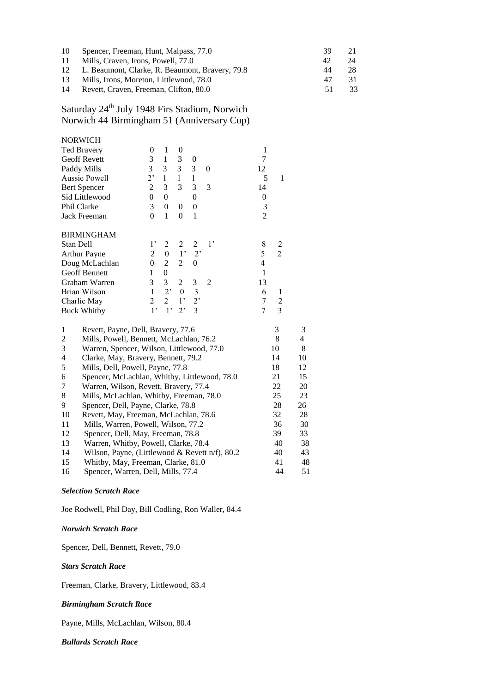| 10 | Spencer, Freeman, Hunt, Malpass, 77.0           | 39 |    |
|----|-------------------------------------------------|----|----|
| 11 | Mills, Craven, Irons, Powell, 77.0              | 42 |    |
| 12 | L. Beaumont, Clarke, R. Beaumont, Bravery, 79.8 | 44 |    |
| 13 | Mills, Irons, Moreton, Littlewood, 78.0         |    | 31 |
| 14 | Revett, Craven, Freeman, Clifton, 80.0          | 51 | 33 |

Saturday 24<sup>th</sup> July 1948 Firs Stadium, Norwich Norwich 44 Birmingham 51 (Anniversary Cup)

| <b>NORWICH</b>                          |              |                |                |                |             |                |                |   |
|-----------------------------------------|--------------|----------------|----------------|----------------|-------------|----------------|----------------|---|
| <b>Ted Bravery</b>                      | 0            | 1              | 0              |                |             | 1              |                |   |
| <b>Geoff Revett</b>                     | 3            | 1              | 3              | $\overline{0}$ |             | 7              |                |   |
| Paddy Mills                             | 3            | 3              | 3 <sup>7</sup> | 3              | $\Omega$    | 12             |                |   |
| Aussie Powell                           | $2^,$        | 1              | 1              | 1              |             | 5              | 1              |   |
| <b>Bert Spencer</b>                     | 2            | 3              | 3              | 3              | 3           | 14             |                |   |
| Sid Littlewood                          | $\theta$     | $\theta$       |                | $\theta$       |             | $\theta$       |                |   |
| Phil Clarke                             | 3            | $\theta$       | 0              | 0              |             | 3              |                |   |
| Jack Freeman                            | $\theta$     | 1              | $\theta$       | 1              |             | $\overline{c}$ |                |   |
| <b>BIRMINGHAM</b>                       |              |                |                |                |             |                |                |   |
| Stan Dell                               | $1^{\circ}$  | 2              | 2              | $\mathfrak{D}$ | $1^{\circ}$ | 8              | 2              |   |
| <b>Arthur Payne</b>                     | 2            | $\theta$       | $1^{\circ}$    | $2^{\circ}$    |             | 5              | $\overline{2}$ |   |
| Doug McLachlan                          | $\mathbf{0}$ | 2              | 2              | $\Omega$       |             | 4              |                |   |
| <b>Geoff Bennett</b>                    | 1            | $\overline{0}$ |                |                |             | 1              |                |   |
| Graham Warren                           | 3            | 3              | $\overline{2}$ | 3              | 2           | 13             |                |   |
| Brian Wilson                            | 1            | $2^,$          | $\theta$       | 3              |             | 6              | 1              |   |
| Charlie May                             | 2            | $2^{\circ}$    | $1^{\circ}$    | $2^{\circ}$    |             | 7              | 2              |   |
| <b>Buck Whitby</b>                      | $1^{\circ}$  | $1^{\circ}$    | $2^,$          | 3              |             | 7              | 3              |   |
| 1<br>Revett, Payne, Dell, Bravery, 77.6 |              |                |                |                |             |                | 3              | 3 |

| Mills, Powell, Bennett, McLachlan, 76.2        | 8  | 4  |
|------------------------------------------------|----|----|
| Warren, Spencer, Wilson, Littlewood, 77.0      | 10 | 8  |
| Clarke, May, Bravery, Bennett, 79.2            | 14 | 10 |
| Mills, Dell, Powell, Payne, 77.8               | 18 | 12 |
| Spencer, McLachlan, Whitby, Littlewood, 78.0   | 21 | 15 |
| Warren, Wilson, Revett, Bravery, 77.4          | 22 | 20 |
| Mills, McLachlan, Whitby, Freeman, 78.0        | 25 | 23 |
| Spencer, Dell, Payne, Clarke, 78.8             | 28 | 26 |
| Revett, May, Freeman, McLachlan, 78.6          | 32 | 28 |
| Mills, Warren, Powell, Wilson, 77.2            | 36 | 30 |
| Spencer, Dell, May, Freeman, 78.8              | 39 | 33 |
| Warren, Whitby, Powell, Clarke, 78.4           | 40 | 38 |
| Wilson, Payne, (Littlewood & Revett n/f), 80.2 | 40 | 43 |
| Whitby, May, Freeman, Clarke, 81.0             | 41 | 48 |
| Spencer, Warren, Dell, Mills, 77.4             | 44 | 51 |
|                                                |    |    |

## *Selection Scratch Race*

Joe Rodwell, Phil Day, Bill Codling, Ron Waller, 84.4

## *Norwich Scratch Race*

Spencer, Dell, Bennett, Revett, 79.0

## *Stars Scratch Race*

Freeman, Clarke, Bravery, Littlewood, 83.4

## *Birmingham Scratch Race*

Payne, Mills, McLachlan, Wilson, 80.4

#### *Bullards Scratch Race*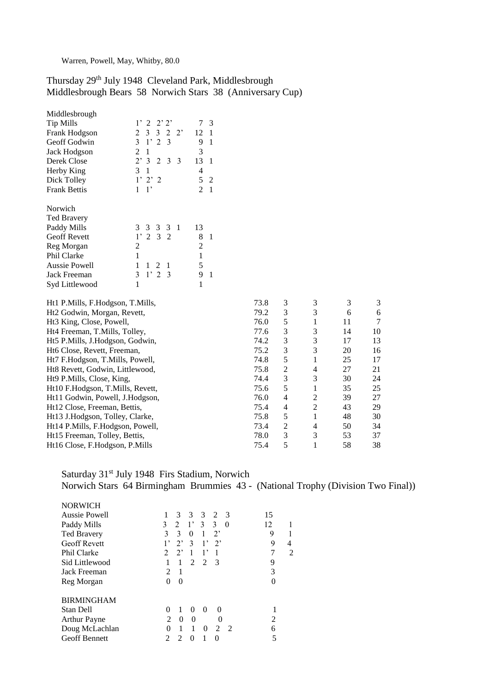Warren, Powell, May, Whitby, 80.0

# Thursday 29<sup>th</sup> July 1948 Cleveland Park, Middlesbrough Middlesbrough Bears 58 Norwich Stars 38 (Anniversary Cup)

| Middlesbrough       |                                             |    |    |
|---------------------|---------------------------------------------|----|----|
| <b>Tip Mills</b>    | 1' 2 2' 2'                                  |    | 3  |
| Frank Hodgson       | 2 3 3 2 2'                                  | 12 | 1  |
| Geoff Godwin        | $3 \t1' 2 \t3$                              | 9  | 1  |
| Jack Hodgson        | 2<br>1                                      | 3  |    |
| Derek Close         | $2^{\circ}3$<br>$\overline{2}$<br>- 3<br>-3 | 13 | 1  |
| Herby King          | 3<br>1                                      | 4  |    |
| Dick Tolley         | $1'$ $2'$ $2$                               | 5  | 2  |
| <b>Frank Bettis</b> | $1^{\circ}$<br>1                            | 2  | -1 |
| Norwich             |                                             |    |    |
| <b>Ted Bravery</b>  |                                             |    |    |
| Paddy Mills         | 3 3 3 3 1                                   | 13 |    |
| <b>Geoff Revett</b> | 1' 2 3 2                                    | 8  | 1  |
| Reg Morgan          | 2                                           | 2  |    |
| <b>Phil Clarke</b>  | 1                                           | 1  |    |
| Aussie Powell       | 1<br>1<br>2<br>1                            | 5  |    |
| Jack Freeman        | 1'23<br>3                                   | 9  | 1  |
| Syd Littlewood      |                                             | 1  |    |

| Ht1 P.Mills, F.Hodgson, T.Mills,     | 73.8 | 3 | 3              | 3  | 3  |
|--------------------------------------|------|---|----------------|----|----|
| Ht2 Godwin, Morgan, Revett,          | 79.2 | 3 | 3              | 6  | 6  |
| Ht <sub>3</sub> King, Close, Powell, | 76.0 | 5 | 1              | 11 | 7  |
| Ht4 Freeman, T.Mills, Tolley,        | 77.6 | 3 | 3              | 14 | 10 |
| Ht5 P.Mills, J.Hodgson, Godwin,      | 74.2 | 3 | 3              | 17 | 13 |
| Ht6 Close, Revett, Freeman,          | 75.2 | 3 | 3              | 20 | 16 |
| Ht7 F.Hodgson, T.Mills, Powell,      | 74.8 | 5 |                | 25 | 17 |
| Ht8 Revett, Godwin, Littlewood,      | 75.8 | 2 | 4              | 27 | 21 |
| Ht9 P.Mills, Close, King,            | 74.4 | 3 | 3              | 30 | 24 |
| Ht10 F.Hodgson, T.Mills, Revett,     | 75.6 | 5 |                | 35 | 25 |
| Ht11 Godwin, Powell, J.Hodgson,      | 76.0 | 4 | $\overline{2}$ | 39 | 27 |
| Ht12 Close, Freeman, Bettis,         | 75.4 | 4 | $\overline{2}$ | 43 | 29 |
| Ht13 J.Hodgson, Tolley, Clarke,      | 75.8 | 5 |                | 48 | 30 |
| Ht14 P.Mills, F.Hodgson, Powell,     | 73.4 | 2 | 4              | 50 | 34 |
| Ht15 Freeman, Tolley, Bettis,        | 78.0 | 3 | 3              | 53 | 37 |
| Ht16 Close, F.Hodgson, P.Mills       | 75.4 | 5 |                | 58 | 38 |
|                                      |      |   |                |    |    |

# Saturday 31<sup>st</sup> July 1948 Firs Stadium, Norwich Norwich Stars 64 Birmingham Brummies 43 - (National Trophy (Division Two Final))

| <b>NORWICH</b><br><b>Aussie Powell</b><br>Paddy Mills<br><b>Ted Bravery</b><br><b>Geoff Revett</b><br>Phil Clarke<br>Sid Littlewood | $\mathcal{F}$<br>3<br>3<br>2<br>- 3<br>$\mathfrak{Z}$<br>3<br>2<br>$1^{\circ}$<br>3<br>$\theta$<br>3<br>3<br>$\mathbf{1}$<br>$2^,$<br>$\bf{0}$<br>1,<br>$\mathcal{E}$<br>$2^{\circ}$<br>$2^{\circ}$<br>$1^{\circ}$<br>$2^,$<br>1,<br>$\mathcal{L}$<br>1<br>1<br>$\mathcal{D}_{\mathcal{L}}$<br>$\mathfrak{D}$<br>$\mathcal{F}$<br>$\mathbf{1}$<br>1 | 15<br>12<br>1<br>9<br>1<br>9<br>4<br>7<br>2<br>9 |
|-------------------------------------------------------------------------------------------------------------------------------------|-----------------------------------------------------------------------------------------------------------------------------------------------------------------------------------------------------------------------------------------------------------------------------------------------------------------------------------------------------|--------------------------------------------------|
| Jack Freeman<br>Reg Morgan                                                                                                          | 2<br>$\mathbf{1}$<br>$\theta$<br>0                                                                                                                                                                                                                                                                                                                  | 3<br>$\Omega$                                    |
| <b>BIRMINGHAM</b><br><b>Stan Dell</b><br><b>Arthur Payne</b><br>Doug McLachlan<br><b>Geoff Bennett</b>                              | 0<br>1<br>0<br>$\Omega$<br>$\Omega$<br>$\mathcal{D}_{\mathcal{L}}$<br>$\Omega$<br>0<br>$\mathbf{\Omega}$<br>1<br>1<br>$\Omega$<br>$\mathcal{L}$<br>$\overline{2}$<br>0<br>2<br>$\mathfrak{D}$<br>0<br>$\Omega$                                                                                                                                      | $\mathfrak{D}$<br>6<br>5                         |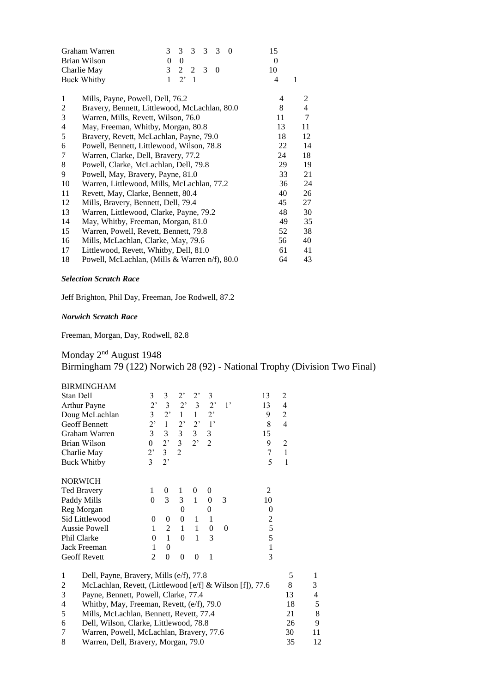|                | Graham Warren                                 | 3        | 3           | 3              | 3 | $\mathcal{F}$ | $\Omega$ | 15 |                |
|----------------|-----------------------------------------------|----------|-------------|----------------|---|---------------|----------|----|----------------|
|                | Brian Wilson                                  | $\theta$ | $\theta$    |                |   |               |          | 0  |                |
| Charlie May    |                                               |          | 2           | $\mathfrak{D}$ | 3 | $\mathbf{0}$  |          | 10 |                |
|                | <b>Buck Whitby</b>                            | 1        | $2^{\circ}$ | $\mathbf{1}$   |   |               |          | 4  | 1              |
| 1              | Mills, Payne, Powell, Dell, 76.2              |          |             |                |   |               |          | 4  | 2              |
| $\overline{c}$ | Bravery, Bennett, Littlewood, McLachlan, 80.0 |          |             |                |   |               |          | 8  | $\overline{4}$ |
| 3              | Warren, Mills, Revett, Wilson, 76.0           |          |             |                |   |               |          | 11 | $\tau$         |
| 4              | May, Freeman, Whitby, Morgan, 80.8            |          |             |                |   |               |          | 13 | 11             |
| 5              | Bravery, Revett, McLachlan, Payne, 79.0       |          |             |                |   |               |          | 18 | 12             |
| 6              | Powell, Bennett, Littlewood, Wilson, 78.8     |          |             |                |   |               |          | 22 | 14             |
| 7              | Warren, Clarke, Dell, Bravery, 77.2           |          |             |                |   |               |          | 24 | 18             |
| 8              | Powell, Clarke, McLachlan, Dell, 79.8         |          |             |                |   |               |          | 29 | 19             |
| 9              | Powell, May, Bravery, Payne, 81.0             |          |             |                |   |               |          | 33 | 21             |
| 10             | Warren, Littlewood, Mills, McLachlan, 77.2    |          |             |                |   |               |          | 36 | 24             |
| 11             | Revett, May, Clarke, Bennett, 80.4            |          |             |                |   |               |          | 40 | 26             |
| 12             | Mills, Bravery, Bennett, Dell, 79.4           |          |             |                |   |               |          | 45 | 27             |
| 13             | Warren, Littlewood, Clarke, Payne, 79.2       |          |             |                |   |               |          | 48 | 30             |
| 14             | May, Whitby, Freeman, Morgan, 81.0            |          |             |                |   |               |          | 49 | 35             |
| 15             | Warren, Powell, Revett, Bennett, 79.8         |          |             |                |   |               |          | 52 | 38             |
| 16             | Mills, McLachlan, Clarke, May, 79.6           |          |             |                |   |               |          | 56 | 40             |
| 17             | Littlewood, Revett, Whitby, Dell, 81.0        |          |             |                |   |               |          | 61 | 41             |
| 18             | Powell, McLachlan, (Mills & Warren n/f), 80.0 |          |             |                |   |               |          | 64 | 43             |
|                |                                               |          |             |                |   |               |          |    |                |

## *Selection Scratch Race*

Jeff Brighton, Phil Day, Freeman, Joe Rodwell, 87.2

## *Norwich Scratch Race*

Freeman, Morgan, Day, Rodwell, 82.8

Monday 2<sup>nd</sup> August 1948 Birmingham 79 (122) Norwich 28 (92) - National Trophy (Division Two Final)

|                    | <b>BIRMINGHAM</b>                                        |                  |                         |                  |                |                  |          |                  |                          |    |
|--------------------|----------------------------------------------------------|------------------|-------------------------|------------------|----------------|------------------|----------|------------------|--------------------------|----|
| Stan Dell          |                                                          | 3                | 3                       | $2^,$            | $2^,$          | 3                |          | 13               | 2                        |    |
| Arthur Payne       |                                                          | $2$ <sup>,</sup> | $\mathfrak{Z}$          | $2^{\circ}$      | $\mathfrak{Z}$ | $2^{\circ}$      | $1$ '    | 13               | $\overline{\mathcal{L}}$ |    |
|                    | Doug McLachlan                                           | $\overline{3}$   | $2$ '                   | $\mathbf{1}$     | $\mathbf{1}$   | $2^{\circ}$      |          | 9                | 2                        |    |
|                    | <b>Geoff Bennett</b>                                     | 2,               | $\mathbf{1}$            | $2$ <sup>,</sup> | $2^{\circ}$    | $1^{\prime}$     |          | 8                | $\overline{4}$           |    |
|                    | Graham Warren                                            | 3                | 3                       | $\overline{3}$   | 3 <sup>7</sup> | $\mathfrak{Z}$   |          | 15               |                          |    |
| Brian Wilson       |                                                          | $\boldsymbol{0}$ | $2$ '                   | $\overline{3}$   | 2 <sup>1</sup> | $\overline{2}$   |          | 9                | $\overline{2}$           |    |
| Charlie May        |                                                          | 2,               | $\overline{\mathbf{3}}$ | $\overline{2}$   |                |                  |          | 7                | $\mathbf{1}$             |    |
| <b>Buck Whitby</b> |                                                          | $\overline{3}$   | 2,                      |                  |                |                  |          | 5                | 1                        |    |
|                    |                                                          |                  |                         |                  |                |                  |          |                  |                          |    |
| <b>NORWICH</b>     |                                                          |                  |                         |                  |                |                  |          |                  |                          |    |
| <b>Ted Bravery</b> |                                                          | 1                | $\theta$                | 1                | $\theta$       | $\theta$         |          | $\overline{2}$   |                          |    |
| Paddy Mills        |                                                          | $\theta$         | 3                       | 3                | $\mathbf{1}$   | $\boldsymbol{0}$ | 3        | 10               |                          |    |
| Reg Morgan         |                                                          |                  |                         | $\Omega$         |                | $\Omega$         |          | $\boldsymbol{0}$ |                          |    |
|                    | Sid Littlewood                                           | $\mathbf{0}$     | $\theta$                | $\theta$         | 1              | 1                |          | $\frac{2}{5}$    |                          |    |
|                    | Aussie Powell                                            | 1                | $\overline{2}$          | $\mathbf{1}$     | $\mathbf{1}$   | $\boldsymbol{0}$ | $\theta$ |                  |                          |    |
| Phil Clarke        |                                                          | $\Omega$         | $\mathbf{1}$            | $\Omega$         | 1              | 3                |          | 5                |                          |    |
| Jack Freeman       |                                                          | $\mathbf{1}$     | $\theta$                |                  |                |                  |          | $\mathbf{1}$     |                          |    |
| Geoff Revett       |                                                          | $\overline{2}$   | $\theta$                | $\theta$         | $\Omega$       | 1                |          | 3                |                          |    |
| $\mathbf{1}$       | Dell, Payne, Bravery, Mills (e/f), 77.8                  |                  |                         |                  |                |                  |          |                  | 5                        | 1  |
| $\overline{c}$     | McLachlan, Revett, (Littlewood [e/f] & Wilson [f]), 77.6 |                  |                         |                  |                |                  |          |                  | 8                        | 3  |
| 3                  | Payne, Bennett, Powell, Clarke, 77.4                     |                  |                         |                  |                |                  |          |                  | 13                       | 4  |
| 4                  | Whitby, May, Freeman, Revett, (e/f), 79.0                |                  |                         |                  |                |                  |          |                  | 18                       | 5  |
| 5                  | Mills, McLachlan, Bennett, Revett, 77.4                  |                  |                         |                  |                |                  |          |                  | 21                       | 8  |
| 6                  | Dell, Wilson, Clarke, Littlewood, 78.8                   |                  |                         |                  |                |                  |          |                  | 26                       | 9  |
| 7                  | Warren, Powell, McLachlan, Bravery, 77.6                 |                  |                         |                  |                |                  |          |                  | 30                       | 11 |
|                    |                                                          |                  |                         |                  |                |                  |          |                  |                          |    |

|  |  | Warren, Dell, Bravery, Morgan, 79.0 | 12 |  |
|--|--|-------------------------------------|----|--|
|--|--|-------------------------------------|----|--|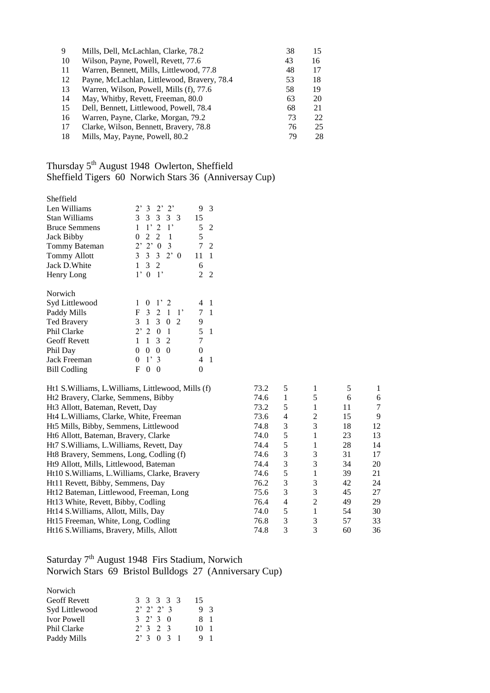| 9  | Mills, Dell, McLachlan, Clarke, 78.2        | 38 | 15 |
|----|---------------------------------------------|----|----|
| 10 | Wilson, Payne, Powell, Revett, 77.6         | 43 | 16 |
| 11 | Warren, Bennett, Mills, Littlewood, 77.8    | 48 | 17 |
| 12 | Payne, McLachlan, Littlewood, Bravery, 78.4 | 53 | 18 |
| 13 | Warren, Wilson, Powell, Mills (f), 77.6     | 58 | 19 |
| 14 | May, Whitby, Revett, Freeman, 80.0          | 63 | 20 |
| 15 | Dell, Bennett, Littlewood, Powell, 78.4     | 68 | 21 |
| 16 | Warren, Payne, Clarke, Morgan, 79.2         | 73 | 22 |
| 17 | Clarke, Wilson, Bennett, Bravery, 78.8      | 76 | 25 |
| 18 | Mills, May, Payne, Powell, 80.2             | 79 | 28 |

# Thursday 5<sup>th</sup> August 1948 Owlerton, Sheffield Sheffield Tigers 60 Norwich Stars 36 (Anniversay Cup)

| Sheffield                                           |                                                    |                |                |      |   |                |    |   |
|-----------------------------------------------------|----------------------------------------------------|----------------|----------------|------|---|----------------|----|---|
| Len Williams                                        | 2' 3 2' 2'                                         | 9              | 3              |      |   |                |    |   |
| <b>Stan Williams</b>                                | 3 3 3 3 3                                          | 15             |                |      |   |                |    |   |
| <b>Bruce Semmens</b>                                | 1'2<br>$\mathbf{1}$                                | 5              | $\mathfrak{D}$ |      |   |                |    |   |
| Jack Bibby                                          | 2 <sub>2</sub><br>$\overline{1}$<br>$\theta$       | 5              |                |      |   |                |    |   |
| Tommy Bateman                                       | 2' 2' 0<br>3                                       |                | $7\quad2$      |      |   |                |    |   |
| <b>Tommy Allott</b>                                 | $3 \t2 \t0$<br>3<br>3                              | 11             | $\overline{1}$ |      |   |                |    |   |
| Jack D. White                                       | 3<br>2<br>$\mathbf{1}$                             | 6              |                |      |   |                |    |   |
| Henry Long                                          | 1'0<br>$\lceil$                                    | $\mathfrak{D}$ | 2              |      |   |                |    |   |
|                                                     |                                                    |                |                |      |   |                |    |   |
| Norwich                                             |                                                    |                |                |      |   |                |    |   |
| Syd Littlewood                                      | 1'2<br>$\overline{0}$                              | $4 \quad 1$    |                |      |   |                |    |   |
| Paddy Mills                                         | $\mathbf{3}$<br>2 1 1'<br>F                        |                | 7 1            |      |   |                |    |   |
| <b>Ted Bravery</b>                                  | 3<br>$\overline{0}$<br>2<br>-1<br>3                | 9              |                |      |   |                |    |   |
| Phil Clarke                                         | 2' 2 0<br>$\overline{1}$                           | 5              | -1             |      |   |                |    |   |
| <b>Geoff Revett</b>                                 | 3<br>1<br>$\mathcal{L}$                            | 7              |                |      |   |                |    |   |
| Phil Day                                            | $\overline{0}$<br>$\theta$<br>$\Omega$<br>$\theta$ | $\theta$       |                |      |   |                |    |   |
| Jack Freeman                                        | 1'3<br>$\theta$                                    | 4              | $\overline{1}$ |      |   |                |    |   |
| <b>Bill Codling</b>                                 | F<br>$\overline{0}$<br>$\overline{0}$              | $\theta$       |                |      |   |                |    |   |
|                                                     |                                                    |                |                |      |   |                |    |   |
| Ht1 S. Williams, L. Williams, Littlewood, Mills (f) |                                                    |                |                | 73.2 | 5 | 1              | 5  | 1 |
| Ht2 Bravery, Clarke, Semmens, Bibby                 |                                                    |                |                | 74.6 | 1 | 5              | 6  | 6 |
| Ht <sub>3</sub> Allott, Bateman, Revett, Day        |                                                    |                |                | 73.2 | 5 | 1              | 11 | 7 |
| Ht4 L. Williams, Clarke, White, Freeman             |                                                    |                |                | 73.6 | 4 | $\overline{2}$ | 15 | 9 |

| $HZ$ Dravery, Clarke, Definitions, Drovy       | $T$ . $\cup$ |   |                | $\cdot$ | v  |
|------------------------------------------------|--------------|---|----------------|---------|----|
| Ht <sub>3</sub> Allott, Bateman, Revett, Day   | 73.2         | 5 |                | 11      | 7  |
| Ht4 L. Williams, Clarke, White, Freeman        | 73.6         | 4 | $\overline{c}$ | 15      | 9  |
| Ht5 Mills, Bibby, Semmens, Littlewood          | 74.8         | 3 | 3              | 18      | 12 |
| Ht6 Allott, Bateman, Bravery, Clarke           | 74.0         | 5 |                | 23      | 13 |
| Ht7 S. Williams, L. Williams, Revett, Day      | 74.4         | 5 |                | 28      | 14 |
| Ht8 Bravery, Semmens, Long, Codling (f)        | 74.6         | 3 | 3              | 31      | 17 |
| Ht9 Allott, Mills, Littlewood, Bateman         | 74.4         | 3 | 3              | 34      | 20 |
| Ht10 S. Williams, L. Williams, Clarke, Bravery | 74.6         | 5 |                | 39      | 21 |
| Ht11 Revett, Bibby, Semmens, Day               | 76.2         | 3 | 3              | 42      | 24 |
| Ht12 Bateman, Littlewood, Freeman, Long        | 75.6         | 3 | 3              | 45      | 27 |
| Ht13 White, Revett, Bibby, Codling             | 76.4         | 4 | $\mathfrak{D}$ | 49      | 29 |
| Ht14 S. Williams, Allott, Mills, Day           | 74.0         | 5 |                | 54      | 30 |
| Ht15 Freeman, White, Long, Codling             | 76.8         | 3 | 3              | 57      | 33 |
| Ht16 S. Williams, Bravery, Mills, Allott       | 74.8         | 3 | 3              | 60      | 36 |
|                                                |              |   |                |         |    |

# Saturday 7<sup>th</sup> August 1948 Firs Stadium, Norwich Norwich Stars 69 Bristol Bulldogs 27 (Anniversary Cup)

| Norwich             |                    |                      |
|---------------------|--------------------|----------------------|
| <b>Geoff Revett</b> | 3 3 3 3 3          | 15                   |
| Syd Littlewood      | $2'$ $2'$ $2'$ $3$ | $\mathcal{R}$        |
| <b>Ivor Powell</b>  | $3 \t2' \t3 \t0$   | 81                   |
| Phil Clarke         | 2'323              | $\overline{1}$<br>10 |
| Paddy Mills         | 2 3 0 3 1          |                      |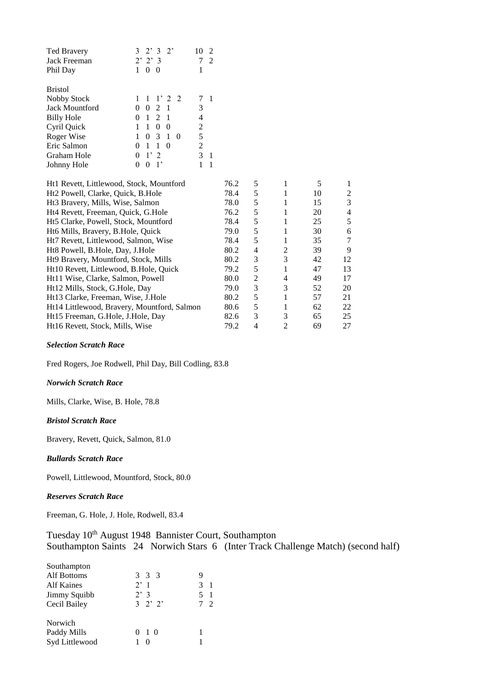| <b>Ted Bravery</b>                       | 3<br>$2^{\circ}$<br>$\mathcal{E}$<br>$2^{\circ}$          | $\mathcal{L}$<br>10 |      |   |   |            |                          |
|------------------------------------------|-----------------------------------------------------------|---------------------|------|---|---|------------|--------------------------|
| Jack Freeman                             | $2'$ $2'$ $3$                                             | 7<br>$\mathfrak{D}$ |      |   |   |            |                          |
| Phil Day                                 | $\theta$<br>$\Omega$<br>1                                 | 1                   |      |   |   |            |                          |
|                                          |                                                           |                     |      |   |   |            |                          |
| <b>Bristol</b>                           |                                                           |                     |      |   |   |            |                          |
| Nobby Stock                              | $\mathcal{L}$<br>1<br>$1^{\circ}$<br>$2^{\circ}$          | 7<br>$\overline{1}$ |      |   |   |            |                          |
| Jack Mountford                           | $\Omega$<br>2<br>$\mathbf{1}$<br>$\theta$                 | 3                   |      |   |   |            |                          |
| <b>Billy Hole</b>                        | $\overline{1}$<br>$\mathcal{D}_{\mathcal{L}}$<br>$\Omega$ | 4                   |      |   |   |            |                          |
| Cyril Quick                              | 1<br>$\Omega$<br>$\Omega$<br>1                            | 2                   |      |   |   |            |                          |
| Roger Wise                               | $\Omega$<br>$\mathcal{R}$<br>$\overline{1}$<br>$\Omega$   | 5                   |      |   |   |            |                          |
| Eric Salmon                              | -1<br>1<br>$\Omega$<br>0                                  | $\overline{2}$      |      |   |   |            |                          |
| Graham Hole                              | $1^{\circ}$<br>$\mathfrak{D}$<br>$\theta$                 | 3<br>-1             |      |   |   |            |                          |
| Johnny Hole                              | $\theta$<br>$\mathbf{1}$<br>0                             | 1<br>-1             |      |   |   |            |                          |
|                                          |                                                           |                     |      |   |   |            |                          |
| Ht1 Revett, Littlewood, Stock, Mountford |                                                           |                     | 76.2 | 5 | 1 | 5          | 1                        |
| Ht2 Powell, Clarke, Quick, B.Hole        |                                                           |                     | 78.4 | 5 | 1 | 10         | $\overline{\mathbf{c}}$  |
| Ht3 Bravery, Mills, Wise, Salmon         |                                                           |                     | 78.0 | 5 | 1 | 15         | 3                        |
| Ht4 Revett, Freeman, Quick, G.Hole       |                                                           |                     | 76.2 | 5 | 1 | 20         | $\overline{\mathcal{A}}$ |
| Ht5 Clarke, Powell, Stock, Mountford     |                                                           |                     | 78.4 | 5 | 1 | 25         | 5                        |
| Ht6 Mills, Bravery, B.Hole, Quick        |                                                           |                     | 79.0 | 5 | 1 | 30         | 6                        |
| Ht7 Revett, Littlewood, Salmon, Wise     |                                                           |                     | 78.4 | 5 | 1 | 35         | 7                        |
| Ht8 Powell, B.Hole, Day, J.Hole          |                                                           |                     | 80.2 | 4 | 2 | 39         | 9                        |
| Ht9 Bravery, Mountford, Stock, Mills     |                                                           |                     | 80.2 | 3 | 3 | 42         | 12                       |
| Ht10 Revett Littlewood R Hole Ouick      |                                                           |                     | 792  | 5 |   | $\Delta$ 7 | 13                       |

| Ht10 Revett, Littlewood, B.Hole, Quick      | 79.2 |   |   | 47 | 13 |
|---------------------------------------------|------|---|---|----|----|
| Ht11 Wise, Clarke, Salmon, Powell           | 80.0 |   | 4 | 49 | 17 |
| Ht12 Mills, Stock, G.Hole, Day              | 79.0 |   | 3 | 52 | 20 |
| Ht13 Clarke, Freeman, Wise, J.Hole          | 80.2 |   |   | 57 | 21 |
| Ht14 Littlewood, Bravery, Mountford, Salmon | 80.6 |   |   | 62 | 22 |
| Ht15 Freeman, G.Hole, J.Hole, Day           | 82.6 | 3 |   | 65 | 25 |
| Ht16 Revett, Stock, Mills, Wise             | 79.2 | Δ |   | 69 | 27 |
|                                             |      |   |   |    |    |

## *Selection Scratch Race*

Fred Rogers, Joe Rodwell, Phil Day, Bill Codling, 83.8

## *Norwich Scratch Race*

Mills, Clarke, Wise, B. Hole, 78.8

## *Bristol Scratch Race*

Bravery, Revett, Quick, Salmon, 81.0

## *Bullards Scratch Race*

Powell, Littlewood, Mountford, Stock, 80.0

## *Reserves Scratch Race*

Freeman, G. Hole, J. Hole, Rodwell, 83.4

| Tuesday 10 <sup>th</sup> August 1948 Bannister Court, Southampton |  |                                                                                   |
|-------------------------------------------------------------------|--|-----------------------------------------------------------------------------------|
|                                                                   |  | Southampton Saints 24 Norwich Stars 6 (Inter Track Challenge Match) (second half) |

| 3 3 3         |                   |
|---------------|-------------------|
| 2'1           | 3                 |
| 2'3           | 5<br>$\mathbf{1}$ |
| $3 \t2' \t2'$ | $\mathcal{D}$     |
|               |                   |
| $0 \t10$      |                   |
|               |                   |
|               |                   |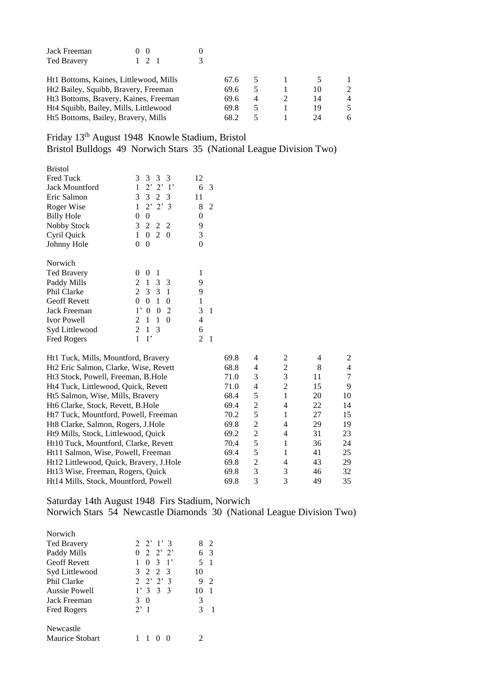| Jack Freeman                                      | - 0 |      |                |    |                |
|---------------------------------------------------|-----|------|----------------|----|----------------|
| <b>Ted Bravery</b>                                |     |      |                |    |                |
| Ht1 Bottoms, Kaines, Littlewood, Mills            |     | 67.6 |                |    |                |
| Ht <sub>2</sub> Bailey, Squibb, Bravery, Freeman  |     | 69.6 |                | 10 | $\mathfrak{D}$ |
| Ht <sub>3</sub> Bottoms, Bravery, Kaines, Freeman |     | 69.6 | $\overline{4}$ | 14 | $\overline{4}$ |
| Ht4 Squibb, Bailey, Mills, Littlewood             |     | 69.8 |                | 19 | 5              |
| Ht5 Bottoms, Bailey, Bravery, Mills               |     | 68.2 |                | 24 | 6              |

Friday 13th August 1948 Knowle Stadium, Bristol Bristol Bulldogs 49 Norwich Stars 35 (National League Division Two)

| <b>Bristol</b>      |                         |        |
|---------------------|-------------------------|--------|
| <b>Fred Tuck</b>    | 3<br>3 3 3              | 12     |
| Jack Mountford      | 1<br>$2'$ $2'$ $1'$     | 6<br>3 |
| Eric Salmon         | $\mathcal{E}$<br>3 2 3  | 11     |
| Roger Wise          | 1<br>$2'$ $2'$ $3$      | 8<br>2 |
| <b>Billy Hole</b>   | 0<br>0                  | 0      |
| Nobby Stock         | 3<br>2 2<br>- 2         | 9      |
| Cyril Quick         | $0\quad 2$<br>1<br>- 0  | 3      |
| Johnny Hole         | 0<br>0                  | 0      |
|                     |                         |        |
| Norwich             |                         |        |
| Ted Bravery         | 0<br>$\theta$<br>1      | 1      |
| Paddy Mills         | 1 3<br>2<br>- 3         | 9      |
| <b>Phil Clarke</b>  | 2<br>3 3 1              | 9      |
| <b>Geoff Revett</b> | 1<br>0<br>0<br>0        | 1      |
| Jack Freeman        | 2<br>$1^,$<br>0<br>0    | 3<br>1 |
| <b>Ivor Powell</b>  | 1<br>2<br>1<br>0        | 4      |
| Syd Littlewood      | $\mathcal{L}$<br>3<br>1 | 6      |
| <b>Fred Rogers</b>  | 1<br>1,                 | 2      |

| Ht1 Tuck, Mills, Mountford, Bravery            | 69.8 | 4 | $\mathfrak{D}$              | 4  |    |
|------------------------------------------------|------|---|-----------------------------|----|----|
| Ht2 Eric Salmon, Clarke, Wise, Revett          | 68.8 | 4 | 2                           | 8  |    |
| Ht <sub>3</sub> Stock, Powell, Freeman, B.Hole | 71.0 | 3 | 3                           | 11 |    |
| Ht4 Tuck, Littlewood, Quick, Revett            | 71.0 | 4 | $\mathcal{D}_{\mathcal{L}}$ | 15 | 9  |
| Ht5 Salmon, Wise, Mills, Bravery               | 68.4 | 5 |                             | 20 | 10 |
| Ht6 Clarke, Stock, Revett, B.Hole              | 69.4 | 2 | 4                           | 22 | 14 |
| Ht7 Tuck, Mountford, Powell, Freeman           | 70.2 | 5 |                             | 27 | 15 |
| Ht8 Clarke, Salmon, Rogers, J.Hole             | 69.8 | 2 | 4                           | 29 | 19 |
| Ht9 Mills, Stock, Littlewood, Quick            | 69.2 | 2 | 4                           | 31 | 23 |
| Ht10 Tuck, Mountford, Clarke, Revett           | 70.4 | 5 |                             | 36 | 24 |
| Ht11 Salmon, Wise, Powell, Freeman             | 69.4 | 5 |                             | 41 | 25 |
| Ht12 Littlewood, Quick, Bravery, J.Hole        | 69.8 | 2 | 4                           | 43 | 29 |
| Ht13 Wise, Freeman, Rogers, Quick              | 69.8 | 3 | 3                           | 46 | 32 |
| Ht14 Mills, Stock, Mountford, Powell           | 69.8 | 3 | 3                           | 49 | 35 |

Saturday 14th August 1948 Firs Stadium, Norwich Norwich Stars 54 Newcastle Diamonds 30 (National League Division Two)

| Norwich                |                    |             |
|------------------------|--------------------|-------------|
| <b>Ted Bravery</b>     | $2 \t2' 1' 3$      | 8<br>2      |
| Paddy Mills            | $0 \t2 \t2' \t2'$  | 6.<br>3     |
| <b>Geoff Revett</b>    | $0 \t3 \t1'$<br>1. | $5 \quad 1$ |
| Syd Littlewood         | 3 2 2 3            | 10          |
| Phil Clarke            | $2 \t2' \t3'$      | 9<br>2      |
| Aussie Powell          | 1'333              | 10          |
| Jack Freeman           | 3<br>$\Omega$      | 3           |
| Fred Rogers            | $2^{\prime}$ 1     | 3           |
| Newcastle              |                    |             |
| <b>Maurice Stobart</b> |                    |             |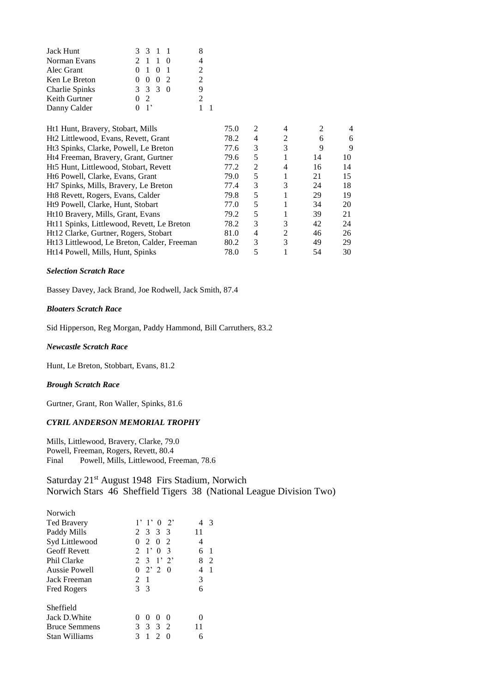| 3 3 1 1                     |               |
|-----------------------------|---------------|
| 2 1 1 0                     |               |
| $0 \t1 \t0 \t1$             | $\mathcal{D}$ |
| $0 \t 0 \t 0 \t 2$          | $\mathcal{D}$ |
| $3 \t3 \t3 \t0$             | Q             |
| 02                          |               |
| $\overline{\phantom{a}}$ 1' |               |
|                             |               |

| 75.0 | 2 | 4             | $\mathfrak{D}$ | 4  |
|------|---|---------------|----------------|----|
| 78.2 | 4 | 2             | 6              | 6  |
| 77.6 | 3 | 3             | 9              | 9  |
| 79.6 | 5 |               | 14             | 10 |
| 77.2 | 2 | 4             | 16             | 14 |
| 79.0 | 5 |               | 21             | 15 |
| 77.4 | 3 | 3             | 24             | 18 |
| 79.8 | 5 |               | 29             | 19 |
| 77.0 | 5 |               | 34             | 20 |
| 79.2 | 5 |               | 39             | 21 |
| 78.2 | 3 | 3             | 42             | 24 |
| 81.0 | 4 | 2             | 46             | 26 |
| 80.2 | 3 | $\mathcal{F}$ | 49             | 29 |
| 78.0 | 5 |               | 54             | 30 |
|      |   |               |                |    |

#### *Selection Scratch Race*

Bassey Davey, Jack Brand, Joe Rodwell, Jack Smith, 87.4

## *Bloaters Scratch Race*

Sid Hipperson, Reg Morgan, Paddy Hammond, Bill Carruthers, 83.2

## *Newcastle Scratch Race*

Hunt, Le Breton, Stobbart, Evans, 81.2

#### *Brough Scratch Race*

Gurtner, Grant, Ron Waller, Spinks, 81.6

## *CYRIL ANDERSON MEMORIAL TROPHY*

Mills, Littlewood, Bravery, Clarke, 79.0 Powell, Freeman, Rogers, Revett, 80.4 Final Powell, Mills, Littlewood, Freeman, 78.6

Saturday 21<sup>st</sup> August 1948 Firs Stadium, Norwich Norwich Stars 46 Sheffield Tigers 38 (National League Division Two)

| Norwich              |                                        |         |
|----------------------|----------------------------------------|---------|
| <b>Ted Bravery</b>   | $1'$ 1' 0 2'                           | 3       |
| Paddy Mills          | 2 3 3 3                                | 11      |
| Syd Littlewood       | 2 0 2<br>0                             | 4       |
| <b>Geoff Revett</b>  | $2^{\circ}$<br>$1'$ 0<br>$\mathcal{E}$ | 6<br>-1 |
| Phil Clarke          | $2 \t3 \t1' \t2'$                      | 8<br>2  |
| Aussie Powell        | $0 \t2' \t2$<br>-0                     | -1<br>4 |
| Jack Freeman         | 2<br>-1                                | 3       |
| <b>Fred Rogers</b>   | 3<br>$\mathcal{E}$                     | 6       |
| Sheffield            |                                        |         |
| Jack D. White        | $\theta$<br>$\theta$<br>0              |         |
| <b>Bruce Semmens</b> | 3 <sub>2</sub><br>3                    | 11      |
| Stan Williams        | $\mathfrak{D}$<br>1                    | 6       |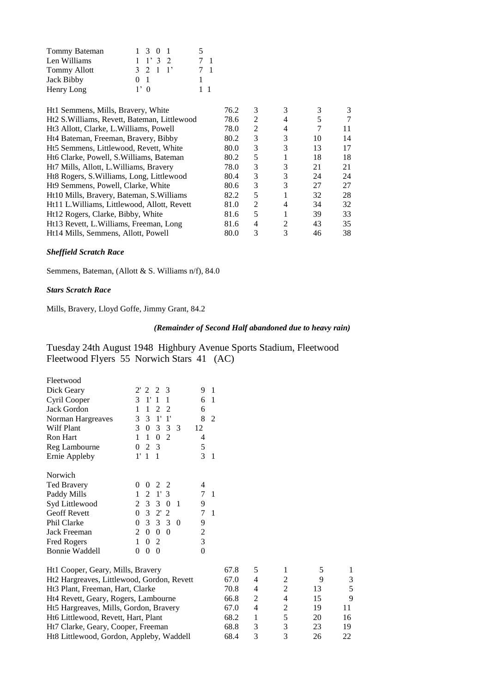| Tommy Bateman       |        | 1 3 0 1        |  | $\mathcal{L}$ |                |
|---------------------|--------|----------------|--|---------------|----------------|
| Len Williams        |        | $1 \t1' 3 \t2$ |  | 7 1           |                |
| <b>Tommy Allott</b> |        | 3 2 1 1'       |  |               | $\overline{1}$ |
| Jack Bibby          | $0-1$  |                |  |               |                |
| Henry Long          | $1'$ 0 |                |  | 11            |                |

| 76.2 | 3              | 3              | 3  | 3  |
|------|----------------|----------------|----|----|
| 78.6 | 2              | 4              | 5  | 7  |
| 78.0 | $\mathfrak{D}$ | 4              |    | 11 |
| 80.2 | 3              | 3              | 10 | 14 |
| 80.0 | 3              | 3              | 13 | 17 |
| 80.2 | 5              |                | 18 | 18 |
| 78.0 | 3              | 3              | 21 | 21 |
| 80.4 | 3              | 3              | 24 | 24 |
| 80.6 | 3              | 3              | 27 | 27 |
| 82.2 | 5              |                | 32 | 28 |
| 81.0 | $\mathfrak{D}$ | 4              | 34 | 32 |
| 81.6 | 5              |                | 39 | 33 |
| 81.6 | 4              | $\mathfrak{D}$ | 43 | 35 |
| 80.0 | 3              | 3              | 46 | 38 |
|      |                |                |    |    |

## *Sheffield Scratch Race*

Semmens, Bateman, (Allott & S. Williams n/f), 84.0

## *Stars Scratch Race*

Mills, Bravery, Lloyd Goffe, Jimmy Grant, 84.2

## *(Remainder of Second Half abandoned due to heavy rain)*

Tuesday 24th August 1948 Highbury Avenue Sports Stadium, Fleetwood Fleetwood Flyers 55 Norwich Stars 41 (AC)

| Fleetwood                                  |                |                |                       |                |                |                |                |      |              |                |    |    |
|--------------------------------------------|----------------|----------------|-----------------------|----------------|----------------|----------------|----------------|------|--------------|----------------|----|----|
| Dick Geary                                 | $2^{\prime}$   | $\mathfrak{D}$ | 2                     | 3              |                | 9              | 1              |      |              |                |    |    |
| Cyril Cooper                               | 3              | 1' 1           |                       | 1              |                | 6              | $\mathbf{1}$   |      |              |                |    |    |
| Jack Gordon                                | 1              | 1              | 2                     | 2              |                | 6              |                |      |              |                |    |    |
| Norman Hargreaves                          | 3              | 3              | $1^{\prime}$          | $1^{\prime}$   |                | 8              | $\overline{2}$ |      |              |                |    |    |
| <b>Wilf Plant</b>                          | 3              | $\overline{0}$ | 3                     | 3              | 3              | 12             |                |      |              |                |    |    |
| <b>Ron Hart</b>                            | 1              | $\mathbf{1}$   | $\theta$              | 2              |                | 4              |                |      |              |                |    |    |
| Reg Lambourne                              | 0              | 2              | 3                     |                |                | 5              |                |      |              |                |    |    |
| Ernie Appleby                              | 1'             | 1              | 1                     |                |                | 3              | $\mathbf{1}$   |      |              |                |    |    |
| Norwich                                    |                |                |                       |                |                |                |                |      |              |                |    |    |
| <b>Ted Bravery</b>                         | 0              | 0              | 2                     | 2              |                | 4              |                |      |              |                |    |    |
| Paddy Mills                                | 1              | 2              | $\mathbf{1}^{\prime}$ | 3              |                | 7              | 1              |      |              |                |    |    |
| Syd Littlewood                             | $\overline{2}$ | 3              | 3                     | $\overline{0}$ | -1             | 9              |                |      |              |                |    |    |
| <b>Geoff Revett</b>                        | $\Omega$       | 3              | $2^{\prime}$          | 2              |                | 7              | 1              |      |              |                |    |    |
| Phil Clarke                                | $\Omega$       | 3              | 3                     | 3              | $\overline{0}$ | 9              |                |      |              |                |    |    |
| Jack Freeman                               | $\overline{2}$ | $\overline{0}$ | $\mathbf{0}$          | $\theta$       |                | $\overline{c}$ |                |      |              |                |    |    |
| Fred Rogers                                | 1              | $\Omega$       | $\overline{2}$        |                |                | 3              |                |      |              |                |    |    |
| <b>Bonnie Waddell</b>                      | 0              | $\Omega$       | $\overline{0}$        |                |                | $\overline{0}$ |                |      |              |                |    |    |
| Ht1 Cooper, Geary, Mills, Bravery          |                |                |                       |                |                |                |                | 67.8 | 5            | 1              | 5  | 1  |
| Ht2 Hargreaves, Littlewood, Gordon, Revett |                |                |                       |                |                |                |                | 67.0 | 4            | $\overline{c}$ | 9  | 3  |
| Ht3 Plant, Freeman, Hart, Clarke           |                |                |                       |                |                |                |                | 70.8 | 4            | $\overline{c}$ | 13 | 5  |
| Ht4 Revett, Geary, Rogers, Lambourne       |                |                |                       |                |                |                |                | 66.8 | 2            | $\overline{4}$ | 15 | 9  |
| Ht5 Hargreaves, Mills, Gordon, Bravery     |                |                |                       |                |                |                |                | 67.0 | 4            | $\overline{c}$ | 19 | 11 |
| Ht6 Littlewood, Revett, Hart, Plant        |                |                |                       |                |                |                |                | 68.2 | $\mathbf{1}$ | 5              | 20 | 16 |
| Ht7 Clarke, Geary, Cooper, Freeman         |                |                |                       |                |                |                |                | 68.8 | 3            | 3              | 23 | 19 |
| Ht8 Littlewood, Gordon, Appleby, Waddell   |                |                |                       |                |                |                |                | 68.4 | 3            | 3              | 26 | 22 |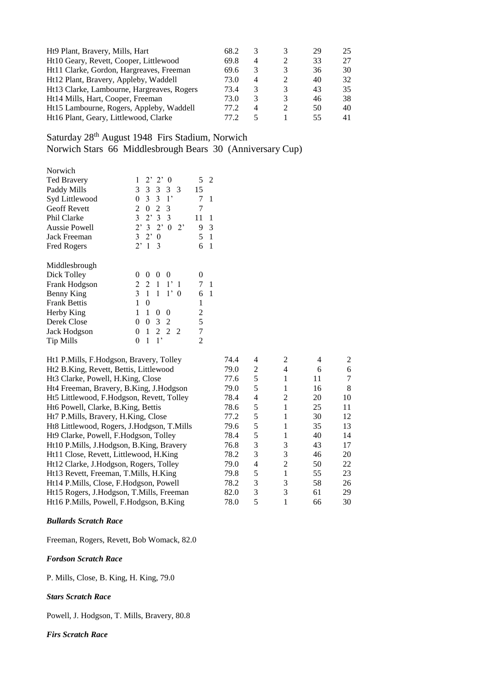| Ht9 Plant, Bravery, Mills, Hart            | 68.2  |   | 3 | 29  | 25 |
|--------------------------------------------|-------|---|---|-----|----|
| Ht10 Geary, Revett, Cooper, Littlewood     | 69.8  | 4 |   | 33  | 27 |
| Ht11 Clarke, Gordon, Hargreaves, Freeman   | 69.6  | 3 | 3 | 36  | 30 |
| Ht12 Plant, Bravery, Appleby, Waddell      | 73.0  | 4 |   | 40  | 32 |
| Ht13 Clarke, Lambourne, Hargreaves, Rogers | 73.4  | 3 | 3 | 43  | 35 |
| Ht14 Mills, Hart, Cooper, Freeman          | 73.0  | 3 | 3 | 46  | 38 |
| Ht15 Lambourne, Rogers, Appleby, Waddell   | 77.2. | 4 |   | 50  | 40 |
| Ht16 Plant, Geary, Littlewood, Clarke      | 77 2. |   |   | 55. | 41 |

Saturday 28<sup>th</sup> August 1948 Firs Stadium, Norwich Norwich Stars 66 Middlesbrough Bears 30 (Anniversary Cup)

| Norwich              |                                                           |         |
|----------------------|-----------------------------------------------------------|---------|
| Ted Bravery          | $2^{\prime}$ 2'<br>1<br>$\theta$                          | 5<br>2  |
| Paddy Mills          | 3<br>3<br>3<br>3<br>$\mathcal{E}$                         | 15      |
| Syd Littlewood       | 3<br>$\overline{3}$<br>$1^{\circ}$<br>0                   | 7<br>1  |
| <b>Geoff Revett</b>  | 2<br>$\overline{2}$<br>$\Omega$<br>3                      | 7       |
| Phil Clarke          | 3<br>2'3<br>3                                             | 11<br>1 |
| <b>Aussie Powell</b> | $2^{\circ}$<br>$2^{\prime}3$<br>$\theta$<br>$2^{\circ}$   | 9<br>3  |
| Jack Freeman         | 3<br>$2^{\circ}$<br>$\theta$                              | 5<br>1  |
| Fred Rogers          | $2^{\prime}1$<br>$\mathcal{E}$                            | 6<br>1  |
| Middlesbrough        |                                                           |         |
| Dick Tolley          | 0<br>0<br>$\theta$<br>0                                   | 0       |
| Frank Hodgson        | 2<br>$\mathfrak{D}$<br>$\overline{1}$<br>$1^{\circ}$<br>1 | 7<br>1  |
| Benny King           | 3<br>1<br>$1^{\circ}$<br>1<br>- 0                         | 6<br>1  |
| <b>Frank Bettis</b>  | 1<br>0                                                    | 1       |
| Herby King           | 1<br>1<br>0<br>$\theta$                                   | 2       |
| Derek Close          | $\theta$<br>3<br>0<br>2                                   | 5       |
| Jack Hodgson         | $\overline{c}$<br>1<br>2<br>2<br>0                        | 7       |
| <b>Tip Mills</b>     | 1<br>$\mathbf{1}$ ,<br>0                                  | 2       |

| 74.4 | 4 | 2              | 4  | 2  |
|------|---|----------------|----|----|
| 79.0 | 2 | 4              | 6  | 6  |
| 77.6 | 5 |                | 11 | 7  |
| 79.0 | 5 | 1              | 16 | 8  |
| 78.4 | 4 | $\mathfrak{D}$ | 20 | 10 |
| 78.6 | 5 |                | 25 | 11 |
| 77.2 | 5 | 1              | 30 | 12 |
| 79.6 | 5 |                | 35 | 13 |
| 78.4 | 5 |                | 40 | 14 |
| 76.8 | 3 | 3              | 43 | 17 |
| 78.2 | 3 | 3              | 46 | 20 |
| 79.0 | 4 | 2              | 50 | 22 |
| 79.8 | 5 |                | 55 | 23 |
| 78.2 | 3 | 3              | 58 | 26 |
| 82.0 | 3 | 3              | 61 | 29 |
| 78.0 | 5 |                | 66 | 30 |
|      |   |                |    |    |

*Bullards Scratch Race*

Freeman, Rogers, Revett, Bob Womack, 82.0

*Fordson Scratch Race*

P. Mills, Close, B. King, H. King, 79.0

## *Stars Scratch Race*

Powell, J. Hodgson, T. Mills, Bravery, 80.8

## *Firs Scratch Race*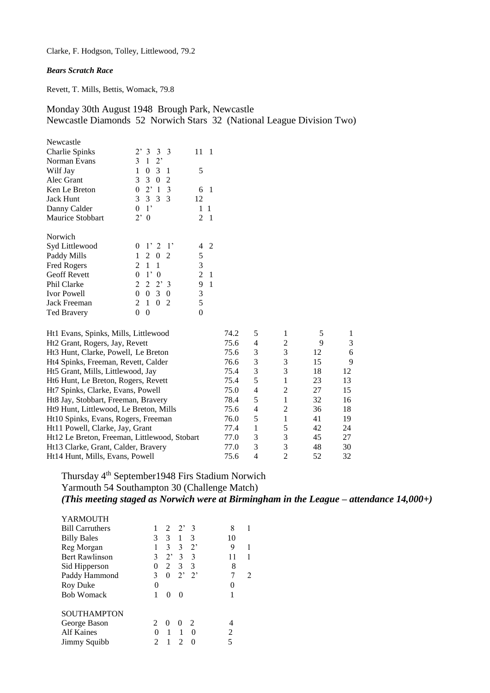Clarke, F. Hodgson, Tolley, Littlewood, 79.2

## *Bears Scratch Race*

Revett, T. Mills, Bettis, Womack, 79.8

Monday 30th August 1948 Brough Park, Newcastle Newcastle Diamonds 52 Norwich Stars 32 (National League Division Two)

| Newcastle               |                                   |                   |
|-------------------------|-----------------------------------|-------------------|
| Charlie Spinks          | 2'333                             | 11<br>1           |
| Norman Evans            | $\mathcal{E}$<br>1<br>$2^{\circ}$ |                   |
| Wilf Jay                | 1<br>-3<br>0<br>1                 | 5                 |
| Alec Grant              | 3 3<br>0<br>2                     |                   |
| Ken Le Breton           | $0 \t2' 1$<br>$\overline{3}$      | 6<br>1            |
| <b>Jack Hunt</b>        | 3 3 3 3                           | 12                |
| Danny Calder            | $1^{\circ}$<br>$\overline{0}$     | 1<br>1            |
| <b>Maurice Stobbart</b> | $2^,$<br>$\overline{0}$           | 2<br>$\mathbf{1}$ |
| Norwich                 |                                   |                   |
| Syd Littlewood          | 1'2'<br>0                         | 2<br>4            |
| Paddy Mills             | 1<br>2 0 2                        | 5                 |
| <b>Fred Rogers</b>      | 2 1<br>1                          | 3                 |
| <b>Geoff Revett</b>     | 0<br>$1^{\circ}$<br>$\theta$      | 2<br>1            |
| <b>Phil Clarke</b>      | 2<br>2<br>2'3                     | 9<br>1            |
| <b>Ivor Powell</b>      | 3<br>0<br>$\Omega$<br>0           | 3                 |
| Jack Freeman            | 2<br>2<br>1<br>$\theta$           | 5                 |
| <b>Ted Bravery</b>      | 0<br>0                            | 0                 |

| Ht1 Evans, Spinks, Mills, Littlewood         | 74.2 | 5 |                |    |    |
|----------------------------------------------|------|---|----------------|----|----|
| Ht2 Grant, Rogers, Jay, Revett               | 75.6 | 4 | 2              | 9  | 3  |
| Ht3 Hunt, Clarke, Powell, Le Breton          | 75.6 | 3 | 3              | 12 | 6  |
| Ht4 Spinks, Freeman, Revett, Calder          | 76.6 | 3 | 3              | 15 | 9  |
| Ht5 Grant, Mills, Littlewood, Jay            | 75.4 | 3 | 3              | 18 | 12 |
| Ht6 Hunt, Le Breton, Rogers, Revett          | 75.4 | 5 |                | 23 | 13 |
| Ht7 Spinks, Clarke, Evans, Powell            | 75.0 | 4 | $\mathfrak{D}$ | 27 | 15 |
| Ht8 Jay, Stobbart, Freeman, Bravery          | 78.4 | 5 | 1              | 32 | 16 |
| Ht9 Hunt, Littlewood, Le Breton, Mills       | 75.6 | 4 | $\mathfrak{D}$ | 36 | 18 |
| Ht10 Spinks, Evans, Rogers, Freeman          | 76.0 | 5 |                | 41 | 19 |
| Ht11 Powell, Clarke, Jay, Grant              | 77.4 |   | 5              | 42 | 24 |
| Ht12 Le Breton, Freeman, Littlewood, Stobart | 77.0 | 3 | 3              | 45 | 27 |
| Ht13 Clarke, Grant, Calder, Bravery          | 77.0 | 3 | 3              | 48 | 30 |
| Ht14 Hunt, Mills, Evans, Powell              | 75.6 | 4 | $\mathfrak{D}$ | 52 | 32 |

Thursday 4<sup>th</sup> September1948 Firs Stadium Norwich Yarmouth 54 Southampton 30 (Challenge Match) *(This meeting staged as Norwich were at Birmingham in the League – attendance 14,000+)*

| <b>YARMOUTH</b>        |               |                |                |                 |    |   |
|------------------------|---------------|----------------|----------------|-----------------|----|---|
| <b>Bill Carruthers</b> |               |                | $2 \t2' \t3$   |                 | 8  |   |
| <b>Billy Bales</b>     | 3             | 3              | 1              | 3               | 10 |   |
| Reg Morgan             | 1             | 3              | 3              | $2^,$           | 9  | 1 |
| <b>Bert Rawlinson</b>  | 3             | $2^{\circ}$    | $\mathcal{E}$  | 3               | 11 |   |
| Sid Hipperson          | 0             | $\mathfrak{D}$ | 3 <sup>7</sup> | 3               | 8  |   |
| Paddy Hammond          | 3             | 0              |                | $2^{\prime}$ 2' | 7  | 2 |
| Roy Duke               | 0             |                |                |                 | 0  |   |
| <b>Bob Womack</b>      | 1             | $\Omega$       |                |                 |    |   |
| <b>SOUTHAMPTON</b>     |               |                |                |                 |    |   |
| George Bason           | $\mathcal{L}$ | $\Omega$       | $\theta$       | 2               |    |   |
| <b>Alf Kaines</b>      | $\Omega$      | 1              |                | $\Omega$        | 2  |   |
| Jimmy Squibb           |               |                |                |                 | 5  |   |
|                        |               |                |                |                 |    |   |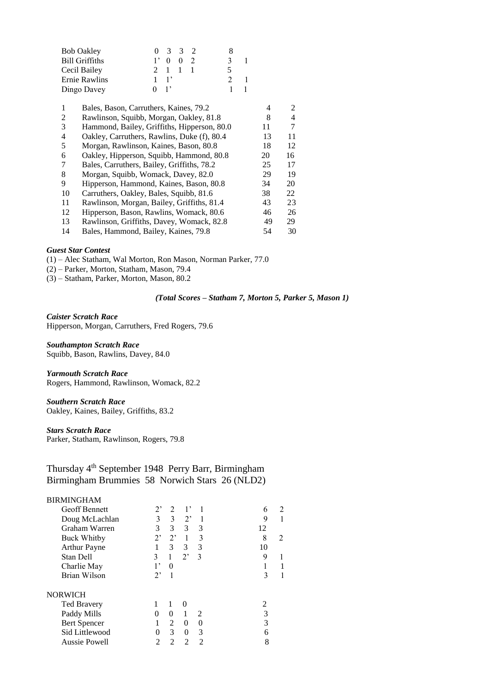| <b>Bob Oakley</b>     |                | 0 3 3 2     |  |   |  |
|-----------------------|----------------|-------------|--|---|--|
| <b>Bill Griffiths</b> |                | $1'$ 0 0 2  |  | 3 |  |
| Cecil Bailey          |                | 2 1 1 1     |  | 5 |  |
| Ernie Rawlins         |                | $1 \quad 1$ |  |   |  |
| Dingo Davey           | 0 <sup>1</sup> |             |  |   |  |

| 1  | Bales, Bason, Carruthers, Kaines, 79.2      | 4  | 2  |
|----|---------------------------------------------|----|----|
| 2  | Rawlinson, Squibb, Morgan, Oakley, 81.8     | 8  | 4  |
| 3  | Hammond, Bailey, Griffiths, Hipperson, 80.0 | 11 | 7  |
| 4  | Oakley, Carruthers, Rawlins, Duke (f), 80.4 | 13 | 11 |
| 5  | Morgan, Rawlinson, Kaines, Bason, 80.8      | 18 | 12 |
| 6  | Oakley, Hipperson, Squibb, Hammond, 80.8    | 20 | 16 |
| 7  | Bales, Carruthers, Bailey, Griffiths, 78.2  | 25 | 17 |
| 8  | Morgan, Squibb, Womack, Davey, 82.0         | 29 | 19 |
| 9  | Hipperson, Hammond, Kaines, Bason, 80.8     | 34 | 20 |
| 10 | Carruthers, Oakley, Bales, Squibb, 81.6     | 38 | 22 |
| 11 | Rawlinson, Morgan, Bailey, Griffiths, 81.4  | 43 | 23 |
| 12 | Hipperson, Bason, Rawlins, Womack, 80.6     | 46 | 26 |
| 13 | Rawlinson, Griffiths, Davey, Womack, 82.8   | 49 | 29 |
| 14 | Bales, Hammond, Bailey, Kaines, 79.8        | 54 | 30 |
|    |                                             |    |    |

## *Guest Star Contest*

(1) – Alec Statham, Wal Morton, Ron Mason, Norman Parker, 77.0

(2) – Parker, Morton, Statham, Mason, 79.4

(3) – Statham, Parker, Morton, Mason, 80.2

### *(Total Scores – Statham 7, Morton 5, Parker 5, Mason 1)*

*Caister Scratch Race* Hipperson, Morgan, Carruthers, Fred Rogers, 79.6

*Southampton Scratch Race* Squibb, Bason, Rawlins, Davey, 84.0

#### *Yarmouth Scratch Race*

Rogers, Hammond, Rawlinson, Womack, 82.2

## *Southern Scratch Race*

Oakley, Kaines, Bailey, Griffiths, 83.2

## *Stars Scratch Race*

Parker, Statham, Rawlinson, Rogers, 79.8

# Thursday 4<sup>th</sup> September 1948 Perry Barr, Birmingham Birmingham Brummies 58 Norwich Stars 26 (NLD2)

## BIRMINGHAM

| <b>Geoff Bennett</b> |                | $\mathcal{D}$  |               |                             | 6  | $\mathcal{D}_{\mathcal{A}}$ |
|----------------------|----------------|----------------|---------------|-----------------------------|----|-----------------------------|
| Doug McLachlan       | 3              | 3              | $2^{\circ}$   |                             | 9  |                             |
| Graham Warren        | 3              | $\mathfrak{Z}$ | 3             | 3                           | 12 |                             |
| <b>Buck Whitby</b>   | $2^,$          | $2^,$          |               | 3                           | 8  |                             |
| <b>Arthur Payne</b>  |                | 3              | 3             | 3                           | 10 |                             |
| Stan Dell            | 3              | 1              | $2^,$         | 3                           | 9  |                             |
| Charlie May          | 1,             | 0              |               |                             |    |                             |
| Brian Wilson         | $2^,$          |                |               |                             | 3  |                             |
| NORWICH              |                |                |               |                             |    |                             |
| <b>Ted Bravery</b>   |                |                | $\Omega$      |                             | 2  |                             |
| Paddy Mills          | $\theta$       | 0              |               | $\mathcal{D}_{\mathcal{A}}$ | 3  |                             |
| <b>Bert Spencer</b>  |                | 2              | 0             | $\Omega$                    | 3  |                             |
| Sid Littlewood       |                | 3              | 0             | 3                           | 6  |                             |
| <b>Aussie Powell</b> | $\mathfrak{D}$ | っ              | $\mathcal{D}$ | $\mathfrak{D}$              | 8  |                             |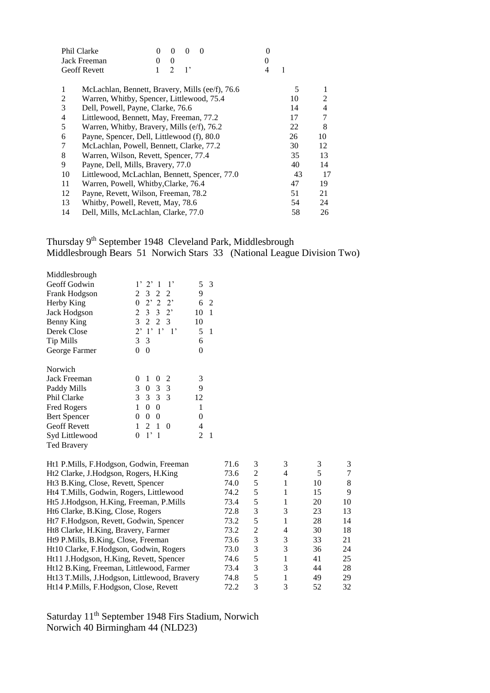| 1  |                |
|----|----------------|
|    |                |
| 5  | 1              |
| 10 | $\mathfrak{D}$ |
| 14 | 4              |
| 17 | 7              |
| 22 | 8              |
| 26 | 10             |
| 30 | 12             |
| 35 | 13             |
| 40 | 14             |
| 43 | 17             |
| 47 | 19             |
| 51 | 21             |
| 54 | 24             |
| 58 | 26             |
|    |                |

# Thursday 9<sup>th</sup> September 1948 Cleveland Park, Middlesbrough Middlesbrough Bears 51 Norwich Stars 33 (National League Division Two)

| Middlesbrough       |                                       |    |              |
|---------------------|---------------------------------------|----|--------------|
| Geoff Godwin        | 1'2'1<br>$1^{\circ}$                  | 5  | 3            |
| Frank Hodgson       | 2 3 2 2                               | 9  |              |
| Herby King          | $0 \t2' \t2 \t2'$                     | 6  | 2            |
| Jack Hodgson        | $2 \t3 \t3 \t2$                       | 10 | 1            |
| Benny King          | 3 2 2 3                               | 10 |              |
| Derek Close         | $2'$ 1' 1' 1'                         | 5  | $\mathbf{1}$ |
| <b>Tip Mills</b>    | 3 <sup>3</sup>                        | 6  |              |
| George Farmer       | 0<br>$\Omega$                         | 0  |              |
| Norwich             |                                       |    |              |
| Jack Freeman        | 1<br>0<br>0<br>2                      | 3  |              |
| Paddy Mills         | 3<br>$0 \t3 \t3$                      | 9  |              |
| Phil Clarke         | 3 3 3 3                               | 12 |              |
| <b>Fred Rogers</b>  | 1<br>0<br>$\overline{0}$              | 1  |              |
| <b>Bert Spencer</b> | $\overline{0}$<br>$\overline{0}$<br>0 | 0  |              |
| <b>Geoff Revett</b> | 2<br>$\mathbf{1}$<br>1<br>0           | 4  |              |
| Syd Littlewood      | $1^{\circ}$<br>0<br>-1                | 2  |              |
| Ted Bravery         |                                       |    |              |
|                     |                                       |    |              |

| Ht1 P.Mills, F.Hodgson, Godwin, Freeman      | 71.6 | 3 | 3 |    |    |
|----------------------------------------------|------|---|---|----|----|
| Ht2 Clarke, J.Hodgson, Rogers, H.King        | 73.6 | 2 |   |    |    |
| Ht3 B.King, Close, Revett, Spencer           | 74.0 | 5 |   | 10 | 8  |
| Ht4 T.Mills, Godwin, Rogers, Littlewood      | 74.2 | 5 |   | 15 | 9  |
| Ht5 J.Hodgson, H.King, Freeman, P.Mills      | 73.4 | 5 |   | 20 | 10 |
| Ht6 Clarke, B.King, Close, Rogers            | 72.8 | 3 | 3 | 23 | 13 |
| Ht7 F.Hodgson, Revett, Godwin, Spencer       | 73.2 | 5 |   | 28 | 14 |
| Ht8 Clarke, H.King, Bravery, Farmer          | 73.2 | 2 | 4 | 30 | 18 |
| Ht9 P.Mills, B.King, Close, Freeman          | 73.6 | 3 | 3 | 33 | 21 |
| Ht10 Clarke, F.Hodgson, Godwin, Rogers       | 73.0 | 3 | 3 | 36 | 24 |
| Ht11 J.Hodgson, H.King, Revett, Spencer      | 74.6 | 5 |   | 41 | 25 |
| Ht12 B.King, Freeman, Littlewood, Farmer     | 73.4 | 3 | 3 | 44 | 28 |
| Ht13 T.Mills, J.Hodgson, Littlewood, Bravery | 74.8 | 5 |   | 49 | 29 |
| Ht14 P.Mills, F.Hodgson, Close, Revett       | 72.2 | 3 |   | 52 | 32 |

Saturday 11<sup>th</sup> September 1948 Firs Stadium, Norwich Norwich 40 Birmingham 44 (NLD23)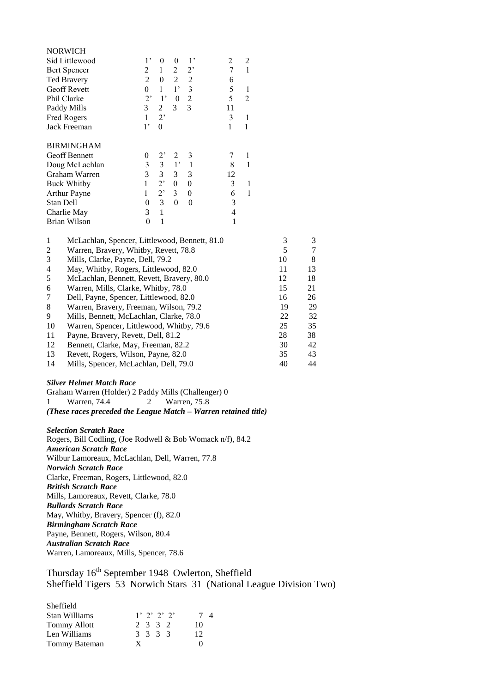|                | <b>NORWICH</b>                                                    |                  |                |                |                  |    |                |                |            |
|----------------|-------------------------------------------------------------------|------------------|----------------|----------------|------------------|----|----------------|----------------|------------|
|                | Sid Littlewood                                                    | $1^{\circ}$      | $\theta$       | $\theta$       | $1^{\circ}$      | 2  | $\overline{c}$ |                |            |
|                | Bert Spencer                                                      | 2                | $\mathbf{1}$   | 2              | $2$ '            | 7  | $\mathbf{1}$   |                |            |
|                | Ted Bravery                                                       | $\overline{2}$   | $\theta$       | $\overline{2}$ | $\mathfrak{2}$   | 6  |                |                |            |
|                | Geoff Revett                                                      | $\boldsymbol{0}$ | $\mathbf{1}$   | $1^{\circ}$    | 3                | 5  | $\mathbf{1}$   |                |            |
|                | Phil Clarke                                                       | $2^{\circ}$      | $1^{\circ}$    | $\mathbf{0}$   | $\overline{c}$   | 5  | $\overline{2}$ |                |            |
|                | Paddy Mills                                                       | 3                | 2              | 3              | $\overline{3}$   | 11 |                |                |            |
|                | Fred Rogers                                                       | $\mathbf{1}$     | 2              |                |                  | 3  | $\mathbf{1}$   |                |            |
|                | Jack Freeman                                                      | $1^{\circ}$      | $\theta$       |                |                  | 1  | 1              |                |            |
|                | <b>BIRMINGHAM</b>                                                 |                  |                |                |                  |    |                |                |            |
|                | Geoff Bennett                                                     | $\theta$         | 2,             | 2              | 3                | 7  | 1              |                |            |
|                | Doug McLachlan                                                    | 3                | $\mathfrak{Z}$ | $1^{\circ}$    | $\mathbf{1}$     | 8  | $\mathbf{1}$   |                |            |
|                | Graham Warren                                                     | $\overline{3}$   | 3              | 3              | 3                | 12 |                |                |            |
|                | <b>Buck Whitby</b>                                                | $\mathbf{1}$     | 2              | $\mathbf{0}$   | $\boldsymbol{0}$ | 3  | 1              |                |            |
|                | <b>Arthur Payne</b>                                               | $\mathbf{1}$     | 2              | 3              | $\theta$         | 6  | $\mathbf{1}$   |                |            |
| Stan Dell      |                                                                   | $\Omega$         | $\mathfrak{Z}$ | $\theta$       | $\theta$         | 3  |                |                |            |
|                | Charlie May                                                       | 3                | $\mathbf{1}$   |                |                  | 4  |                |                |            |
|                | Brian Wilson                                                      | $\theta$         | 1              |                |                  | 1  |                |                |            |
| 1              | McLachlan, Spencer, Littlewood, Bennett, 81.0                     |                  |                |                |                  |    |                | 3              | 3          |
| $\overline{c}$ | Warren, Bravery, Whitby, Revett, 78.8                             |                  |                |                |                  |    |                | 5              | 7          |
| 3              | Mills, Clarke, Payne, Dell, 79.2                                  |                  |                |                |                  |    |                | 10             | 8          |
| 4              | May, Whitby, Rogers, Littlewood, 82.0                             |                  |                |                |                  |    |                | 11             | 13         |
| 5              | McLachlan, Bennett, Revett, Bravery, 80.0                         |                  |                |                |                  |    |                | 12             | 18         |
| 6              | Warren, Mills, Clarke, Whitby, 78.0                               |                  |                |                |                  |    |                | 15             | 21         |
| 7              | Dell, Payne, Spencer, Littlewood, 82.0                            |                  |                |                |                  |    |                | 16             | 26         |
| $\Omega$       | $W_1$ $\ldots$ $R_2$ $\ldots$ $R_3$ $\ldots$ $W_1$ $\ldots$ $R_2$ |                  |                |                |                  |    |                | 1 <sub>0</sub> | $\Delta$ c |

|    | $DCH, I$ aying, $DPLHCL$ , $LHHCWOOQ, 02.0$ | .  | ∠∪ |
|----|---------------------------------------------|----|----|
| 8  | Warren, Bravery, Freeman, Wilson, 79.2      | 19 | 29 |
| 9  | Mills, Bennett, McLachlan, Clarke, 78.0     | 22 | 32 |
| 10 | Warren, Spencer, Littlewood, Whitby, 79.6   | 25 | 35 |
| 11 | Payne, Bravery, Revett, Dell, 81.2          | 28 | 38 |
| 12 | Bennett, Clarke, May, Freeman, 82.2         | 30 | 42 |
| 13 | Revett, Rogers, Wilson, Payne, 82.0         | 35 | 43 |
| 14 | Mills, Spencer, McLachlan, Dell, 79.0       | 40 | 44 |
|    |                                             |    |    |

#### *Silver Helmet Match Race*

Graham Warren (Holder) 2 Paddy Mills (Challenger) 0 1 Warren, 74.4 2 Warren, 75.8 *(These races preceded the League Match – Warren retained title)*

#### *Selection Scratch Race*

Rogers, Bill Codling, (Joe Rodwell & Bob Womack n/f), 84.2 *American Scratch Race* Wilbur Lamoreaux, McLachlan, Dell, Warren, 77.8 *Norwich Scratch Race* Clarke, Freeman, Rogers, Littlewood, 82.0 *British Scratch Race* Mills, Lamoreaux, Revett, Clarke, 78.0 *Bullards Scratch Race* May, Whitby, Bravery, Spencer (f), 82.0 *Birmingham Scratch Race* Payne, Bennett, Rogers, Wilson, 80.4 *Australian Scratch Race* Warren, Lamoreaux, Mills, Spencer, 78.6

Thursday 16<sup>th</sup> September 1948 Owlerton, Sheffield Sheffield Tigers 53 Norwich Stars 31 (National League Division Two)

| Sheffield            |               |    |
|----------------------|---------------|----|
| <b>Stan Williams</b> | $1'$ 2' 2' 2' | 4  |
| <b>Tommy Allott</b>  | 2 3 3 2       | 10 |
| Len Williams         | 3 3 3 3       | 12 |
| Tommy Bateman        | X             |    |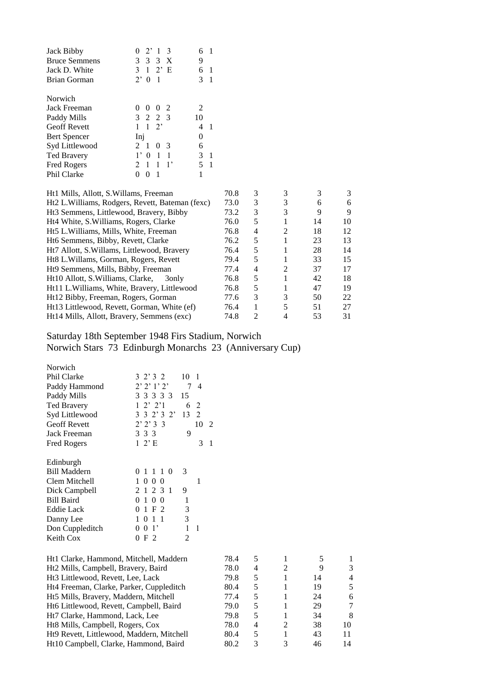| $2^{\prime}$ 1<br>3                   |          |    |
|---------------------------------------|----------|----|
| 3 X<br>3<br>3                         | 9        |    |
| 2' E<br>$\mathcal{E}$<br>$\mathbf{1}$ | 6        | 1  |
| $2^{\circ}$<br>$\theta$<br>- 1        | 3        | -1 |
|                                       |          |    |
| - 2<br>$\theta$<br>$\mathbf{0}$       | 2        |    |
| 3 2 2 3                               | 10       |    |
| $2^{\circ}$<br>$\overline{1}$         |          |    |
| Inj                                   | $\Omega$ |    |
| 1<br>$\Omega$<br>3                    | 6        |    |
| $\overline{1}$<br>0                   | 3        | -1 |
| 1<br>1<br>1,<br>$\mathfrak{D}$        | 5        |    |
| 1<br>0                                |          |    |
|                                       |          |    |

| Ht1 Mills, Allott, S. Willams, Freeman              | 70.8 | 3              |                |    |    |
|-----------------------------------------------------|------|----------------|----------------|----|----|
| Ht2 L. Williams, Rodgers, Revett, Bateman (fexc)    | 73.0 | 3              | 3              | 6  | 6  |
| Ht <sub>3</sub> Semmens, Littlewood, Bravery, Bibby | 73.2 | 3              | 3              | 9  | 9  |
| Ht4 White, S. Williams, Rogers, Clarke              | 76.0 | 5              |                | 14 | 10 |
| Ht5 L.Williams, Mills, White, Freeman               | 76.8 | 4              | $\mathfrak{D}$ | 18 | 12 |
| Ht6 Semmens, Bibby, Revett, Clarke                  | 76.2 | 5              |                | 23 | 13 |
| Ht7 Allott, S. Willams, Littlewood, Bravery         | 76.4 | 5              |                | 28 | 14 |
| Ht8 L. Willams, Gorman, Rogers, Revett              | 79.4 | 5              |                | 33 | 15 |
| Ht9 Semmens, Mills, Bibby, Freeman                  | 77.4 | 4              | $\mathfrak{D}$ | 37 | 17 |
| Ht10 Allott, S. Williams, Clarke,<br>30nly          | 76.8 | 5              |                | 42 | 18 |
| Ht11 L. Williams, White, Bravery, Littlewood        | 76.8 | 5              |                | 47 | 19 |
| Ht12 Bibby, Freeman, Rogers, Gorman                 | 77.6 | 3              | 3              | 50 | 22 |
| Ht13 Littlewood, Revett, Gorman, White (ef)         | 76.4 |                | 5              | 51 | 27 |
| Ht14 Mills, Allott, Bravery, Semmens (exc)          | 74.8 | $\mathfrak{D}$ | 4              | 53 | 31 |

Saturday 18th September 1948 Firs Stadium, Norwich Norwich Stars 73 Edinburgh Monarchs 23 (Anniversary Cup)

| Norwich             |                                  |    |                |   |
|---------------------|----------------------------------|----|----------------|---|
| <b>Phil Clarke</b>  | 3 2 3 2                          | 10 | 1              |   |
| Paddy Hammond       | $2'$ $2'$ $1'$ $2'$              | 7  | 4              |   |
| Paddy Mills         | 3 3 3 3 3                        | 15 |                |   |
| Ted Bravery         | $1\,2'\,2'1$                     | 6  | 2              |   |
| Syd Littlewood      | 3 3 2 3 2                        | 13 | $\overline{2}$ |   |
| <b>Geoff Revett</b> | 2'2'33                           |    | 10             | 2 |
| Jack Freeman        | 3 3 3                            | 9  |                |   |
| <b>Fred Rogers</b>  | $1\ 2$ 'E                        |    | 3              | 1 |
|                     |                                  |    |                |   |
| Edinburgh           |                                  |    |                |   |
| <b>Bill Maddern</b> | 0 1 1 1 0                        | 3  |                |   |
| Clem Mitchell       | $\mathbf{1}$<br>000              |    | 1              |   |
| Dick Campbell       | 2 1 2 3 1                        | 9  |                |   |
| <b>Bill Baird</b>   | 0 <sub>0</sub><br>0 <sub>1</sub> | 1  |                |   |
| <b>Eddie Lack</b>   | 1 F 2<br>0                       | 3  |                |   |
| Danny Lee           | 011<br>1                         | 3  |                |   |
| Don Cuppleditch     | 0 <sup>1</sup><br>0              | 1  | 1              |   |
| Keith Cox           | F 2                              | 2  |                |   |
|                     |                                  |    |                |   |

| Ht1 Clarke, Hammond, Mitchell, Maddern    | 78.4 |    |   |    |                |
|-------------------------------------------|------|----|---|----|----------------|
| Ht2 Mills, Campbell, Bravery, Baird       | 78.0 | 4  |   |    | 3              |
| Ht3 Littlewood, Revett, Lee, Lack         | 79.8 | 5. |   | 14 | $\overline{4}$ |
| Ht4 Freeman, Clarke, Parker, Cuppleditch  | 80.4 | 5  |   | 19 | 5              |
| Ht5 Mills, Bravery, Maddern, Mitchell     | 77.4 | 5  |   | 24 | 6              |
| Ht6 Littlewood, Revett, Campbell, Baird   | 79.0 | 5. |   | 29 | 7              |
| Ht7 Clarke, Hammond, Lack, Lee            | 79.8 | 5. |   | 34 | 8              |
| Ht8 Mills, Campbell, Rogers, Cox          | 78.0 | 4  | 2 | 38 | 10             |
| Ht9 Revett, Littlewood, Maddern, Mitchell | 80.4 | 5  |   | 43 | 11             |
| Ht10 Campbell, Clarke, Hammond, Baird     | 80.2 | 3  | 3 | 46 | 14             |
|                                           |      |    |   |    |                |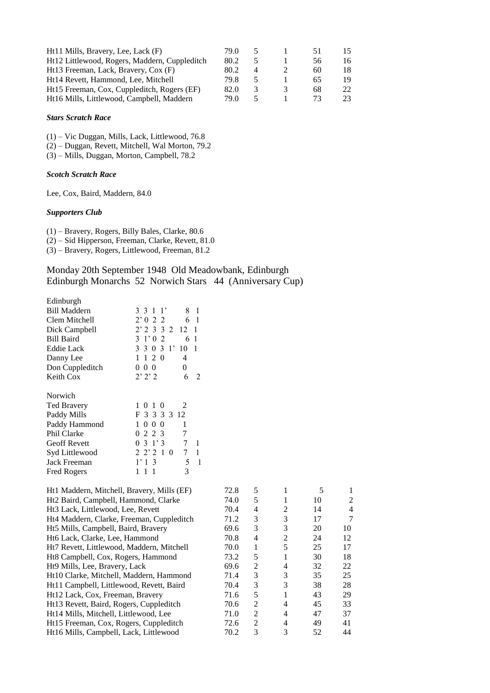| Ht11 Mills, Bravery, Lee, Lack (F)            | 79.0 |               | 5 I | 15 |
|-----------------------------------------------|------|---------------|-----|----|
| Ht12 Littlewood, Rogers, Maddern, Cuppleditch | 80.2 |               | 56  | 16 |
| Ht13 Freeman, Lack, Bravery, Cox (F)          | 80.2 |               | 60  | 18 |
| Ht14 Revett, Hammond, Lee, Mitchell           | 79.8 |               | 65  | 19 |
| Ht15 Freeman, Cox, Cuppleditch, Rogers (EF)   | 82.0 | $\rightarrow$ | 68  | 22 |
| Ht16 Mills, Littlewood, Campbell, Maddern     | 79 O |               | 73. | 23 |

#### *Stars Scratch Race*

(1) – Vic Duggan, Mills, Lack, Littlewood, 76.8

- (2) Duggan, Revett, Mitchell, Wal Morton, 79.2
- (3) Mills, Duggan, Morton, Campbell, 78.2

#### *Scotch Scratch Race*

Lee, Cox, Baird, Maddern, 84.0

## *Supporters Club*

(1) – Bravery, Rogers, Billy Bales, Clarke, 80.6

(2) – Sid Hipperson, Freeman, Clarke, Revett, 81.0

(3) – Bravery, Rogers, Littlewood, Freeman, 81.2

## Monday 20th September 1948 Old Meadowbank, Edinburgh Edinburgh Monarchs 52 Norwich Stars 44 (Anniversary Cup)

| Edinburgh                                  |                                                  |      |   |                |    |                |
|--------------------------------------------|--------------------------------------------------|------|---|----------------|----|----------------|
| <b>Bill Maddern</b>                        | 3 3 1 1'<br>8<br>$\overline{1}$                  |      |   |                |    |                |
| Clem Mitchell                              | 2'022<br>- 1<br>6                                |      |   |                |    |                |
| Dick Campbell                              | $2'$ 2 3 3 2<br>12<br>$\overline{1}$             |      |   |                |    |                |
| <b>Bill Baird</b>                          | $3 \t1' 0 \t2$<br>6<br>$\overline{1}$            |      |   |                |    |                |
| <b>Eddie Lack</b>                          | 3 3 0 3 1'<br>10<br>$\overline{1}$               |      |   |                |    |                |
| Danny Lee                                  | 1120<br>4                                        |      |   |                |    |                |
| Don Cuppleditch                            | 0 <sub>0</sub><br>0<br>0                         |      |   |                |    |                |
| Keith Cox                                  | 2'2'2<br>6<br>$\overline{2}$                     |      |   |                |    |                |
| Norwich                                    |                                                  |      |   |                |    |                |
| <b>Ted Bravery</b>                         | 1 0 1 0<br>2                                     |      |   |                |    |                |
| Paddy Mills                                | F 3 3 3 3 12                                     |      |   |                |    |                |
| Paddy Hammond                              | 1 0 0 0<br>1                                     |      |   |                |    |                |
| Phil Clarke                                | 7<br>2 2 3<br>0                                  |      |   |                |    |                |
| Geoff Revett                               | 7<br>$0 \; 3 \; 1' \; 3$<br>$\overline{1}$       |      |   |                |    |                |
| Syd Littlewood                             | $2\;2\;2\;1\;0$<br>$7^{\circ}$<br>$\overline{1}$ |      |   |                |    |                |
| Jack Freeman                               | $\overline{1}$<br>1'13<br>5                      |      |   |                |    |                |
| Fred Rogers                                | 3<br>111                                         |      |   |                |    |                |
| Ht1 Maddern, Mitchell, Bravery, Mills (EF) |                                                  | 72.8 | 5 | 1              | 5  | 1              |
| Ht2 Baird, Campbell, Hammond, Clarke       |                                                  | 74.0 | 5 | 1              | 10 | $\overline{c}$ |
| Ht3 Lack, Littlewood, Lee, Revett          |                                                  | 70.4 | 4 | $\overline{c}$ | 14 | 4              |
| Ht4 Maddern, Clarke, Freeman, Cuppleditch  |                                                  | 71.2 | 3 | 3              | 17 | 7              |
| Ht5 Mills, Campbell, Baird, Bravery        |                                                  | 69.6 | 3 | 3              | 20 | 10             |
|                                            |                                                  |      |   |                |    |                |

| 74.0 | 5              |   | 10 | 2              |
|------|----------------|---|----|----------------|
| 70.4 | 4              | 2 | 14 | $\overline{4}$ |
| 71.2 | 3              | 3 | 17 | $\tau$         |
| 69.6 | 3              | 3 | 20 | 10             |
| 70.8 | 4              | 2 | 24 | 12             |
| 70.0 | 1              | 5 | 25 | 17             |
| 73.2 | 5              |   | 30 | 18             |
| 69.6 | 2              | 4 | 32 | 22             |
| 71.4 | 3              | 3 | 35 | 25             |
| 70.4 | 3              | 3 | 38 | 28             |
| 71.6 | 5              |   | 43 | 29             |
| 70.6 | 2              | 4 | 45 | 33             |
| 71.0 | 2              | 4 | 47 | 37             |
| 72.6 | $\mathfrak{D}$ | 4 | 49 | 41             |
| 70.2 | 3              | 3 | 52 | 44             |
|      |                |   |    |                |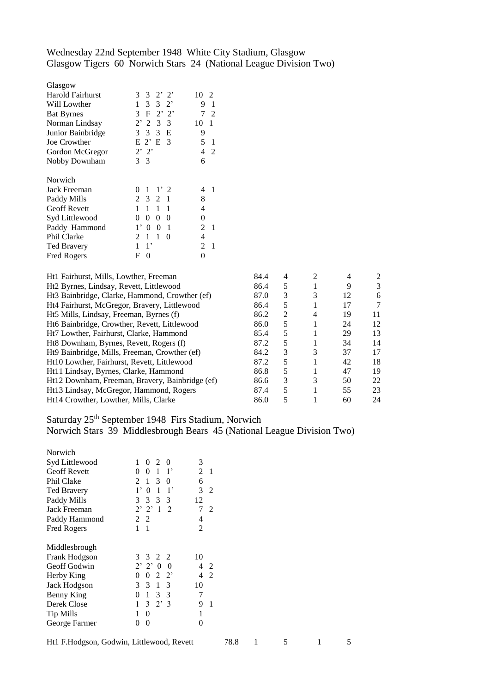# Wednesday 22nd September 1948 White City Stadium, Glasgow Glasgow Tigers 60 Norwich Stars 24 (National League Division Two)

| Glasgow             |                                          |                                   |
|---------------------|------------------------------------------|-----------------------------------|
| Harold Fairhurst    | 3 3 2 2                                  | 10<br>$\mathcal{D}_{\mathcal{L}}$ |
| Will Lowther        | 3 3 2'<br>1                              | 9<br>1                            |
| <b>Bat Byrnes</b>   | 3 F 2' 2'                                | 7<br>2                            |
| Norman Lindsay      | $2'$ 2 3 3                               | 10<br>1                           |
| Junior Bainbridge   | 3<br>3<br>3<br>E                         | 9                                 |
| Joe Crowther        | $E$ 2' $E$ 3                             | 5<br>1                            |
| Gordon McGregor     | $2'$ $2'$                                | 4<br>$\mathfrak{D}$               |
| Nobby Downham       | 3 <sup>3</sup>                           | 6                                 |
|                     |                                          |                                   |
| Norwich             |                                          |                                   |
| Jack Freeman        | 1'2<br>1<br>0                            | 4                                 |
| Paddy Mills         | 2 3 2<br>1                               | 8                                 |
| <b>Geoff Revett</b> | 1<br>$\mathbf{1}$<br>1<br>$\mathbf{1}$   | 4                                 |
| Syd Littlewood      | 0<br>0<br>0<br>0                         | 0                                 |
| Paddy Hammond       | $1^{\circ}$<br>0<br>0<br>1               | 2<br>1                            |
| Phil Clarke         | $\mathfrak{D}$<br>$\mathbf{1}$<br>1<br>0 | 4                                 |
| <b>Ted Bravery</b>  | $1^,$<br>1                               | $\mathfrak{D}$<br>1               |
| <b>Fred Rogers</b>  | F<br>0                                   | 0                                 |
|                     |                                          |                                   |

| Ht1 Fairhurst, Mills, Lowther, Freeman          | 84.4 |   | $\mathcal{D}_{\mathcal{L}}$ |    | 2  |
|-------------------------------------------------|------|---|-----------------------------|----|----|
| Ht2 Byrnes, Lindsay, Revett, Littlewood         | 86.4 | 5 |                             | 9  | 3  |
| Ht3 Bainbridge, Clarke, Hammond, Crowther (ef)  | 87.0 | 3 | 3                           | 12 | 6  |
| Ht4 Fairhurst, McGregor, Bravery, Littlewood    | 86.4 | 5 |                             | 17 | 7  |
| Ht5 Mills, Lindsay, Freeman, Byrnes (f)         | 86.2 | 2 | 4                           | 19 | 11 |
| Ht6 Bainbridge, Crowther, Revett, Littlewood    | 86.0 | 5 |                             | 24 | 12 |
| Ht7 Lowther, Fairhurst, Clarke, Hammond         | 85.4 | 5 |                             | 29 | 13 |
| Ht8 Downham, Byrnes, Revett, Rogers (f)         | 87.2 | 5 |                             | 34 | 14 |
| Ht Bainbridge, Mills, Freeman, Crowther (ef)    | 84.2 | 3 | 3                           | 37 | 17 |
| Ht10 Lowther, Fairhurst, Revett, Littlewood     | 87.2 | 5 |                             | 42 | 18 |
| Ht11 Lindsay, Byrnes, Clarke, Hammond           | 86.8 | 5 |                             | 47 | 19 |
| Ht12 Downham, Freeman, Bravery, Bainbridge (ef) | 86.6 | 3 |                             | 50 | 22 |
| Ht13 Lindsay, McGregor, Hammond, Rogers         | 87.4 | 5 |                             | 55 | 23 |
| Ht14 Crowther, Lowther, Mills, Clarke           | 86.0 |   |                             | 60 | 24 |
|                                                 |      |   |                             |    |    |

# Saturday 25<sup>th</sup> September 1948 Firs Stadium, Norwich

Norwich Stars 39 Middlesbrough Bears 45 (National League Division Two)

| Norwich             |                                                          |                                  |
|---------------------|----------------------------------------------------------|----------------------------------|
| Syd Littlewood      | 1<br>$0\quad2$<br>$\theta$                               | 3                                |
| <b>Geoff Revett</b> | 1<br>$\theta$<br>$1^{\circ}$<br>0                        | 2<br>-1                          |
| Phil Clake          | 1<br>3<br>$\mathcal{L}$<br>$\Omega$                      | 6                                |
| <b>Ted Bravery</b>  | $1^{\circ}$<br>$\theta$<br>$\overline{1}$<br>$1^{\circ}$ | 3<br>$\overline{2}$              |
| Paddy Mills         | 3 3<br>3 <sup>3</sup>                                    | 12                               |
| Jack Freeman        | $2'$ $2'$ 1 2                                            | 7<br>$\mathcal{D}_{\mathcal{L}}$ |
| Paddy Hammond       | 2 2                                                      | 4                                |
| <b>Fred Rogers</b>  | 1<br>1                                                   | 2                                |
|                     |                                                          |                                  |
| Middlesbrough       |                                                          |                                  |
| Frank Hodgson       | 3 3 2 2                                                  | 10                               |
| Geoff Godwin        | $2'$ $2'$ 0<br>0                                         | 4<br>2                           |
| Herby King          | $2^{\circ}2^{\circ}$<br>0<br>0                           | $\mathfrak{D}$<br>4              |
| Jack Hodgson        | 3<br>$\mathcal{E}$<br>1 3                                | 10                               |
| Benny King          | 1<br>3 <sup>3</sup><br>0                                 | 7                                |
| Derek Close         | 1<br>$3 \t2' \t3$                                        | 9<br>1                           |
| Tip Mills           | 1<br>0                                                   | 1                                |
| George Farmer       | 0<br>0                                                   | 0                                |
|                     |                                                          |                                  |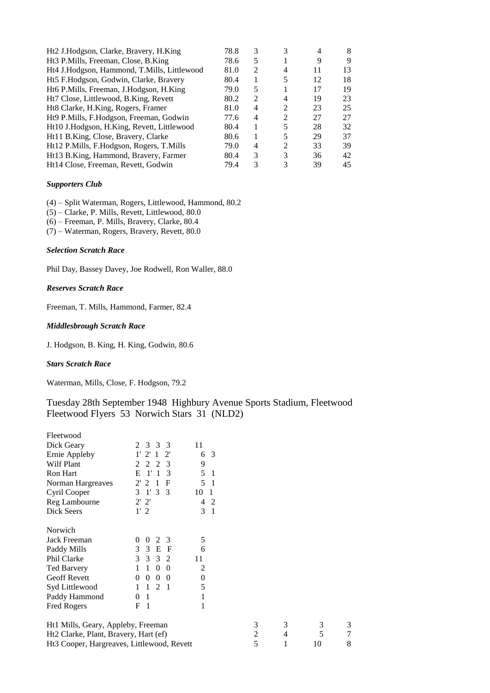| Ht2 J.Hodgson, Clarke, Bravery, H.King          | 78.8 | 3                           |                             |    |    |
|-------------------------------------------------|------|-----------------------------|-----------------------------|----|----|
| Ht <sub>3</sub> P.Mills, Freeman, Close, B.King | 78.6 | 5                           |                             | 9  | 9  |
| Ht4 J.Hodgson, Hammond, T.Mills, Littlewood     | 81.0 | $\mathcal{D}_{\mathcal{L}}$ | 4                           | 11 | 13 |
| Ht5 F.Hodgson, Godwin, Clarke, Bravery          | 80.4 |                             | 5                           | 12 | 18 |
| Ht6 P.Mills, Freeman, J.Hodgson, H.King         | 79.0 | 5                           |                             | 17 | 19 |
| Ht7 Close, Littlewood, B.King, Revett           | 80.2 | 2                           | 4                           | 19 | 23 |
| Ht8 Clarke, H.King, Rogers, Framer              | 81.0 | 4                           | $\mathfrak{D}$              | 23 | 25 |
| Ht9 P.Mills, F.Hodgson, Freeman, Godwin         | 77.6 | 4                           | $\mathfrak{D}$              | 27 | 27 |
| Ht10 J.Hodgson, H.King, Revett, Littlewood      | 80.4 |                             | 5                           | 28 | 32 |
| Ht11 B.King, Close, Bravery, Clarke             | 80.6 |                             |                             | 29 | 37 |
| Ht12 P.Mills, F.Hodgson, Rogers, T.Mills        | 79.0 | 4                           | $\mathcal{D}_{\mathcal{L}}$ | 33 | 39 |
| Ht13 B.King, Hammond, Bravery, Farmer           | 80.4 | 3                           | 3                           | 36 | 42 |
| Ht14 Close, Freeman, Revett, Godwin             | 79.4 | 3                           | 3                           | 39 | 45 |

## *Supporters Club*

(4) – Split Waterman, Rogers, Littlewood, Hammond, 80.2

(5) – Clarke, P. Mills, Revett, Littlewood, 80.0

(6) – Freeman, P. Mills, Bravery, Clarke, 80.4

(7) – Waterman, Rogers, Bravery, Revett, 80.0

## *Selection Scratch Race*

Phil Day, Bassey Davey, Joe Rodwell, Ron Waller, 88.0

#### *Reserves Scratch Race*

Freeman, T. Mills, Hammond, Farmer, 82.4

## *Middlesbrough Scratch Race*

J. Hodgson, B. King, H. King, Godwin, 80.6

#### *Stars Scratch Race*

Waterman, Mills, Close, F. Hodgson, 79.2

## Tuesday 28th September 1948 Highbury Avenue Sports Stadium, Fleetwood Fleetwood Flyers 53 Norwich Stars 31 (NLD2)

| Fleetwood                                  |                                            |                      |   |   |    |   |
|--------------------------------------------|--------------------------------------------|----------------------|---|---|----|---|
| Dick Geary                                 | 2 3<br>3<br>3                              | 11                   |   |   |    |   |
| Ernie Appleby                              | 1' 2' 1<br>$2^{\prime}$                    | 6 3                  |   |   |    |   |
| <b>Wilf Plant</b>                          | 2<br>3<br>2<br>2                           | 9                    |   |   |    |   |
| <b>Ron Hart</b>                            | $1^{\prime}$<br>$\mathbf{1}$<br>Е<br>3     | 5<br>-1              |   |   |    |   |
| Norman Hargreaves                          | 2'2<br>F<br>$\mathbf{1}$                   | 5<br>- 1             |   |   |    |   |
| Cyril Cooper                               | 3 1 3 3                                    | 10<br>$\overline{1}$ |   |   |    |   |
| Reg Lambourne                              | $2'$ $2'$                                  | 2<br>4               |   |   |    |   |
| Dick Seers                                 | 1'2                                        | 3<br>$\overline{1}$  |   |   |    |   |
| Norwich                                    |                                            |                      |   |   |    |   |
| Jack Freeman                               | $\overline{0}$<br>$\theta$<br>2<br>-3      | 5                    |   |   |    |   |
| Paddy Mills                                | E<br>3<br>3<br>$\mathbf{F}$                | 6                    |   |   |    |   |
| Phil Clarke                                | 3 3 3 2                                    | 11                   |   |   |    |   |
| <b>Ted Barvery</b>                         | $\mathbf{1}$<br>$0\quad 0$<br>$\mathbf{1}$ | 2                    |   |   |    |   |
| <b>Geoff Revett</b>                        | $\Omega$<br>$\overline{0}$<br>$0\quad 0$   | $\overline{0}$       |   |   |    |   |
| Syd Littlewood                             | $1\quad 2\quad 1$<br>1                     | 5                    |   |   |    |   |
| Paddy Hammond                              | -1<br>$\Omega$                             | 1                    |   |   |    |   |
| <b>Fred Rogers</b>                         | F<br>$\overline{1}$                        | 1                    |   |   |    |   |
| Ht1 Mills, Geary, Appleby, Freeman         |                                            |                      | 3 | 3 | 3  | 3 |
| Ht2 Clarke, Plant, Bravery, Hart (ef)      |                                            |                      | 2 | 4 | 5  | 7 |
| Ht3 Cooper, Hargreaves, Littlewood, Revett |                                            |                      | 5 | 1 | 10 | 8 |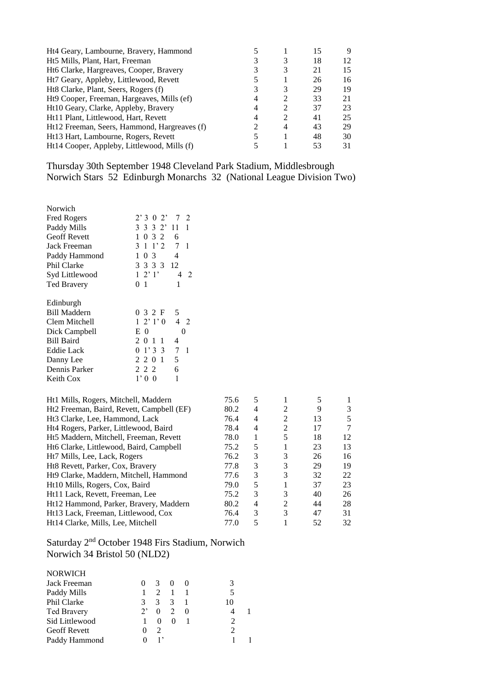| Ht4 Geary, Lambourne, Bravery, Hammond       |   |                | 15 | 9   |
|----------------------------------------------|---|----------------|----|-----|
| Ht5 Mills, Plant, Hart, Freeman              |   | 3              | 18 | 12. |
| Ht6 Clarke, Hargreaves, Cooper, Bravery      |   | 3              | 21 | 15  |
| Ht7 Geary, Appleby, Littlewood, Revett       |   |                | 26 | 16  |
| Ht8 Clarke, Plant, Seers, Rogers (f)         |   | 3              | 29 | 19  |
| Ht9 Cooper, Freeman, Hargeaves, Mills (ef)   | 4 | 2              | 33 | 21  |
| Ht10 Geary, Clarke, Appleby, Bravery         | 4 | 2              | 37 | 23  |
| Ht11 Plant, Littlewood, Hart, Revett         | 4 | $\mathfrak{D}$ | 41 | 25  |
| Ht12 Freeman, Seers, Hammond, Hargreaves (f) |   | $\overline{4}$ | 43 | 29  |
| Ht13 Hart, Lambourne, Rogers, Revett         |   |                | 48 | 30  |
| Ht14 Cooper, Appleby, Littlewood, Mills (f)  |   |                | 53 | 31  |

Thursday 30th September 1948 Cleveland Park Stadium, Middlesbrough Norwich Stars 52 Edinburgh Monarchs 32 (National League Division Two)

| Norwich                                    |                            |                     |      |   |                |    |   |
|--------------------------------------------|----------------------------|---------------------|------|---|----------------|----|---|
| Fred Rogers                                | 2'302'                     | 7<br>2              |      |   |                |    |   |
| Paddy Mills                                | 3 3 3 2'                   | 11<br>1             |      |   |                |    |   |
| Geoff Revett                               | 1 0 3 2                    | 6                   |      |   |                |    |   |
| Jack Freeman                               | $3 \t1 \t1'2$              | 7<br>$\overline{1}$ |      |   |                |    |   |
| Paddy Hammond                              | 1 0 3                      | 4                   |      |   |                |    |   |
| Phil Clarke                                | 3 3 3 3                    | 12                  |      |   |                |    |   |
| Syd Littlewood                             | $1\;2'\;1'$                | $\overline{2}$<br>4 |      |   |                |    |   |
| <b>Ted Bravery</b>                         | $\overline{1}$<br>$\Omega$ | 1                   |      |   |                |    |   |
|                                            |                            |                     |      |   |                |    |   |
| Edinburgh                                  |                            |                     |      |   |                |    |   |
| <b>Bill Maddern</b>                        | 0 3 2 F                    | 5                   |      |   |                |    |   |
| Clem Mitchell                              | $1\;2\;1\;0$               | 4 <sub>2</sub>      |      |   |                |    |   |
| Dick Campbell                              | E <sub>0</sub>             | $\theta$            |      |   |                |    |   |
| <b>Bill Baird</b>                          | 2 0 1 1                    | 4                   |      |   |                |    |   |
| <b>Eddie Lack</b>                          | 01'33                      | 7<br>-1             |      |   |                |    |   |
| Danny Lee                                  | 2 2 0 1                    | 5                   |      |   |                |    |   |
| Dennis Parker                              | 2 2 2                      | 6                   |      |   |                |    |   |
| Keith Cox                                  | 1'00                       | 1                   |      |   |                |    |   |
|                                            |                            |                     |      |   |                |    |   |
| Ht1 Mills, Rogers, Mitchell, Maddern       |                            |                     | 75.6 | 5 | 1              | 5  | 1 |
| Ht2 Freeman, Baird, Revett, Campbell (EF)  |                            |                     | 80.2 | 4 | 2              | 9  | 3 |
| Ht <sub>3</sub> Clarke, Lee, Hammond, Lack |                            |                     | 76.4 | 4 | 2              | 13 | 5 |
| Ht4 Rogers, Parker, Littlewood, Baird      |                            |                     | 78.4 | 4 | $\overline{2}$ | 17 | 7 |

| $H_2$ Preeman, Band, Reven, Campoen (EP)   | $\mathsf{ou}.$ | ∸ |                |    | $\cdot$ |
|--------------------------------------------|----------------|---|----------------|----|---------|
| Ht <sub>3</sub> Clarke, Lee, Hammond, Lack | 76.4           | 4 | 2              | 13 | 5       |
| Ht4 Rogers, Parker, Littlewood, Baird      | 78.4           | 4 | 2              | 17 | 7       |
| Ht5 Maddern, Mitchell, Freeman, Revett     | 78.0           |   | 5              | 18 | 12.     |
| Ht6 Clarke, Littlewood, Baird, Campbell    | 75.2           | 5 |                | 23 | 13      |
| Ht7 Mills, Lee, Lack, Rogers               | 76.2           | 3 | 3              | 26 | 16      |
| Ht8 Revett, Parker, Cox, Bravery           | 77.8           | 3 | 3              | 29 | 19      |
| Ht9 Clarke, Maddern, Mitchell, Hammond     | 77.6           | 3 | 3              | 32 | 22      |
| Ht10 Mills, Rogers, Cox, Baird             | 79.0           |   |                | 37 | 23      |
| Ht11 Lack, Revett, Freeman, Lee            | 75.2           | 3 | 3              | 40 | 26      |
| Ht12 Hammond, Parker, Bravery, Maddern     | 80.2           | 4 | $\mathfrak{D}$ | 44 | 28      |
| Ht13 Lack, Freeman, Littlewood, Cox        | 76.4           | 3 | 3              | 47 | 31      |
| Ht14 Clarke, Mills, Lee, Mitchell          | 77.0           |   |                | 52 | 32      |
|                                            |                |   |                |    |         |

# Saturday 2<sup>nd</sup> October 1948 Firs Stadium, Norwich Norwich 34 Bristol 50 (NLD2)

# NORWICH<br>Jack Freeman

| .                   |                 |               |                         |    |  |
|---------------------|-----------------|---------------|-------------------------|----|--|
| Jack Freeman        |                 | $\mathcal{R}$ | $\theta$                | 3  |  |
| Paddy Mills         |                 |               |                         | 5  |  |
| Phil Clarke         | 3               | 3             | $\overline{\mathbf{3}}$ | 10 |  |
| Ted Bravery         | $\mathcal{D}$ , | $\theta$      |                         |    |  |
| Sid Littlewood      |                 |               |                         |    |  |
| <b>Geoff Revett</b> |                 |               |                         |    |  |
| Paddy Hammond       |                 |               |                         |    |  |
|                     |                 |               |                         |    |  |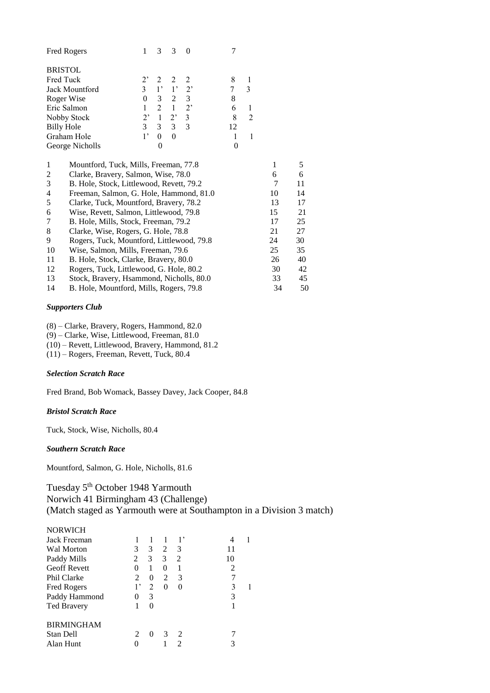| Fred Rogers       |                                           | $\mathbf 1$      | 3                | 3              | $\theta$         | 7              |                |    |    |
|-------------------|-------------------------------------------|------------------|------------------|----------------|------------------|----------------|----------------|----|----|
| <b>BRISTOL</b>    |                                           |                  |                  |                |                  |                |                |    |    |
| Fred Tuck         |                                           | $2$ <sup>,</sup> | 2                | 2              | 2                | 8              | 1              |    |    |
|                   | Jack Mountford                            | $\overline{3}$   | $1^{\prime}$     | $1^{\circ}$    | $2^,$            | 7              | 3              |    |    |
| Roger Wise        |                                           | $\theta$         | 3                | $\overline{c}$ | 3                | 8              |                |    |    |
| Eric Salmon       |                                           | $\mathbf{1}$     | $\overline{2}$   | $\mathbf{1}$   | $2$ <sup>,</sup> | 6              | 1              |    |    |
|                   | Nobby Stock                               | $2^,$            | $\mathbf{1}$     | $2^{\circ}$    | 3                | 8              | $\overline{2}$ |    |    |
| <b>Billy Hole</b> |                                           | $\overline{3}$   | 3                | 3              | 3                | 12             |                |    |    |
|                   | Graham Hole                               | $1^{\circ}$      | 0                | $\theta$       |                  | 1              | 1              |    |    |
|                   | George Nicholls                           |                  | $\boldsymbol{0}$ |                |                  | $\overline{0}$ |                |    |    |
| 1                 | Mountford, Tuck, Mills, Freeman, 77.8     |                  | 1                | 5              |                  |                |                |    |    |
| $\overline{c}$    | Clarke, Bravery, Salmon, Wise, 78.0       |                  |                  |                |                  |                |                | 6  | 6  |
| 3                 | B. Hole, Stock, Littlewood, Revett, 79.2  |                  |                  |                |                  |                |                | 7  | 11 |
| 4                 | Freeman, Salmon, G. Hole, Hammond, 81.0   |                  |                  |                |                  |                |                | 10 | 14 |
| 5                 | Clarke, Tuck, Mountford, Bravery, 78.2    |                  |                  |                |                  |                |                | 13 | 17 |
| 6                 | Wise, Revett, Salmon, Littlewood, 79.8    |                  |                  |                |                  |                |                | 15 | 21 |
| 7                 | B. Hole, Mills, Stock, Freeman, 79.2      |                  |                  |                |                  |                |                | 17 | 25 |
| 8                 | Clarke, Wise, Rogers, G. Hole, 78.8       |                  |                  |                |                  |                |                | 21 | 27 |
| 9                 | Rogers, Tuck, Mountford, Littlewood, 79.8 |                  |                  |                |                  |                |                | 24 | 30 |
| 10                | Wise, Salmon, Mills, Freeman, 79.6        |                  |                  |                |                  |                |                | 25 | 35 |
| 11                | B. Hole, Stock, Clarke, Bravery, 80.0     |                  |                  |                |                  |                |                | 26 | 40 |
| 12                | Rogers, Tuck, Littlewood, G. Hole, 80.2   |                  |                  |                |                  |                |                | 30 | 42 |
| 13                | Stock, Bravery, Hsammond, Nicholls, 80.0  |                  |                  |                |                  |                |                | 33 | 45 |
| 14                | B. Hole, Mountford, Mills, Rogers, 79.8   |                  |                  |                |                  |                |                | 34 | 50 |

## *Supporters Club*

(8) – Clarke, Bravery, Rogers, Hammond, 82.0

(9) – Clarke, Wise, Littlewood, Freeman, 81.0

(10) – Revett, Littlewood, Bravery, Hammond, 81.2

(11) – Rogers, Freeman, Revett, Tuck, 80.4

#### *Selection Scratch Race*

Fred Brand, Bob Womack, Bassey Davey, Jack Cooper, 84.8

#### *Bristol Scratch Race*

Tuck, Stock, Wise, Nicholls, 80.4

*Southern Scratch Race*

Mountford, Salmon, G. Hole, Nicholls, 81.6

Tuesday 5<sup>th</sup> October 1948 Yarmouth Norwich 41 Birmingham 43 (Challenge) (Match staged as Yarmouth were at Southampton in a Division 3 match)

| <b>NORWICH</b>      |    |          |          |                             |    |  |
|---------------------|----|----------|----------|-----------------------------|----|--|
| Jack Freeman        |    |          | 1        | 1,                          | 4  |  |
| Wal Morton          | 3  | 3        | 2        | 3                           | 11 |  |
| Paddy Mills         | 2  | 3        | 3        | 2                           | 10 |  |
| <b>Geoff Revett</b> | 0  | 1        | $\theta$ |                             | 2  |  |
| Phil Clarke         | 2  | $\theta$ | 2        | 3                           |    |  |
| Fred Rogers         | 1, | 2        |          | 0                           | 3  |  |
| Paddy Hammond       |    | 3        |          |                             | 3  |  |
| <b>Ted Bravery</b>  |    | 0        |          |                             |    |  |
| <b>BIRMINGHAM</b>   |    |          |          |                             |    |  |
| Stan Dell           | 2  | $\Omega$ |          | $\mathcal{D}_{\mathcal{L}}$ |    |  |
| Alan Hunt           |    |          |          | 2                           |    |  |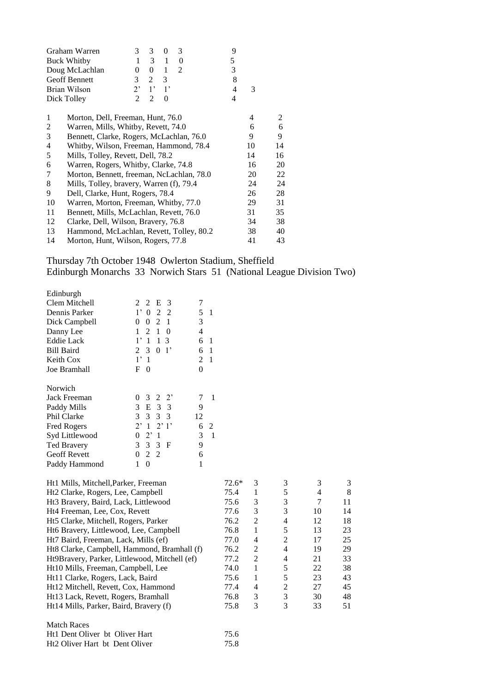|    | Graham Warren                             | 3           | 3              | 0           | 3 |  | 9              |    |    |
|----|-------------------------------------------|-------------|----------------|-------------|---|--|----------------|----|----|
|    | <b>Buck Whitby</b>                        | 1           | 3              | 1           | 0 |  | 5              |    |    |
|    | Doug McLachlan                            | $\theta$    | $\Omega$       | 1           | 2 |  | 3              |    |    |
|    | <b>Geoff Bennett</b>                      | 3           | $\overline{2}$ | 3           |   |  | 8              |    |    |
|    | Brian Wilson                              | $2^{\circ}$ | $1^{\circ}$    | $1^{\circ}$ |   |  | $\overline{4}$ | 3  |    |
|    | Dick Tolley                               | 2           | 2              | 0           |   |  | 4              |    |    |
| 1  | Morton, Dell, Freeman, Hunt, 76.0         |             |                |             |   |  |                | 4  | 2  |
| 2  | Warren, Mills, Whitby, Revett, 74.0       |             |                |             |   |  |                | 6  | 6  |
| 3  | Bennett, Clarke, Rogers, McLachlan, 76.0  |             | 9              | 9           |   |  |                |    |    |
| 4  | Whitby, Wilson, Freeman, Hammond, 78.4    |             | 10             | 14          |   |  |                |    |    |
| 5  | Mills, Tolley, Revett, Dell, 78.2         |             |                |             |   |  |                | 14 | 16 |
| 6  | Warren, Rogers, Whitby, Clarke, 74.8      |             |                |             |   |  |                | 16 | 20 |
| 7  | Morton, Bennett, freeman, NcLachlan, 78.0 |             |                |             |   |  |                | 20 | 22 |
| 8  | Mills, Tolley, bravery, Warren (f), 79.4  |             |                |             |   |  |                | 24 | 24 |
| 9  | Dell, Clarke, Hunt, Rogers, 78.4          |             |                |             |   |  |                | 26 | 28 |
| 10 | Warren, Morton, Freeman, Whitby, 77.0     |             |                |             |   |  |                | 29 | 31 |
| 11 | Bennett, Mills, McLachlan, Revett, 76.0   |             |                |             |   |  |                | 31 | 35 |
| 12 | Clarke, Dell, Wilson, Bravery, 76.8       |             |                |             |   |  |                | 34 | 38 |
| 13 | Hammond, McLachlan, Revett, Tolley, 80.2  |             |                |             |   |  |                | 38 | 40 |
| 14 | Morton, Hunt, Wilson, Rogers, 77.8        |             |                |             |   |  |                | 41 | 43 |
|    |                                           |             |                |             |   |  |                |    |    |

## Thursday 7th October 1948 Owlerton Stadium, Sheffield Edinburgh Monarchs 33 Norwich Stars 51 (National League Division Two)

| Edinburgh                         |                                           |                |                |       |   |   |   |              |
|-----------------------------------|-------------------------------------------|----------------|----------------|-------|---|---|---|--------------|
| Clem Mitchell                     | 2<br>E<br>- 3<br>$2^{\circ}$              | 7              |                |       |   |   |   |              |
| Dennis Parker                     | $1'$ 0<br>2 2                             | 5              | $\overline{1}$ |       |   |   |   |              |
| Dick Campbell                     | $\theta$<br>2<br>$\Omega$<br>- 1          | 3              |                |       |   |   |   |              |
| Danny Lee                         | 2<br>1<br>$\theta$                        | 4              |                |       |   |   |   |              |
| <b>Eddie Lack</b>                 | 1<br>3<br>1                               | 6              | -1             |       |   |   |   |              |
| <b>Bill Baird</b>                 | $\mathbf{3}$<br>0 <sup>1</sup><br>2       | 6              | -1             |       |   |   |   |              |
| Keith Cox                         | 1'1                                       | $\mathfrak{D}$ | $\overline{1}$ |       |   |   |   |              |
| Joe Bramhall                      | F<br>$\Omega$                             | $\theta$       |                |       |   |   |   |              |
| Norwich                           |                                           |                |                |       |   |   |   |              |
| <b>Jack Freeman</b>               | $2\;\;2$<br>$\mathbf{3}$<br>$\Omega$      | 7              | -1             |       |   |   |   |              |
| Paddy Mills                       | 3 E 3 3                                   | 9              |                |       |   |   |   |              |
| Phil Clarke                       | 3<br>3 3<br>3                             | 12             |                |       |   |   |   |              |
| Fred Rogers                       | 2'1'<br>$2^{\circ}$<br>-1                 | 6              | 2              |       |   |   |   |              |
| Syd Littlewood                    | $2^{\circ}$<br>$\Omega$<br>$\overline{1}$ | 3              | $\overline{1}$ |       |   |   |   |              |
| <b>Ted Bravery</b>                | 3 3 F<br>3                                | 9              |                |       |   |   |   |              |
| <b>Geoff Revett</b>               | 2 2<br>$\Omega$                           | 6              |                |       |   |   |   |              |
| Paddy Hammond                     | 1<br>$\theta$                             | 1              |                |       |   |   |   |              |
| Ht1 Mills Mitchell Parker Freeman |                                           |                |                | 72 6* | κ | 3 | 3 | $\mathbf{R}$ |

| FILL MILLS, MILCHEIL, FALKEL, FLEEHIAH        | $12.0^{\circ}$ | J.             |   |    | J  |
|-----------------------------------------------|----------------|----------------|---|----|----|
| Ht2 Clarke, Rogers, Lee, Campbell             | 75.4           |                | 5 | 4  | 8  |
| Ht3 Bravery, Baird, Lack, Littlewood          | 75.6           | 3              | 3 |    | 11 |
| Ht4 Freeman, Lee, Cox, Revett                 | 77.6           | 3              | 3 | 10 | 14 |
| Ht5 Clarke, Mitchell, Rogers, Parker          | 76.2           | 2              | 4 | 12 | 18 |
| Ht6 Bravery, Littlewood, Lee, Campbell        | 76.8           |                | 5 | 13 | 23 |
| Ht7 Baird, Freeman, Lack, Mills (ef)          | 77.0           | 4              | 2 | 17 | 25 |
| Ht8 Clarke, Campbell, Hammond, Bramhall (f)   | 76.2           | 2              | 4 | 19 | 29 |
| Ht9Bravery, Parker, Littlewood, Mitchell (ef) | 77.2           | $\mathfrak{D}$ | 4 | 21 | 33 |
| Ht10 Mills, Freeman, Campbell, Lee            | 74.0           |                | 5 | 22 | 38 |
| Ht11 Clarke, Rogers, Lack, Baird              | 75.6           | 1              | 5 | 23 | 43 |
| Ht12 Mitchell, Revett, Cox, Hammond           | 77.4           | 4              | 2 | 27 | 45 |
| Ht13 Lack, Revett, Rogers, Bramhall           | 76.8           | 3              | 3 | 30 | 48 |
| Ht14 Mills, Parker, Baird, Bravery (f)        | 75.8           | 3              | 3 | 33 | 51 |
| <b>Match Races</b>                            |                |                |   |    |    |
| Ht1 Dent Oliver bt Oliver Hart                | 75.6           |                |   |    |    |

| HET Dent Onver be Onver Hart   | 72.0 |
|--------------------------------|------|
| Ht2 Oliver Hart bt Dent Oliver | 75.8 |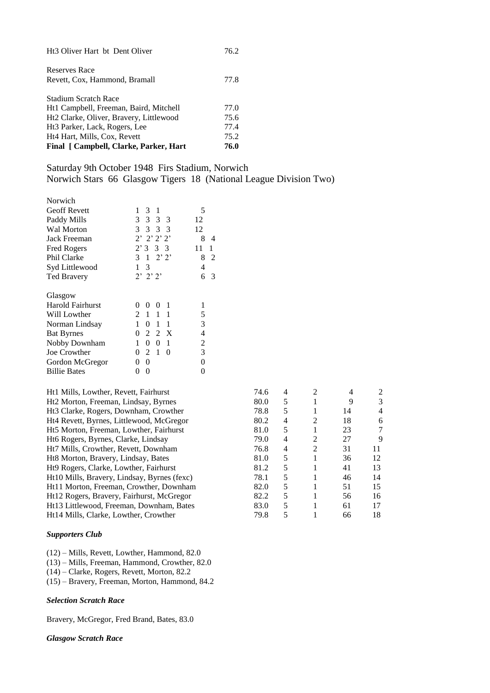| Final [ Campbell, Clarke, Parker, Hart    | 76.0 |
|-------------------------------------------|------|
| Ht4 Hart, Mills, Cox, Revett              | 75.2 |
| Ht <sub>3</sub> Parker, Lack, Rogers, Lee | 77.4 |
| Ht2 Clarke, Oliver, Bravery, Littlewood   | 75.6 |
| Ht1 Campbell, Freeman, Baird, Mitchell    | 77.0 |
| Stadium Scratch Race                      |      |
| Revett, Cox, Hammond, Bramall             | 77.8 |
| Reserves Race                             |      |
| Ht3 Oliver Hart bt Dent Oliver            | 76.2 |

# Saturday 9th October 1948 Firs Stadium, Norwich Norwich Stars 66 Glasgow Tigers 18 (National League Division Two)

| Norwich                 |                                     |         |
|-------------------------|-------------------------------------|---------|
| <b>Geoff Revett</b>     | 1<br>3<br>1                         | 5       |
| Paddy Mills             | 3 3 3 3                             | 12      |
| Wal Morton              | 3 3 3 3                             | 12      |
| Jack Freeman            | $2'$ $2'$ $2'$ $2'$                 | 8<br>4  |
| <b>Fred Rogers</b>      | $2'3 \quad 3 \quad 3$               | 11<br>1 |
| Phil Clarke             | 3<br>$1 \t2'2'$                     | 8<br>2  |
| Syd Littlewood          | $\mathbf{1}$<br>3                   | 4       |
| <b>Ted Bravery</b>      | $2'$ $2'$ $2'$                      | 6<br>3  |
| Glasgow                 |                                     |         |
| <b>Harold Fairhurst</b> | 0<br>1<br>0<br>$\Omega$             | 1       |
| Will Lowther            | $2^{\circ}$<br>$1 \t1 \t1$          | 5       |
| Norman Lindsay          | 1<br>0<br>$\overline{1}$<br>1       | 3       |
| <b>Bat Byrnes</b>       | $\theta$<br>2<br>$\mathbf{X}$<br>-2 | 4       |
| Nobby Downham           | 1<br>0<br>$\theta$<br>1             | 2       |
| Joe Crowther            | 2<br>$1\,$<br>0<br>$\Omega$         | 3       |
| Gordon McGregor         | 0<br>0                              | 0       |
| <b>Billie Bates</b>     | 0<br>0                              | 0       |

| Ht1 Mills, Lowther, Revett, Fairhurst       | 74.6 | 4 |   |    | 2  |
|---------------------------------------------|------|---|---|----|----|
| Ht2 Morton, Freeman, Lindsay, Byrnes        | 80.0 | 5 |   | 9  | 3  |
| Ht3 Clarke, Rogers, Downham, Crowther       | 78.8 | 5 |   | 14 | 4  |
| Ht4 Revett, Byrnes, Littlewood, McGregor    | 80.2 | 4 | 2 | 18 | 6  |
| Ht5 Morton, Freeman, Lowther, Fairhurst     | 81.0 | 5 |   | 23 | 7  |
| Ht6 Rogers, Byrnes, Clarke, Lindsay         | 79.0 | 4 | 2 | 27 | 9  |
| Ht7 Mills, Crowther, Revett, Downham        | 76.8 | 4 | 2 | 31 | 11 |
| Ht8 Morton, Bravery, Lindsay, Bates         | 81.0 | 5 |   | 36 | 12 |
| Ht9 Rogers, Clarke, Lowther, Fairhurst      | 81.2 | 5 |   | 41 | 13 |
| Ht10 Mills, Bravery, Lindsay, Byrnes (fexc) | 78.1 | 5 |   | 46 | 14 |
| Ht11 Morton, Freeman, Crowther, Downham     | 82.0 | 5 |   | 51 | 15 |
| Ht12 Rogers, Bravery, Fairhurst, McGregor   | 82.2 | 5 |   | 56 | 16 |
| Ht13 Littlewood, Freeman, Downham, Bates    | 83.0 | 5 |   | 61 | 17 |
| Ht14 Mills, Clarke, Lowther, Crowther       | 79.8 |   |   | 66 | 18 |

## *Supporters Club*

- (12) Mills, Revett, Lowther, Hammond, 82.0
- (13) Mills, Freeman, Hammond, Crowther, 82.0
- (14) Clarke, Rogers, Revett, Morton, 82.2
- (15) Bravery, Freeman, Morton, Hammond, 84.2

#### *Selection Scratch Race*

Bravery, McGregor, Fred Brand, Bates, 83.0

## *Glasgow Scratch Race*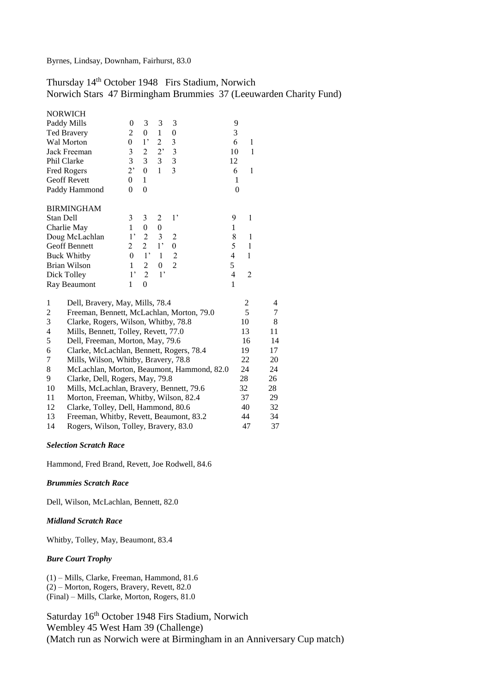# Thursday 14th October 1948 Firs Stadium, Norwich

Norwich Stars 47 Birmingham Brummies 37 (Leeuwarden Charity Fund)

| <b>NORWICH</b>                                              |                |                  |                |                  |                |                |    |
|-------------------------------------------------------------|----------------|------------------|----------------|------------------|----------------|----------------|----|
| Paddy Mills                                                 | 0              | 3                | 3              | 3                | 9              |                |    |
| <b>Ted Bravery</b>                                          | $\overline{c}$ | $\boldsymbol{0}$ | $\mathbf{1}$   | 0                | 3              |                |    |
| Wal Morton                                                  | $\overline{0}$ | $1$ '            | $\overline{c}$ | 3                | 6              | 1              |    |
| Jack Freeman                                                | $\mathfrak{Z}$ | $\boldsymbol{2}$ | 2,             | 3                | 10             | $\mathbf{1}$   |    |
| Phil Clarke                                                 | 3              | 3                | 3              | 3                | 12             |                |    |
| Fred Rogers                                                 | 2,             | $\boldsymbol{0}$ | $\mathbf{1}$   | $\overline{3}$   | 6              | $\mathbf{1}$   |    |
| <b>Geoff Revett</b>                                         | 0              | 1                |                |                  | 1              |                |    |
| Paddy Hammond                                               | $\theta$       | $\boldsymbol{0}$ |                |                  | $\overline{0}$ |                |    |
| <b>BIRMINGHAM</b>                                           |                |                  |                |                  |                |                |    |
| Stan Dell                                                   | 3              | 3                | 2              | 1,               | 9              | 1              |    |
| Charlie May                                                 | $\mathbf{1}$   | $\boldsymbol{0}$ | $\overline{0}$ |                  | 1              |                |    |
| Doug McLachlan                                              | $1^{\circ}$    | $\overline{2}$   | 3              | $\overline{2}$   | 8              | $\mathbf{1}$   |    |
| Geoff Bennett                                               | 2              | $\overline{2}$   | 1 <sup>2</sup> | $\boldsymbol{0}$ | 5              | $\mathbf{1}$   |    |
| <b>Buck Whitby</b>                                          | $\theta$       | $1^{\circ}$      | $\mathbf{1}$   | 2                | $\overline{4}$ | 1              |    |
| Brian Wilson                                                | $\mathbf{1}$   | 2                | 0              | $\overline{2}$   | 5              |                |    |
| Dick Tolley                                                 | $1$ '          | $\overline{2}$   | 1 <sup>2</sup> |                  | $\overline{4}$ | $\overline{2}$ |    |
| Ray Beaumont                                                | $\mathbf{1}$   | $\overline{0}$   |                |                  | $\mathbf{1}$   |                |    |
| 1<br>Dell, Bravery, May, Mills, 78.4                        |                |                  |                |                  |                | 2              | 4  |
| $\overline{c}$<br>Freeman, Bennett, McLachlan, Morton, 79.0 |                |                  |                |                  |                | 5              | 7  |
| 3<br>Clarke, Rogers, Wilson, Whitby, 78.8                   |                |                  |                |                  |                | 10             | 8  |
| $\overline{4}$<br>Mills, Bennett, Tolley, Revett, 77.0      |                |                  |                |                  |                | 13             | 11 |
| 5<br>Dell, Freeman, Morton, May, 79.6                       |                |                  |                |                  |                | 16             | 14 |
| 6<br>Clarke, McLachlan, Bennett, Rogers, 78.4               |                |                  |                |                  |                | 19             | 17 |
| 7<br>Mills, Wilson, Whitby, Bravery, 78.8                   |                |                  |                |                  |                | 22             | 20 |
| 8<br>McLachlan, Morton, Beaumont, Hammond, 82.0             |                |                  |                |                  |                | 24             | 24 |
| 9<br>Clarke, Dell, Rogers, May, 79.8                        |                |                  |                |                  |                | 28             | 26 |
| 10<br>Mills, McLachlan, Bravery, Bennett, 79.6              |                |                  |                |                  |                | 32             | 28 |
| Morton, Freeman, Whitby, Wilson, 82.4<br>11                 |                |                  |                |                  |                | 37             | 29 |
| 12<br>Clarke, Tolley, Dell, Hammond, 80.6                   |                |                  |                |                  |                | 40             | 32 |
| 13<br>Freeman, Whitby, Revett, Beaumont, 83.2               |                |                  |                |                  |                | 44             | 34 |
| Rogers, Wilson, Tolley, Bravery, 83.0<br>14                 |                |                  |                |                  |                | 47             | 37 |

#### *Selection Scratch Race*

Hammond, Fred Brand, Revett, Joe Rodwell, 84.6

## *Brummies Scratch Race*

Dell, Wilson, McLachlan, Bennett, 82.0

## *Midland Scratch Race*

Whitby, Tolley, May, Beaumont, 83.4

#### *Bure Court Trophy*

(1) – Mills, Clarke, Freeman, Hammond, 81.6 (2) – Morton, Rogers, Bravery, Revett, 82.0

(Final) – Mills, Clarke, Morton, Rogers, 81.0

Saturday 16<sup>th</sup> October 1948 Firs Stadium, Norwich Wembley 45 West Ham 39 (Challenge) (Match run as Norwich were at Birmingham in an Anniversary Cup match)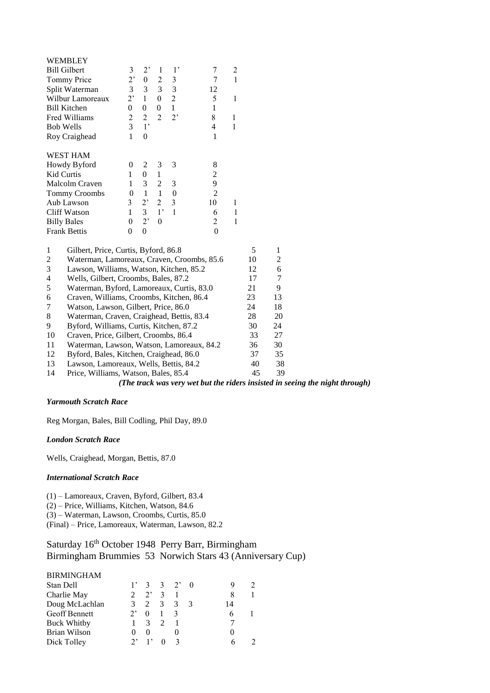| WEMBLEY                                                      |                       |                  |                  |                  |                          |                         |    |                |  |
|--------------------------------------------------------------|-----------------------|------------------|------------------|------------------|--------------------------|-------------------------|----|----------------|--|
| <b>Bill Gilbert</b>                                          | 3                     | 2,               | 1                | 1,               | $\overline{7}$           | $\overline{\mathbf{c}}$ |    |                |  |
| Tommy Price                                                  | 2,                    | $\boldsymbol{0}$ | $\overline{2}$   | 3                | 7                        | $\mathbf{1}$            |    |                |  |
| Split Waterman                                               | 3                     | 3                | 3                | 3                | 12                       |                         |    |                |  |
| Wilbur Lamoreaux                                             | 2,                    | $\mathbf{1}$     | $\boldsymbol{0}$ | $\overline{2}$   | 5                        | $\mathbf{1}$            |    |                |  |
| <b>Bill Kitchen</b>                                          | $\overline{0}$        | $\boldsymbol{0}$ | $\boldsymbol{0}$ | $\mathbf{1}$     | $\mathbf{1}$             |                         |    |                |  |
| Fred Williams                                                | $\overline{c}$        | $\overline{2}$   | $\overline{2}$   | 2,               | 8                        | $\mathbf{1}$            |    |                |  |
| <b>Bob Wells</b>                                             | $\overline{3}$        | $1^{\circ}$      |                  |                  | $\overline{\mathcal{L}}$ | $\mathbf{1}$            |    |                |  |
| Roy Craighead                                                | $\mathbf{1}$          | $\boldsymbol{0}$ |                  |                  | 1                        |                         |    |                |  |
| <b>WEST HAM</b>                                              |                       |                  |                  |                  |                          |                         |    |                |  |
| Howdy Byford                                                 | $\overline{0}$        | $\overline{c}$   | 3                | 3                | 8                        |                         |    |                |  |
| Kid Curtis                                                   | 1                     | $\boldsymbol{0}$ | $\mathbf{1}$     |                  | $\overline{\mathbf{c}}$  |                         |    |                |  |
| Malcolm Craven                                               | $\mathbf{1}$          | 3                | $\overline{2}$   | 3                | 9                        |                         |    |                |  |
| <b>Tommy Croombs</b>                                         | $\theta$              | $\mathbf{1}$     | $\mathbf{1}$     | $\boldsymbol{0}$ | $\overline{2}$           |                         |    |                |  |
| Aub Lawson                                                   | 3                     | $2^,$            | $\overline{2}$   | 3                | 10                       | $\mathbf{1}$            |    |                |  |
| <b>Cliff Watson</b>                                          | $\mathbf{1}$          | 3                | $1^{\circ}$      | $\mathbf{1}$     | 6                        | 1                       |    |                |  |
| <b>Billy Bales</b>                                           | $\boldsymbol{0}$      | 2'               | $\boldsymbol{0}$ |                  | 2                        | 1                       |    |                |  |
| <b>Frank Bettis</b>                                          | $\theta$              | $\overline{0}$   |                  |                  | $\theta$                 |                         |    |                |  |
| $\mathbf{1}$<br>Gilbert, Price, Curtis, Byford, 86.8         |                       |                  |                  |                  |                          |                         | 5  | 1              |  |
| $\overline{c}$<br>Waterman, Lamoreaux, Craven, Croombs, 85.6 |                       |                  |                  |                  |                          |                         | 10 | $\overline{c}$ |  |
| 3<br>Lawson, Williams, Watson, Kitchen, 85.2                 |                       |                  |                  |                  |                          |                         | 12 | 6              |  |
| $\overline{4}$<br>Wells, Gilbert, Croombs, Bales, 87.2       |                       |                  |                  |                  |                          |                         | 17 | 7              |  |
| 5<br>Waterman, Byford, Lamoreaux, Curtis, 83.0               |                       |                  |                  |                  |                          |                         | 21 | 9              |  |
| 6<br>Craven, Williams, Croombs, Kitchen, 86.4                |                       |                  |                  |                  |                          |                         | 23 | 13             |  |
| $\overline{7}$<br>Watson, Lawson, Gilbert, Price, 86.0       |                       |                  |                  |                  |                          |                         | 24 | 18             |  |
| 8<br>Waterman, Craven, Craighead, Bettis, 83.4               |                       |                  |                  |                  |                          |                         | 28 | 20             |  |
| 9<br>Byford, Williams, Curtis, Kitchen, 87.2                 |                       |                  |                  |                  |                          |                         | 30 | 24             |  |
| 10<br>Craven, Price, Gilbert, Croombs, 86.4                  |                       |                  |                  |                  |                          |                         | 33 | 27             |  |
| 11<br>Waterman, Lawson, Watson, Lamoreaux, 84.2              |                       |                  |                  |                  |                          |                         | 36 | 30             |  |
| 12<br>Byford, Bales, Kitchen, Craighead, 86.0                |                       |                  |                  |                  |                          |                         | 37 | 35             |  |
| 13<br>Lawson, Lamoreaux, Wells, Bettis, 84.2                 |                       |                  |                  |                  |                          |                         | 40 | 38             |  |
| 14<br>Price, Williams, Watson, Bales, 85.4                   | $\sqrt{m}$ $\sqrt{m}$ |                  |                  |                  |                          |                         | 45 | 39             |  |

*(The track was very wet but the riders insisted in seeing the night through)*

## *Yarmouth Scratch Race*

Reg Morgan, Bales, Bill Codling, Phil Day, 89.0

## *London Scratch Race*

Wells, Craighead, Morgan, Bettis, 87.0

## *International Scratch Race*

(1) – Lamoreaux, Craven, Byford, Gilbert, 83.4

(2) – Price, Williams, Kitchen, Watson, 84.6

(3) – Waterman, Lawson, Croombs, Curtis, 85.0

(Final) – Price, Lamoreaux, Waterman, Lawson, 82.2

# Saturday 16<sup>th</sup> October 1948 Perry Barr, Birmingham Birmingham Brummies 53 Norwich Stars 43 (Anniversary Cup)

#### BIRMINGHAM

|          |        |                         |         | 14           |  |
|----------|--------|-------------------------|---------|--------------|--|
| $\theta$ |        |                         |         |              |  |
|          |        |                         |         |              |  |
|          |        |                         |         |              |  |
|          |        |                         |         |              |  |
|          | $1'$ 3 | $\overline{\mathbf{3}}$ | 3 2 3 3 | $3 \t2' \t0$ |  |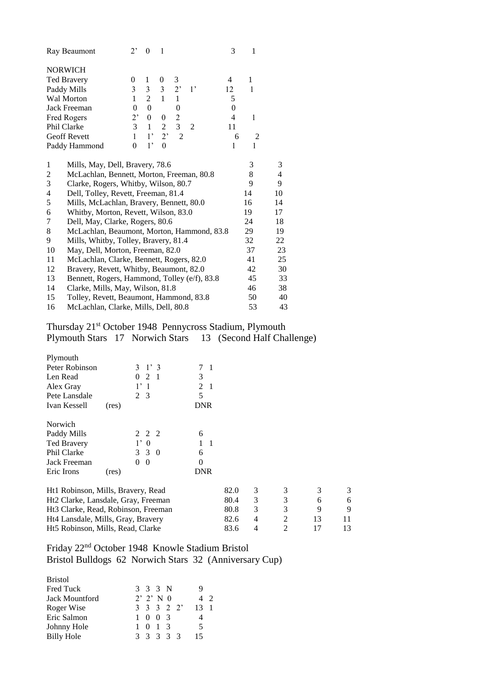|                  | Ray Beaumont                                 | $2^,$    | $\theta$       | 1                |                |             | 3                | 1            |    |
|------------------|----------------------------------------------|----------|----------------|------------------|----------------|-------------|------------------|--------------|----|
|                  | <b>NORWICH</b>                               |          |                |                  |                |             |                  |              |    |
|                  | <b>Ted Bravery</b>                           | 0        | 1              | 0                | 3              |             | 4                | 1            |    |
|                  | Paddy Mills                                  | 3        | 3              | 3                | $2^,$          | $1^{\circ}$ | 12               | $\mathbf{1}$ |    |
|                  | <b>Wal Morton</b>                            | 1        | $\overline{2}$ | $\mathbf{1}$     | 1              |             | 5                |              |    |
|                  | Jack Freeman                                 | $\Omega$ | $\theta$       |                  | $\overline{0}$ |             | $\boldsymbol{0}$ |              |    |
|                  | Fred Rogers                                  | $2^,$    | 0              | 0                | $\overline{c}$ |             | 4                | $\mathbf{1}$ |    |
|                  | Phil Clarke                                  | 3        | $\mathbf{1}$   | $\overline{c}$   | 3              | 2           | 11               |              |    |
|                  | <b>Geoff Revett</b>                          | 1        | $1$ '          | $2^,$            | $\overline{2}$ |             | 6                | 2            |    |
|                  | Paddy Hammond                                | $\theta$ | 1,             | $\boldsymbol{0}$ |                |             | $\mathbf{1}$     | $\mathbf{1}$ |    |
| 1                | Mills, May, Dell, Bravery, 78.6              |          |                |                  |                |             |                  | 3            | 3  |
| 2                | McLachlan, Bennett, Morton, Freeman, 80.8    |          |                |                  |                |             |                  | 8            | 4  |
| 3                | Clarke, Rogers, Whitby, Wilson, 80.7         |          |                |                  |                |             |                  | 9            | 9  |
| 4                | Dell, Tolley, Revett, Freeman, 81.4          |          |                |                  |                |             |                  | 14           | 10 |
| 5                | Mills, McLachlan, Bravery, Bennett, 80.0     |          |                |                  |                |             |                  | 16           | 14 |
| 6                | Whitby, Morton, Revett, Wilson, 83.0         |          |                |                  |                |             |                  | 19           | 17 |
| $\boldsymbol{7}$ | Dell, May, Clarke, Rogers, 80.6              |          |                |                  |                |             |                  | 24           | 18 |
| 8                | McLachlan, Beaumont, Morton, Hammond, 83.8   |          |                |                  |                |             |                  | 29           | 19 |
| 9                | Mills, Whitby, Tolley, Bravery, 81.4         |          |                |                  |                |             |                  | 32           | 22 |
| 10               | May, Dell, Morton, Freeman, 82.0             |          |                |                  |                |             |                  | 37           | 23 |
| 11               | McLachlan, Clarke, Bennett, Rogers, 82.0     |          |                |                  |                |             |                  | 41           | 25 |
| 12               | Bravery, Revett, Whitby, Beaumont, 82.0      |          |                |                  |                |             |                  | 42           | 30 |
| 13               | Bennett, Rogers, Hammond, Tolley (e/f), 83.8 |          |                |                  |                |             |                  | 45           | 33 |
| 14               | Clarke, Mills, May, Wilson, 81.8             |          |                |                  |                |             |                  | 46           | 38 |
| 15               | Tolley, Revett, Beaumont, Hammond, 83.8      |          |                |                  |                |             |                  | 50           | 40 |
| 16               | McLachlan, Clarke, Mills, Dell, 80.8         |          |                |                  |                |             |                  | 53           | 43 |

Thursday 21<sup>st</sup> October 1948 Pennycross Stadium, Plymouth Plymouth Stars 17 Norwich Stars 13 (Second Half Challenge)

| Plymouth                            |       |                               |                                  |      |   |                |    |    |
|-------------------------------------|-------|-------------------------------|----------------------------------|------|---|----------------|----|----|
| Peter Robinson                      |       | $3 \t1' 3$                    | 7<br>- 1                         |      |   |                |    |    |
| Len Read                            |       | 0<br>2 1                      | 3                                |      |   |                |    |    |
| Alex Gray                           |       | $1^,$<br>$\overline{1}$       | $\overline{2}$<br>$\overline{1}$ |      |   |                |    |    |
| Pete Lansdale                       |       | 2 3                           | 5                                |      |   |                |    |    |
| Ivan Kessell                        | (res) |                               | <b>DNR</b>                       |      |   |                |    |    |
| Norwich                             |       |                               |                                  |      |   |                |    |    |
| Paddy Mills                         |       | 2 2 2                         | 6                                |      |   |                |    |    |
| <b>Ted Bravery</b>                  |       | $1^{\circ}$<br>$\overline{0}$ | - 1                              |      |   |                |    |    |
| Phil Clarke                         |       | 3 3<br>$\overline{0}$         | 6                                |      |   |                |    |    |
| Jack Freeman                        |       | $\Omega$<br>$\Omega$          | $\Omega$                         |      |   |                |    |    |
| Eric Irons                          | (res) |                               | <b>DNR</b>                       |      |   |                |    |    |
| Ht1 Robinson, Mills, Bravery, Read  |       |                               |                                  | 82.0 | 3 | 3              | 3  | 3  |
| Ht2 Clarke, Lansdale, Gray, Freeman |       |                               |                                  | 80.4 | 3 | 3              | 6  | 6  |
| Ht3 Clarke, Read, Robinson, Freeman |       |                               |                                  | 80.8 | 3 | 3              | 9  | 9  |
| Ht4 Lansdale, Mills, Gray, Bravery  |       |                               |                                  | 82.6 | 4 | 2              | 13 | 11 |
| Ht5 Robinson, Mills, Read, Clarke   |       |                               |                                  | 83.6 | 4 | $\overline{c}$ | 17 | 13 |
|                                     |       |                               |                                  |      |   |                |    |    |

# Friday 22<sup>nd</sup> October 1948 Knowle Stadium Bristol Bristol Bulldogs 62 Norwich Stars 32 (Anniversary Cup)

| <b>Bristol</b>        |                 |  |                         |  |
|-----------------------|-----------------|--|-------------------------|--|
| <b>Fred Tuck</b>      | 3 3 3 N         |  | 9                       |  |
| <b>Jack Mountford</b> | $2'$ $2'$ N 0   |  |                         |  |
| Roger Wise            | 3 3 3 2 2'      |  | $13 \quad 1$            |  |
| Eric Salmon           | 1 0 0 3         |  | $\overline{4}$          |  |
| Johnny Hole           | $1 \t0 \t1 \t3$ |  | $\overline{\mathbf{5}}$ |  |
| <b>Billy Hole</b>     | 3 3 3 3 3       |  | 15                      |  |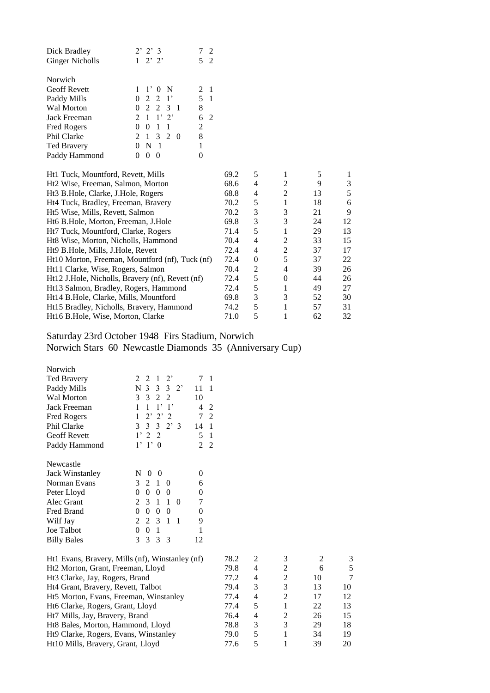| $2'$ $2'$ $3$                         | $\mathcal{D}_{\mathcal{L}}$ |
|---------------------------------------|-----------------------------|
| $2'$ 2'                               | 5<br>$\mathfrak{D}$         |
|                                       |                             |
|                                       |                             |
| $1 \t1' 0 N$                          | 2                           |
| $0 \t2 \t2 \t1'$                      | 5.<br>-1                    |
| 0 2 2 3 1                             | 8                           |
| $2 \t1 \t1' \t2'$                     | 2                           |
| $\overline{1}$<br>$\overline{1}$<br>0 | $\overline{2}$              |
| 1 3 2<br>$\mathfrak{D}$<br>- 0        | 8                           |
| N<br>-1                               | 1                           |
| $\mathbf{\Omega}$                     |                             |
|                                       |                             |

| Ht1 Tuck, Mountford, Revett, Mills               | 69.2 | 5 |                |    |    |
|--------------------------------------------------|------|---|----------------|----|----|
| Ht <sub>2</sub> Wise, Freeman, Salmon, Morton    | 68.6 | 4 | 2              | 9  | 3  |
| Ht3 B.Hole, Clarke, J.Hole, Rogers               | 68.8 | 4 | 2              | 13 | 5  |
| Ht4 Tuck, Bradley, Freeman, Bravery              | 70.2 | 5 |                | 18 | 6  |
| Ht5 Wise, Mills, Revett, Salmon                  | 70.2 | 3 | 3              | 21 | 9  |
| Ht6 B.Hole, Morton, Freeman, J.Hole              | 69.8 | 3 | 3              | 24 | 12 |
| Ht7 Tuck, Mountford, Clarke, Rogers              | 71.4 | 5 |                | 29 | 13 |
| Ht8 Wise, Morton, Nicholls, Hammond              | 70.4 | 4 | $\mathfrak{D}$ | 33 | 15 |
| Ht9 B.Hole, Mills, J.Hole, Revett                | 72.4 | 4 | 2              | 37 | 17 |
| Ht10 Morton, Freeman, Mountford (nf), Tuck (nf)  | 72.4 | 0 | 5              | 37 | 22 |
| Ht11 Clarke, Wise, Rogers, Salmon                | 70.4 | 2 | 4              | 39 | 26 |
| Ht12 J.Hole, Nicholls, Bravery (nf), Revett (nf) | 72.4 | 5 | $\Omega$       | 44 | 26 |
| Ht13 Salmon, Bradley, Rogers, Hammond            | 72.4 | 5 |                | 49 | 27 |
| Ht14 B.Hole, Clarke, Mills, Mountford            | 69.8 | 3 | 3              | 52 | 30 |
| Ht15 Bradley, Nicholls, Bravery, Hammond         | 74.2 | 5 |                | 57 | 31 |
| Ht16 B.Hole, Wise, Morton, Clarke                | 71.0 | 5 |                | 62 | 32 |
|                                                  |      |   |                |    |    |

## Saturday 23rd October 1948 Firs Stadium, Norwich Norwich Stars 60 Newcastle Diamonds 35 (Anniversary Cup)

| Norwich             |                                              |            |                |
|---------------------|----------------------------------------------|------------|----------------|
| <b>Ted Bravery</b>  | $\mathbf{1}$<br>$2^,$<br>$2^{\circ}$<br>2    | 7          | 1              |
| Paddy Mills         | N 3 3 3 2'                                   | 11         | 1              |
| <b>Wal Morton</b>   | $\mathcal{E}$<br>3 2 2                       | 10         |                |
| Jack Freeman        | $1^{\circ}$<br>1<br>1<br>$\cdot$ 1'          | 4          | 2              |
| <b>Fred Rogers</b>  | $2'$ $2'$ $2$<br>1                           | 7          | $\overline{c}$ |
| Phil Clarke         | 3 3 3 2 3                                    | 14         | 1              |
| <b>Geoff Revett</b> | 1'22                                         | 5          | 1              |
| Paddy Hammond       | $1'$ 1' 0                                    | 2          | $\overline{c}$ |
| Newcastle           |                                              |            |                |
| Jack Winstanley     | $\overline{0}$<br>N<br>0                     | 0          |                |
| Norman Evans        | 3<br>2<br>1<br>0                             | 6          |                |
| Peter Lloyd         | $\theta$<br>0<br>$\theta$<br>0               | 0          |                |
| Alec Grant          | $\mathbf{1}$<br>2<br>$\mathcal{E}$<br>1<br>0 | 7          |                |
| Fred Brand          | 0<br>0<br>$\theta$<br>$\theta$               | 0          |                |
| Wilf Jay            | 2 3<br>$\mathbf{2}$<br>1<br>1                | 9          |                |
| Joe Talbot          | 0<br>$\theta$<br>1                           | 1          |                |
| <b>Billy Bales</b>  | 3<br>3<br>3<br>-3                            | 12         |                |
| <b>TT.1 ID</b><br>D |                                              | $\sqrt{2}$ |                |

| Ht1 Evans, Bravery, Mills (nf), Winstanley (nf) | 78.2 | 2 | 3                           |    |    |
|-------------------------------------------------|------|---|-----------------------------|----|----|
| Ht2 Morton, Grant, Freeman, Lloyd               | 79.8 | 4 | $\mathfrak{D}$              | 6  |    |
| Ht <sub>3</sub> Clarke, Jay, Rogers, Brand      | 77.2 | 4 | $\mathcal{D}_{\cdot}$       | 10 |    |
| Ht4 Grant, Bravery, Revett, Talbot              | 79.4 | 3 | 3                           | 13 | 10 |
| Ht5 Morton, Evans, Freeman, Winstanley          | 77.4 | 4 | $\mathcal{D}_{\mathcal{L}}$ | 17 | 12 |
| Ht6 Clarke, Rogers, Grant, Lloyd                | 77.4 | 5 |                             | 22 | 13 |
| Ht7 Mills, Jay, Bravery, Brand                  | 76.4 | 4 | $\mathcal{D}_{\mathcal{L}}$ | 26 | 15 |
| Ht8 Bales, Morton, Hammond, Lloyd               | 78.8 | 3 | 3                           | 29 | 18 |
| Ht9 Clarke, Rogers, Evans, Winstanley           | 79.0 | 5 |                             | 34 | 19 |
| Ht10 Mills, Bravery, Grant, Lloyd               | 77.6 | 5 |                             | 39 | 20 |
|                                                 |      |   |                             |    |    |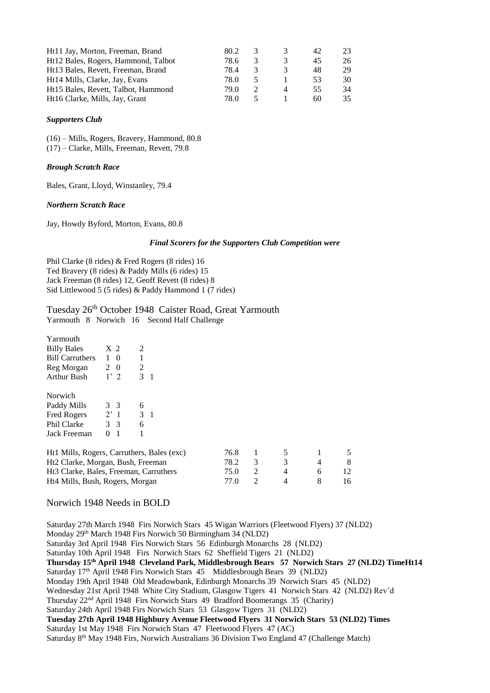| Ht11 Jay, Morton, Freeman, Brand    | 80.2 |  | 42 | 23 |
|-------------------------------------|------|--|----|----|
| Ht12 Bales, Rogers, Hammond, Talbot | 78.6 |  | 45 | 26 |
| Ht13 Bales, Revett, Freeman, Brand  | 78.4 |  | 48 | 29 |
| Ht14 Mills, Clarke, Jay, Evans      | 78.0 |  | 53 | 30 |
| Ht15 Bales, Revett, Talbot, Hammond | 79.0 |  | 55 | 34 |
| Ht16 Clarke, Mills, Jay, Grant      | 78.0 |  | 60 | 35 |

#### *Supporters Club*

(16) – Mills, Rogers, Bravery, Hammond, 80.8 (17) – Clarke, Mills, Freeman, Revett, 79.8

#### *Brough Scratch Race*

Bales, Grant, Lloyd, Winstanley, 79.4

#### *Northern Scratch Race*

Jay, Howdy Byford, Morton, Evans, 80.8

## *Final Scorers for the Supporters Club Competition were*

Phil Clarke (8 rides) & Fred Rogers (8 rides) 16 Ted Bravery (8 rides) & Paddy Mills (6 rides) 15 Jack Freeman (8 rides) 12, Geoff Revett (8 rides) 8 Sid Littlewood 5 (5 rides) & Paddy Hammond 1 (7 rides)

# Tuesday 26<sup>th</sup> October 1948 Caister Road, Great Yarmouth

Yarmouth 8 Norwich 16 Second Half Challenge

| Yarmouth                                           |                     |                |       |      |   |   |    |   |
|----------------------------------------------------|---------------------|----------------|-------|------|---|---|----|---|
| <b>Billy Bales</b>                                 | X <sub>2</sub>      | 2              |       |      |   |   |    |   |
| <b>Bill Carruthers</b>                             | 1 0                 |                |       |      |   |   |    |   |
| Reg Morgan                                         | 2 0                 | $\overline{2}$ |       |      |   |   |    |   |
| Arthur Bush                                        | 1'2                 | 3              | - 1   |      |   |   |    |   |
| Norwich                                            |                     |                |       |      |   |   |    |   |
| Paddy Mills                                        | 3 3                 | 6              |       |      |   |   |    |   |
| Fred Rogers                                        | 2'1                 |                | $3-1$ |      |   |   |    |   |
| Phil Clarke                                        | 3 <sup>3</sup>      | 6              |       |      |   |   |    |   |
| Jack Freeman                                       | $\overline{1}$<br>0 |                |       |      |   |   |    |   |
| Ht1 Mills, Rogers, Carruthers, Bales (exc)         |                     |                |       | 76.8 | 1 | 5 |    | 5 |
| Ht2 Clarke, Morgan, Bush, Freeman                  |                     |                |       | 78.2 | 3 | 3 | 4  | 8 |
| Ht <sub>3</sub> Clarke, Bales, Freeman, Carruthers |                     |                | 75.0  | 2    | 4 | 6 | 12 |   |
| Ht4 Mills, Bush, Rogers, Morgan                    |                     |                | 77.0  | 2    | 4 | 8 | 16 |   |

Norwich 1948 Needs in BOLD

Saturday 27th March 1948 Firs Norwich Stars 45 Wigan Warriors (Fleetwood Flyers) 37 (NLD2) Monday 29th March 1948 Firs Norwich 50 Birmingham 34 (NLD2) Saturday 3rd April 1948 Firs Norwich Stars 56 Edinburgh Monarchs 28 (NLD2) Saturday 10th April 1948 Firs Norwich Stars 62 Sheffield Tigers 21 (NLD2) **Thursday 15th April 1948 Cleveland Park, Middlesbrough Bears 57 Norwich Stars 27 (NLD2) TimeHt14** Saturday 17<sup>th</sup> April 1948 Firs Norwich Stars 45 Middlesbrough Bears 39 (NLD2) Monday 19th April 1948 Old Meadowbank, Edinburgh Monarchs 39 Norwich Stars 45 (NLD2) Wednesday 21st April 1948 White City Stadium, Glasgow Tigers 41 Norwich Stars 42 (NLD2) Rev'd Thursday 22nd April 1948 Firs Norwich Stars 49 Bradford Boomerangs 35 (Charity) Saturday 24th April 1948 Firs Norwich Stars 53 Glasgow Tigers 31 (NLD2) **Tuesday 27th April 1948 Highbury Avenue Fleetwood Flyers 31 Norwich Stars 53 (NLD2) Times** Saturday 1st May 1948 Firs Norwich Stars 47 Fleetwood Flyers 47 (AC) Saturday 8<sup>th</sup> May 1948 Firs, Norwich Australians 36 Division Two England 47 (Challenge Match)